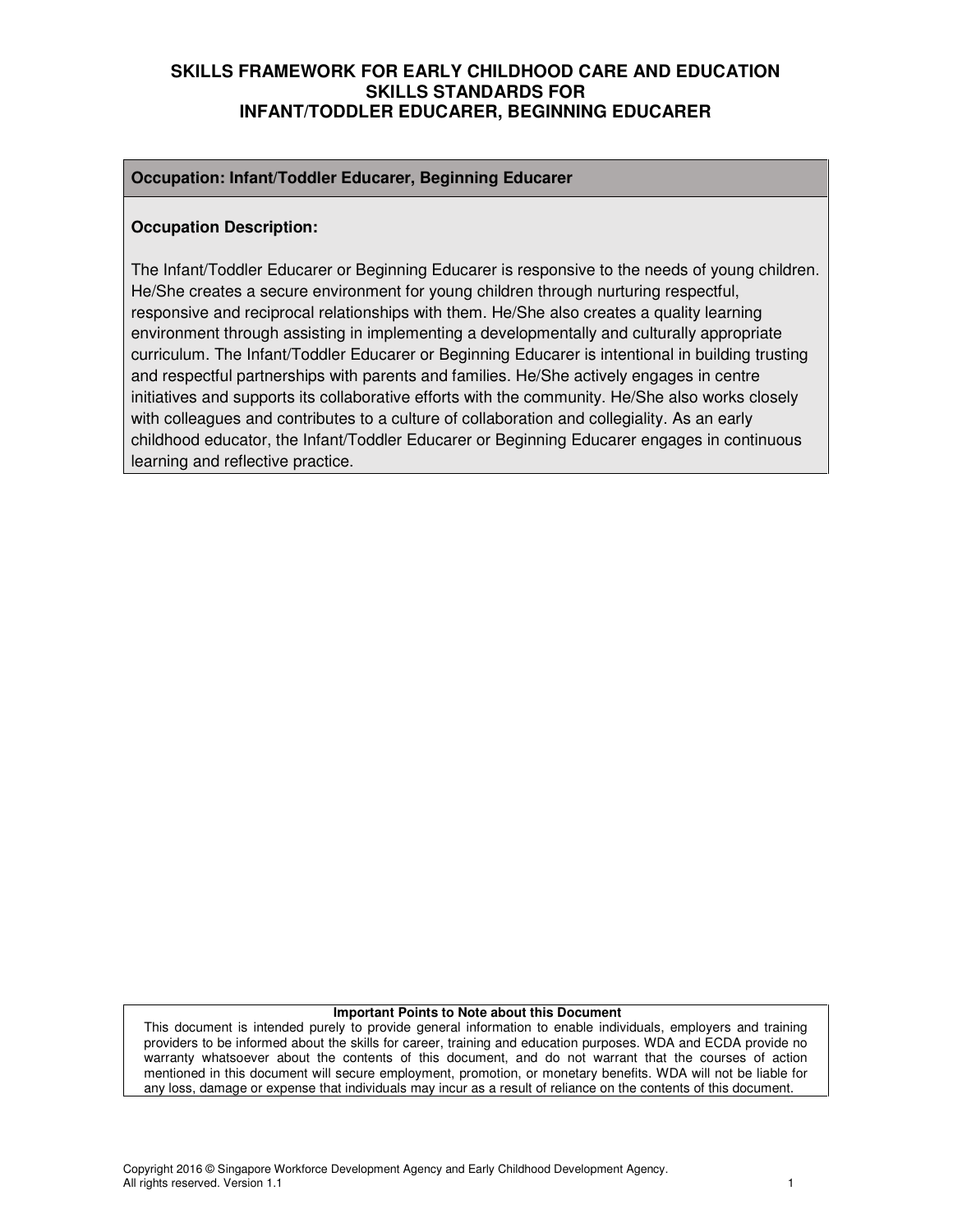#### **Occupation: Infant/Toddler Educarer, Beginning Educarer**

#### **Occupation Description:**

The Infant/Toddler Educarer or Beginning Educarer is responsive to the needs of young children. He/She creates a secure environment for young children through nurturing respectful, responsive and reciprocal relationships with them. He/She also creates a quality learning environment through assisting in implementing a developmentally and culturally appropriate curriculum. The Infant/Toddler Educarer or Beginning Educarer is intentional in building trusting and respectful partnerships with parents and families. He/She actively engages in centre initiatives and supports its collaborative efforts with the community. He/She also works closely with colleagues and contributes to a culture of collaboration and collegiality. As an early childhood educator, the Infant/Toddler Educarer or Beginning Educarer engages in continuous learning and reflective practice.

#### **Important Points to Note about this Document**

This document is intended purely to provide general information to enable individuals, employers and training providers to be informed about the skills for career, training and education purposes. WDA and ECDA provide no warranty whatsoever about the contents of this document, and do not warrant that the courses of action mentioned in this document will secure employment, promotion, or monetary benefits. WDA will not be liable for any loss, damage or expense that individuals may incur as a result of reliance on the contents of this document.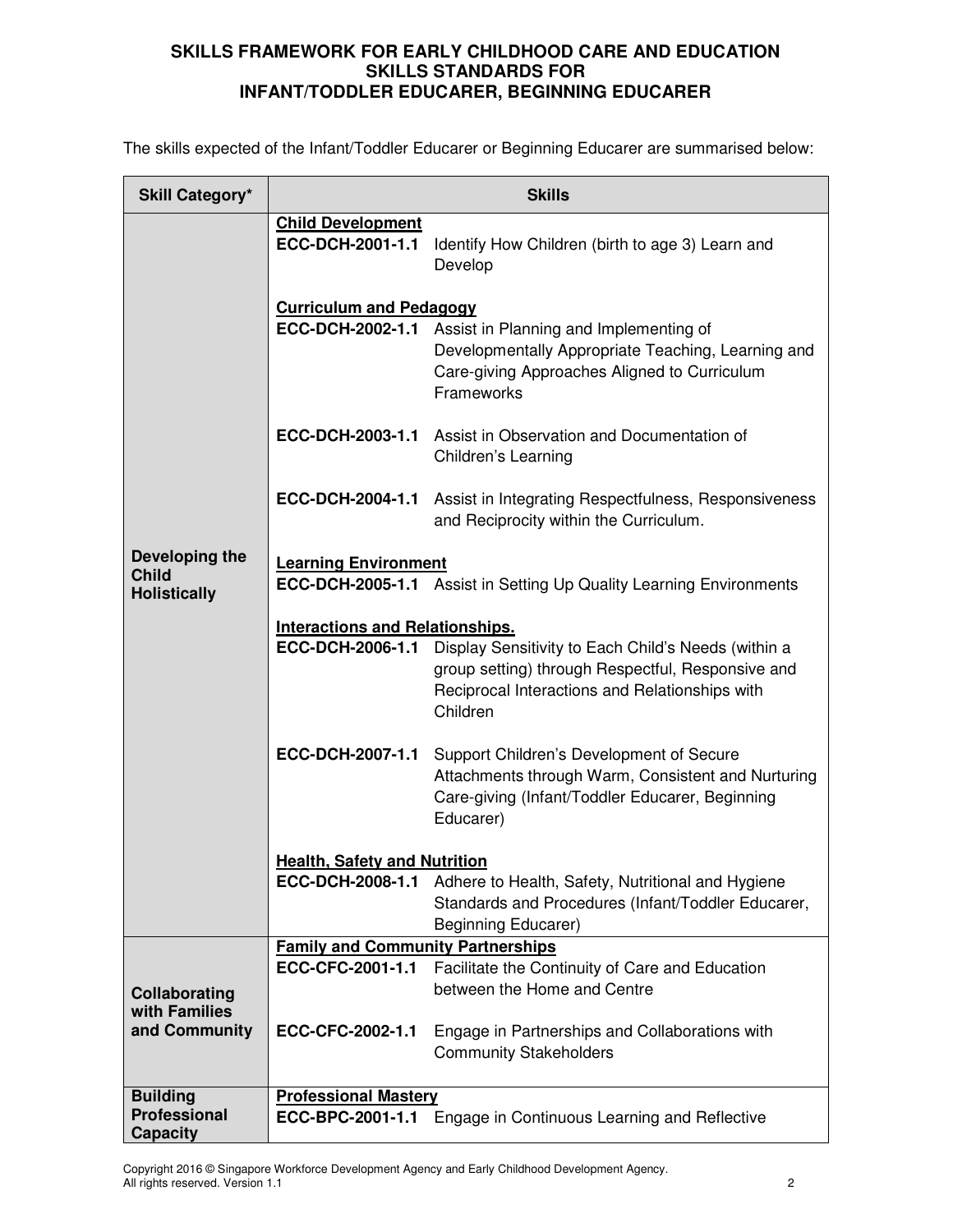The skills expected of the Infant/Toddler Educarer or Beginning Educarer are summarised below:

| <b>Skill Category*</b>                          | <b>Skills</b>                                |                                                                                                                                                                                    |  |
|-------------------------------------------------|----------------------------------------------|------------------------------------------------------------------------------------------------------------------------------------------------------------------------------------|--|
|                                                 | <b>Child Development</b><br>ECC-DCH-2001-1.1 | Identify How Children (birth to age 3) Learn and<br>Develop                                                                                                                        |  |
|                                                 | <b>Curriculum and Pedagogy</b>               |                                                                                                                                                                                    |  |
|                                                 |                                              | <b>ECC-DCH-2002-1.1</b> Assist in Planning and Implementing of<br>Developmentally Appropriate Teaching, Learning and<br>Care-giving Approaches Aligned to Curriculum<br>Frameworks |  |
|                                                 | ECC-DCH-2003-1.1                             | Assist in Observation and Documentation of<br>Children's Learning                                                                                                                  |  |
|                                                 | ECC-DCH-2004-1.1                             | Assist in Integrating Respectfulness, Responsiveness<br>and Reciprocity within the Curriculum.                                                                                     |  |
| Developing the                                  | <b>Learning Environment</b>                  |                                                                                                                                                                                    |  |
| <b>Child</b><br><b>Holistically</b>             |                                              | <b>ECC-DCH-2005-1.1</b> Assist in Setting Up Quality Learning Environments                                                                                                         |  |
|                                                 | <b>Interactions and Relationships.</b>       |                                                                                                                                                                                    |  |
|                                                 | ECC-DCH-2006-1.1                             | Display Sensitivity to Each Child's Needs (within a<br>group setting) through Respectful, Responsive and<br>Reciprocal Interactions and Relationships with<br>Children             |  |
|                                                 | ECC-DCH-2007-1.1                             | Support Children's Development of Secure<br>Attachments through Warm, Consistent and Nurturing<br>Care-giving (Infant/Toddler Educarer, Beginning<br>Educarer)                     |  |
|                                                 | <b>Health, Safety and Nutrition</b>          |                                                                                                                                                                                    |  |
|                                                 | ECC-DCH-2008-1.1                             | Adhere to Health, Safety, Nutritional and Hygiene<br>Standards and Procedures (Infant/Toddler Educarer,<br>Beginning Educarer)                                                     |  |
|                                                 | <b>Family and Community Partnerships</b>     |                                                                                                                                                                                    |  |
|                                                 | ECC-CFC-2001-1.1                             | Facilitate the Continuity of Care and Education                                                                                                                                    |  |
| Collaborating<br>with Families<br>and Community |                                              | between the Home and Centre                                                                                                                                                        |  |
|                                                 | ECC-CFC-2002-1.1                             | Engage in Partnerships and Collaborations with<br><b>Community Stakeholders</b>                                                                                                    |  |
| <b>Building</b>                                 | <b>Professional Mastery</b>                  |                                                                                                                                                                                    |  |
| <b>Professional</b><br><b>Capacity</b>          | ECC-BPC-2001-1.1                             | Engage in Continuous Learning and Reflective                                                                                                                                       |  |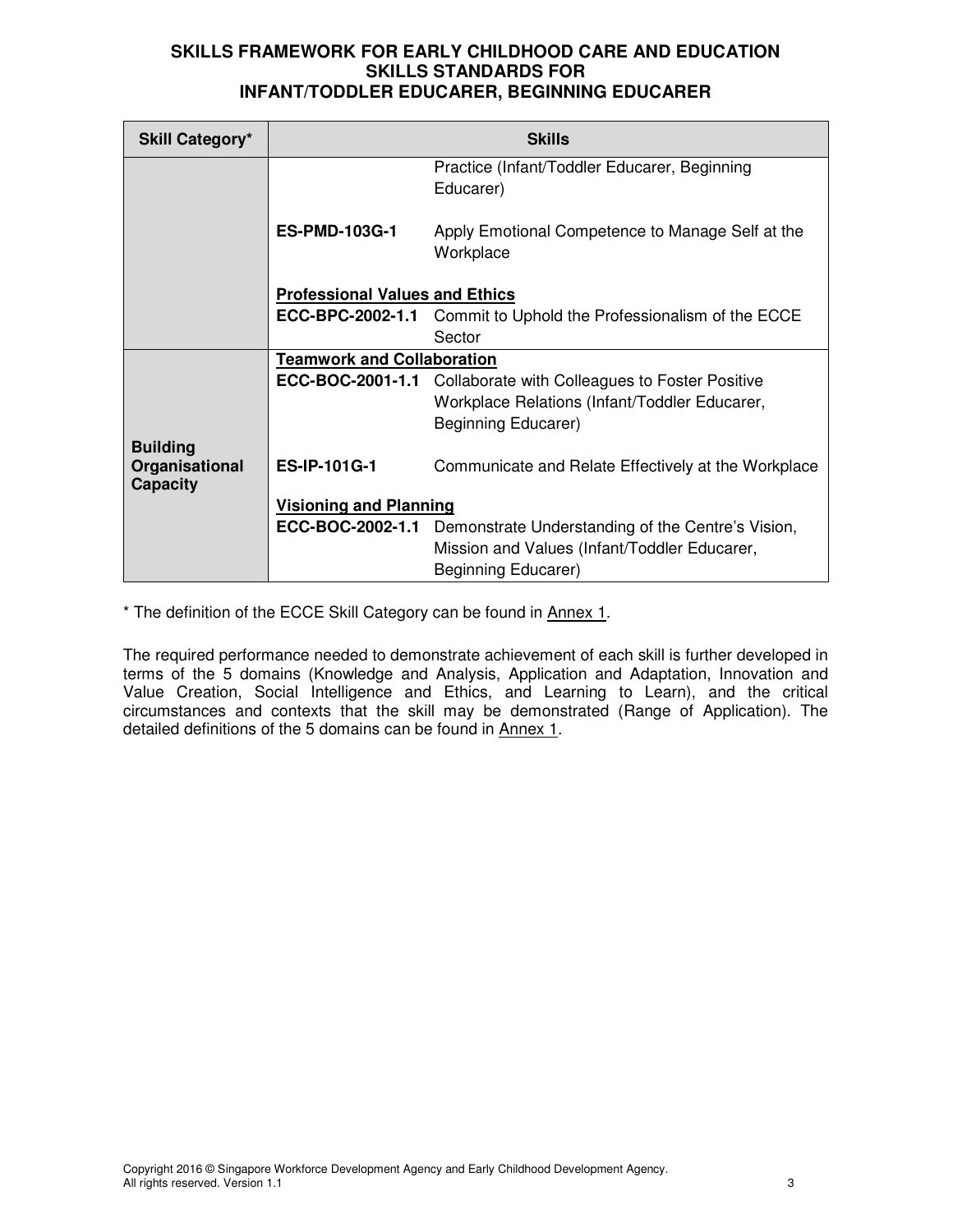| <b>Skill Category*</b>            | <b>Skills</b>                         |                                                                           |  |
|-----------------------------------|---------------------------------------|---------------------------------------------------------------------------|--|
|                                   |                                       | Practice (Infant/Toddler Educarer, Beginning<br>Educarer)                 |  |
|                                   | <b>ES-PMD-103G-1</b>                  | Apply Emotional Competence to Manage Self at the<br>Workplace             |  |
|                                   | <b>Professional Values and Ethics</b> |                                                                           |  |
|                                   |                                       | <b>ECC-BPC-2002-1.1</b> Commit to Uphold the Professionalism of the ECCE  |  |
|                                   |                                       | Sector                                                                    |  |
|                                   | <b>Teamwork and Collaboration</b>     |                                                                           |  |
|                                   | ECC-BOC-2001-1.1                      | Collaborate with Colleagues to Foster Positive                            |  |
|                                   |                                       | Workplace Relations (Infant/Toddler Educarer,                             |  |
|                                   |                                       | Beginning Educarer)                                                       |  |
| <b>Building</b>                   |                                       |                                                                           |  |
| Organisational<br><b>Capacity</b> | <b>ES-IP-101G-1</b>                   | Communicate and Relate Effectively at the Workplace                       |  |
|                                   | <b>Visioning and Planning</b>         |                                                                           |  |
|                                   |                                       | <b>ECC-BOC-2002-1.1</b> Demonstrate Understanding of the Centre's Vision, |  |
|                                   |                                       | Mission and Values (Infant/Toddler Educarer,                              |  |
|                                   |                                       | Beginning Educarer)                                                       |  |

\* The definition of the ECCE Skill Category can be found in Annex 1.

The required performance needed to demonstrate achievement of each skill is further developed in terms of the 5 domains (Knowledge and Analysis, Application and Adaptation, Innovation and Value Creation, Social Intelligence and Ethics, and Learning to Learn), and the critical circumstances and contexts that the skill may be demonstrated (Range of Application). The detailed definitions of the 5 domains can be found in Annex 1.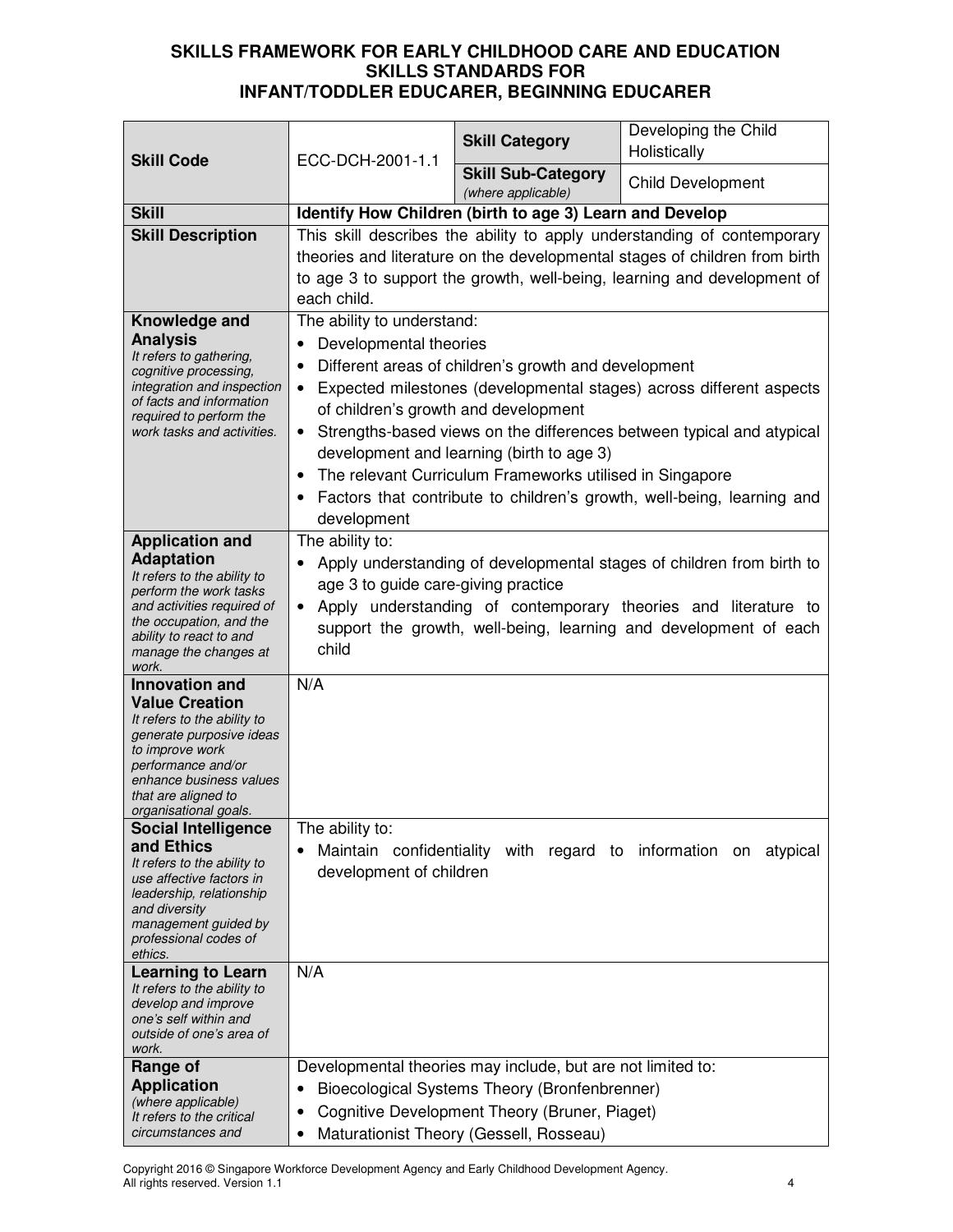| <b>Skill Code</b>                                                                                                                                                                                                             | ECC-DCH-2001-1.1                                                                                                                                                                                                                                                                            | <b>Skill Category</b>                                                                                                                                                                                    | Developing the Child<br>Holistically                                                                                                                                                                                             |
|-------------------------------------------------------------------------------------------------------------------------------------------------------------------------------------------------------------------------------|---------------------------------------------------------------------------------------------------------------------------------------------------------------------------------------------------------------------------------------------------------------------------------------------|----------------------------------------------------------------------------------------------------------------------------------------------------------------------------------------------------------|----------------------------------------------------------------------------------------------------------------------------------------------------------------------------------------------------------------------------------|
|                                                                                                                                                                                                                               |                                                                                                                                                                                                                                                                                             | <b>Skill Sub-Category</b><br>(where applicable)                                                                                                                                                          | <b>Child Development</b>                                                                                                                                                                                                         |
| <b>Skill</b>                                                                                                                                                                                                                  |                                                                                                                                                                                                                                                                                             | Identify How Children (birth to age 3) Learn and Develop                                                                                                                                                 |                                                                                                                                                                                                                                  |
| <b>Skill Description</b>                                                                                                                                                                                                      | each child.                                                                                                                                                                                                                                                                                 |                                                                                                                                                                                                          | This skill describes the ability to apply understanding of contemporary<br>theories and literature on the developmental stages of children from birth<br>to age 3 to support the growth, well-being, learning and development of |
| Knowledge and<br><b>Analysis</b><br>It refers to gathering,<br>cognitive processing,<br>integration and inspection<br>of facts and information<br>required to perform the<br>work tasks and activities.                       | The ability to understand:<br>Developmental theories<br>of children's growth and development<br>$\bullet$<br>٠<br>development                                                                                                                                                               | Different areas of children's growth and development<br>development and learning (birth to age 3)<br>The relevant Curriculum Frameworks utilised in Singapore                                            | Expected milestones (developmental stages) across different aspects<br>Strengths-based views on the differences between typical and atypical<br>Factors that contribute to children's growth, well-being, learning and           |
| <b>Application and</b><br><b>Adaptation</b><br>It refers to the ability to<br>perform the work tasks<br>and activities required of<br>the occupation, and the<br>ability to react to and<br>manage the changes at<br>work.    | The ability to:<br>Apply understanding of developmental stages of children from birth to<br>age 3 to guide care-giving practice<br>Apply understanding of contemporary theories and literature to<br>$\bullet$<br>support the growth, well-being, learning and development of each<br>child |                                                                                                                                                                                                          |                                                                                                                                                                                                                                  |
| <b>Innovation and</b><br><b>Value Creation</b><br>It refers to the ability to<br>generate purposive ideas<br>to improve work<br>performance and/or<br>enhance business values<br>that are aligned to<br>organisational goals. | N/A                                                                                                                                                                                                                                                                                         |                                                                                                                                                                                                          |                                                                                                                                                                                                                                  |
| <b>Social Intelligence</b><br>and Ethics<br>It refers to the ability to<br>use affective factors in<br>leadership, relationship<br>and diversity<br>management guided by<br>professional codes of<br>ethics.                  | The ability to:<br>Maintain confidentiality<br>development of children                                                                                                                                                                                                                      |                                                                                                                                                                                                          | with regard to information on atypical                                                                                                                                                                                           |
| <b>Learning to Learn</b><br>It refers to the ability to<br>develop and improve<br>one's self within and<br>outside of one's area of<br>work.                                                                                  | N/A                                                                                                                                                                                                                                                                                         |                                                                                                                                                                                                          |                                                                                                                                                                                                                                  |
| Range of<br><b>Application</b><br>(where applicable)<br>It refers to the critical<br>circumstances and                                                                                                                        | ٠                                                                                                                                                                                                                                                                                           | Developmental theories may include, but are not limited to:<br>Bioecological Systems Theory (Bronfenbrenner)<br>Cognitive Development Theory (Bruner, Piaget)<br>Maturationist Theory (Gessell, Rosseau) |                                                                                                                                                                                                                                  |

Copyright 2016 © Singapore Workforce Development Agency and Early Childhood Development Agency. All rights reserved. Version 1.1 4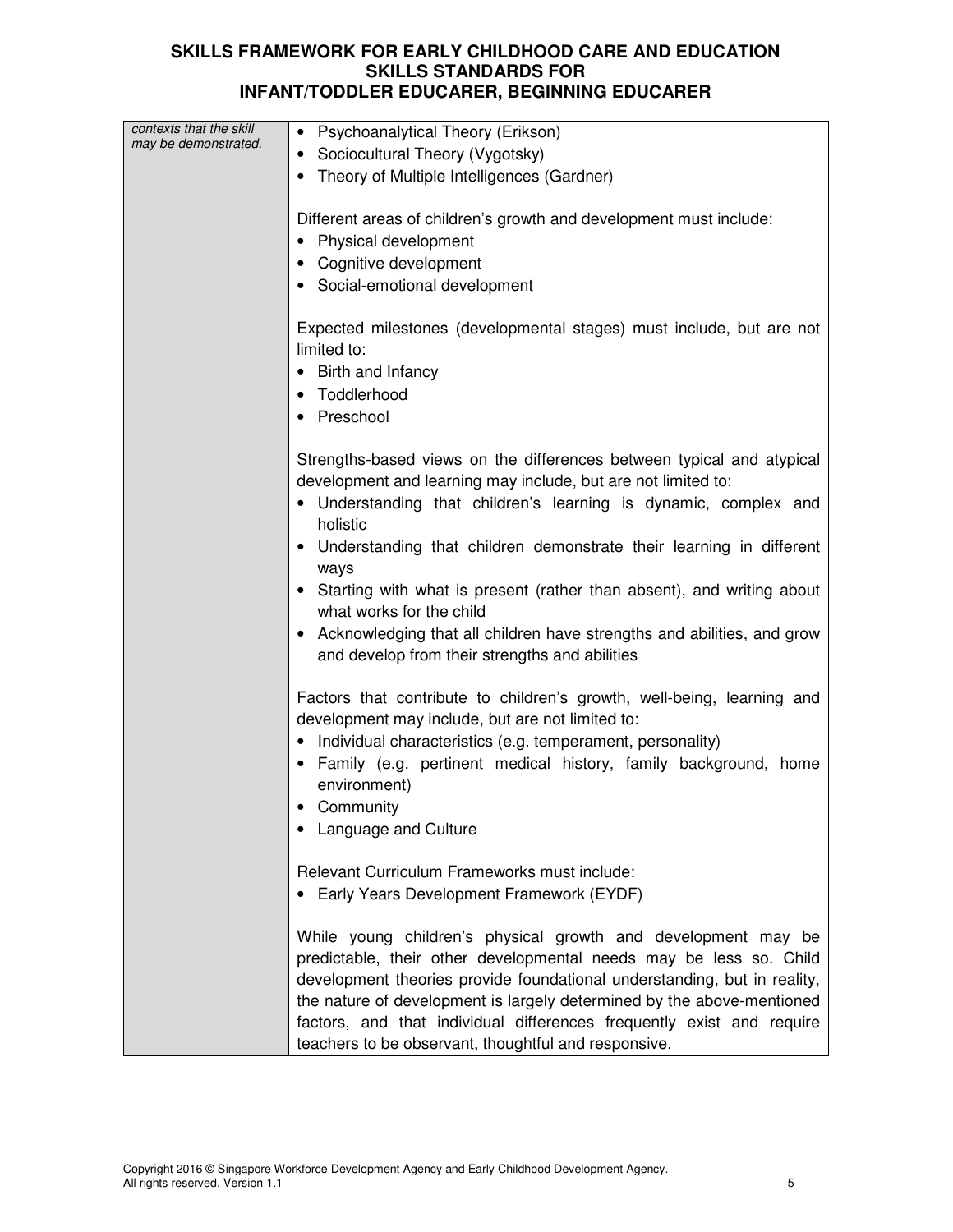| contexts that the skill | Psychoanalytical Theory (Erikson)<br>$\bullet$                                                                 |  |
|-------------------------|----------------------------------------------------------------------------------------------------------------|--|
| may be demonstrated.    | Sociocultural Theory (Vygotsky)<br>$\bullet$                                                                   |  |
|                         | Theory of Multiple Intelligences (Gardner)                                                                     |  |
|                         |                                                                                                                |  |
|                         | Different areas of children's growth and development must include:                                             |  |
|                         | Physical development                                                                                           |  |
|                         | Cognitive development                                                                                          |  |
|                         | Social-emotional development                                                                                   |  |
|                         |                                                                                                                |  |
|                         | Expected milestones (developmental stages) must include, but are not                                           |  |
|                         | limited to:                                                                                                    |  |
|                         | Birth and Infancy                                                                                              |  |
|                         | Toddlerhood                                                                                                    |  |
|                         | Preschool                                                                                                      |  |
|                         |                                                                                                                |  |
|                         | Strengths-based views on the differences between typical and atypical                                          |  |
|                         | development and learning may include, but are not limited to:                                                  |  |
|                         | Understanding that children's learning is dynamic, complex and                                                 |  |
|                         | holistic                                                                                                       |  |
|                         | Understanding that children demonstrate their learning in different                                            |  |
|                         | ways                                                                                                           |  |
|                         | Starting with what is present (rather than absent), and writing about                                          |  |
|                         | what works for the child                                                                                       |  |
|                         | Acknowledging that all children have strengths and abilities, and grow                                         |  |
|                         | and develop from their strengths and abilities                                                                 |  |
|                         |                                                                                                                |  |
|                         | Factors that contribute to children's growth, well-being, learning and                                         |  |
|                         | development may include, but are not limited to:<br>Individual characteristics (e.g. temperament, personality) |  |
|                         | Family (e.g. pertinent medical history, family background, home                                                |  |
|                         | environment)                                                                                                   |  |
|                         | Community                                                                                                      |  |
|                         | Language and Culture                                                                                           |  |
|                         |                                                                                                                |  |
|                         | Relevant Curriculum Frameworks must include:                                                                   |  |
|                         | Early Years Development Framework (EYDF)                                                                       |  |
|                         |                                                                                                                |  |
|                         | While young children's physical growth and development may be                                                  |  |
|                         | predictable, their other developmental needs may be less so. Child                                             |  |
|                         | development theories provide foundational understanding, but in reality,                                       |  |
|                         | the nature of development is largely determined by the above-mentioned                                         |  |
|                         | factors, and that individual differences frequently exist and require                                          |  |
|                         | teachers to be observant, thoughtful and responsive.                                                           |  |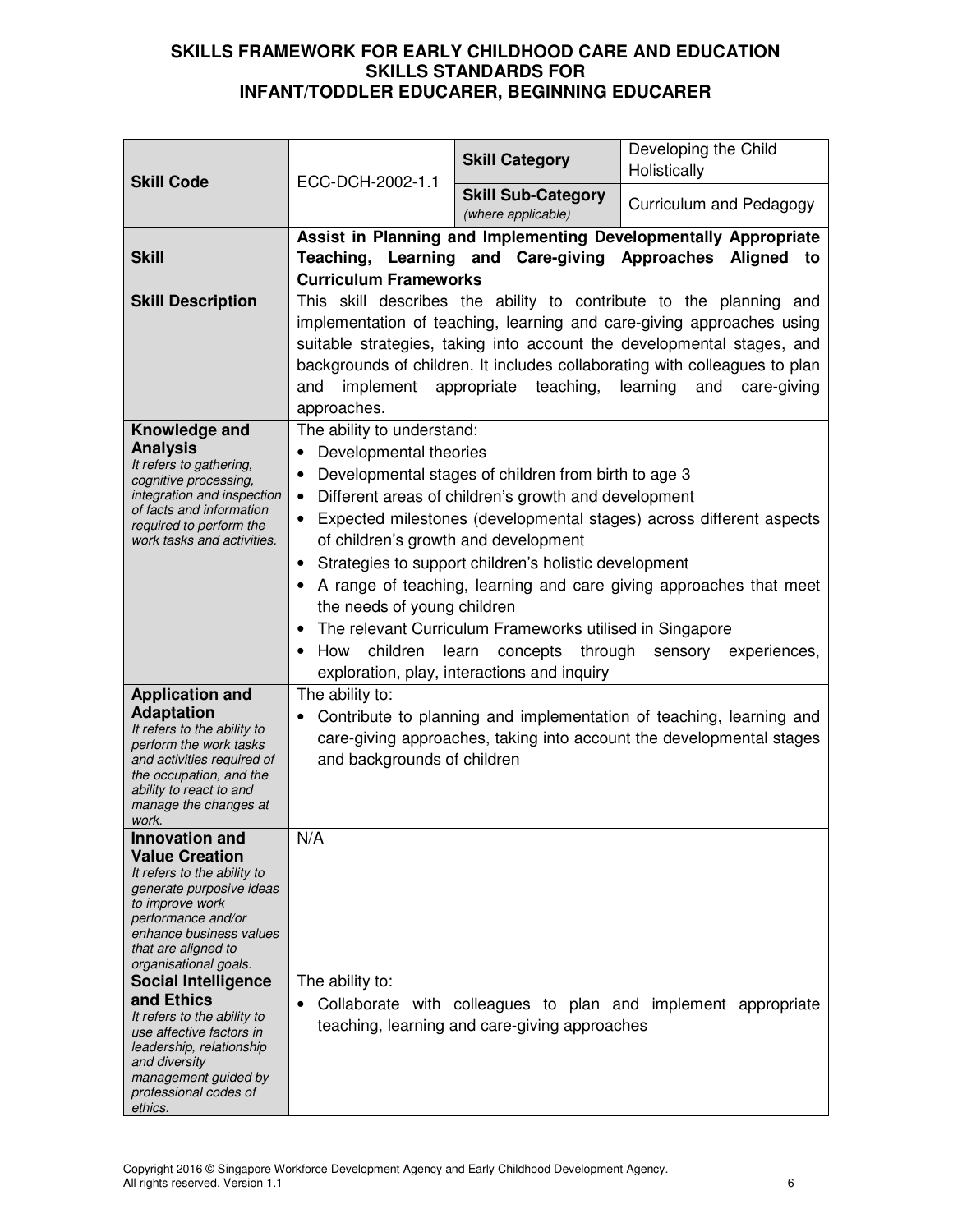| <b>Skill Code</b>                                                                                                                                                                                                             | ECC-DCH-2002-1.1                                                                                                                                                                                                                                                                                                                                                                            | <b>Skill Category</b>                                                                                                                                                                                                                                                                                      | Developing the Child<br>Holistically                                                                                                                              |
|-------------------------------------------------------------------------------------------------------------------------------------------------------------------------------------------------------------------------------|---------------------------------------------------------------------------------------------------------------------------------------------------------------------------------------------------------------------------------------------------------------------------------------------------------------------------------------------------------------------------------------------|------------------------------------------------------------------------------------------------------------------------------------------------------------------------------------------------------------------------------------------------------------------------------------------------------------|-------------------------------------------------------------------------------------------------------------------------------------------------------------------|
|                                                                                                                                                                                                                               |                                                                                                                                                                                                                                                                                                                                                                                             | <b>Skill Sub-Category</b><br>(where applicable)                                                                                                                                                                                                                                                            | Curriculum and Pedagogy                                                                                                                                           |
| <b>Skill</b>                                                                                                                                                                                                                  | <b>Curriculum Frameworks</b>                                                                                                                                                                                                                                                                                                                                                                |                                                                                                                                                                                                                                                                                                            | <b>Assist in Planning and Implementing Developmentally Appropriate</b><br>Teaching, Learning and Care-giving Approaches Aligned to                                |
| <b>Skill Description</b>                                                                                                                                                                                                      | This skill describes the ability to contribute to the planning and<br>implementation of teaching, learning and care-giving approaches using<br>suitable strategies, taking into account the developmental stages, and<br>backgrounds of children. It includes collaborating with colleagues to plan<br>implement appropriate teaching, learning<br>and<br>and<br>care-giving<br>approaches. |                                                                                                                                                                                                                                                                                                            |                                                                                                                                                                   |
| Knowledge and<br><b>Analysis</b><br>It refers to gathering,<br>cognitive processing,<br>integration and inspection<br>of facts and information<br>required to perform the<br>work tasks and activities.                       | The ability to understand:<br>Developmental theories<br>٠<br>٠<br>$\bullet$<br>of children's growth and development<br>٠<br>the needs of young children<br>٠<br>children<br>How                                                                                                                                                                                                             | Developmental stages of children from birth to age 3<br>Different areas of children's growth and development<br>Strategies to support children's holistic development<br>The relevant Curriculum Frameworks utilised in Singapore<br>learn concepts through<br>exploration, play, interactions and inquiry | Expected milestones (developmental stages) across different aspects<br>A range of teaching, learning and care giving approaches that meet<br>sensory experiences, |
| <b>Application and</b><br><b>Adaptation</b><br>It refers to the ability to<br>perform the work tasks<br>and activities required of<br>the occupation, and the<br>ability to react to and<br>manage the changes at<br>work.    | The ability to:<br>and backgrounds of children                                                                                                                                                                                                                                                                                                                                              |                                                                                                                                                                                                                                                                                                            | Contribute to planning and implementation of teaching, learning and<br>care-giving approaches, taking into account the developmental stages                       |
| <b>Innovation and</b><br><b>Value Creation</b><br>It refers to the ability to<br>generate purposive ideas<br>to improve work<br>performance and/or<br>enhance business values<br>that are aligned to<br>organisational goals. | N/A                                                                                                                                                                                                                                                                                                                                                                                         |                                                                                                                                                                                                                                                                                                            |                                                                                                                                                                   |
| <b>Social Intelligence</b><br>and Ethics<br>It refers to the ability to<br>use affective factors in<br>leadership, relationship<br>and diversity<br>management guided by<br>professional codes of<br>ethics.                  | The ability to:                                                                                                                                                                                                                                                                                                                                                                             | teaching, learning and care-giving approaches                                                                                                                                                                                                                                                              | Collaborate with colleagues to plan and implement appropriate                                                                                                     |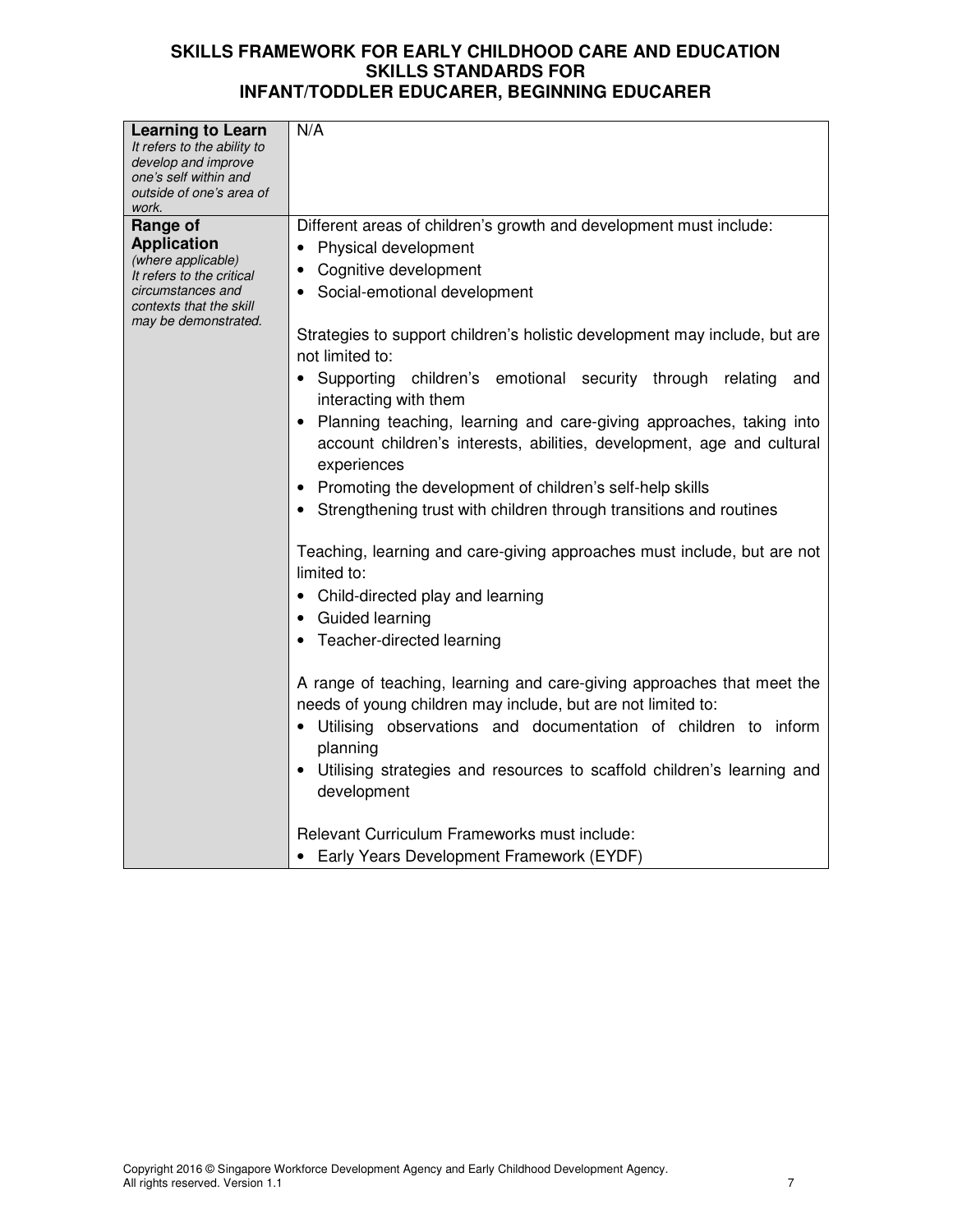| <b>Learning to Learn</b>                                               | N/A                                                                                                                                    |
|------------------------------------------------------------------------|----------------------------------------------------------------------------------------------------------------------------------------|
| It refers to the ability to                                            |                                                                                                                                        |
| develop and improve                                                    |                                                                                                                                        |
| one's self within and                                                  |                                                                                                                                        |
| outside of one's area of<br>work.                                      |                                                                                                                                        |
| Range of                                                               | Different areas of children's growth and development must include:                                                                     |
| <b>Application</b>                                                     | Physical development                                                                                                                   |
| (where applicable)                                                     | Cognitive development                                                                                                                  |
| It refers to the critical                                              |                                                                                                                                        |
| circumstances and<br>contexts that the skill<br>may be demonstrated.   | Social-emotional development                                                                                                           |
|                                                                        | Strategies to support children's holistic development may include, but are<br>not limited to:                                          |
|                                                                        | • Supporting<br>children's emotional security through relating<br>and<br>interacting with them                                         |
|                                                                        | Planning teaching, learning and care-giving approaches, taking into                                                                    |
|                                                                        | account children's interests, abilities, development, age and cultural                                                                 |
|                                                                        | experiences                                                                                                                            |
|                                                                        | • Promoting the development of children's self-help skills                                                                             |
|                                                                        | Strengthening trust with children through transitions and routines                                                                     |
|                                                                        |                                                                                                                                        |
|                                                                        | Teaching, learning and care-giving approaches must include, but are not<br>limited to:                                                 |
|                                                                        | • Child-directed play and learning                                                                                                     |
|                                                                        | • Guided learning                                                                                                                      |
|                                                                        | Teacher-directed learning                                                                                                              |
|                                                                        |                                                                                                                                        |
|                                                                        | A range of teaching, learning and care-giving approaches that meet the<br>needs of young children may include, but are not limited to: |
|                                                                        | Utilising observations and documentation of children to inform                                                                         |
|                                                                        | planning                                                                                                                               |
| Utilising strategies and resources to scaffold children's learning and |                                                                                                                                        |
|                                                                        | development                                                                                                                            |
|                                                                        |                                                                                                                                        |
|                                                                        | Relevant Curriculum Frameworks must include:                                                                                           |
|                                                                        | Early Years Development Framework (EYDF)                                                                                               |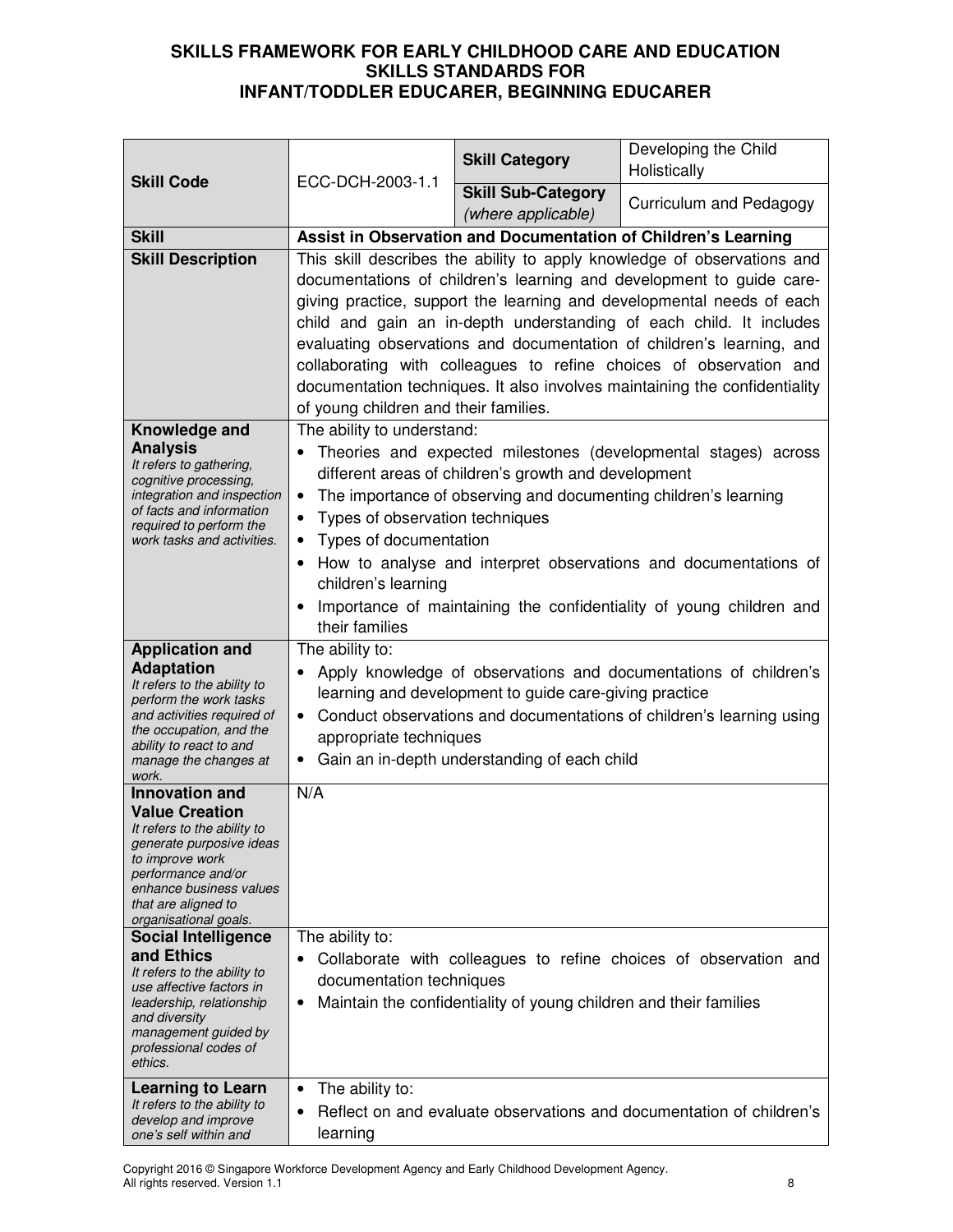| <b>Skill Code</b>                                                                                                                                                                                                                                                                                                                                                                                                                             | ECC-DCH-2003-1.1                                                                                                                                                                                                                                                                                                                                                                                                                                                                                                                                                      | <b>Skill Category</b>                                             | Developing the Child<br>Holistically                                 |
|-----------------------------------------------------------------------------------------------------------------------------------------------------------------------------------------------------------------------------------------------------------------------------------------------------------------------------------------------------------------------------------------------------------------------------------------------|-----------------------------------------------------------------------------------------------------------------------------------------------------------------------------------------------------------------------------------------------------------------------------------------------------------------------------------------------------------------------------------------------------------------------------------------------------------------------------------------------------------------------------------------------------------------------|-------------------------------------------------------------------|----------------------------------------------------------------------|
|                                                                                                                                                                                                                                                                                                                                                                                                                                               |                                                                                                                                                                                                                                                                                                                                                                                                                                                                                                                                                                       | <b>Skill Sub-Category</b><br>(where applicable)                   | Curriculum and Pedagogy                                              |
| <b>Skill</b>                                                                                                                                                                                                                                                                                                                                                                                                                                  |                                                                                                                                                                                                                                                                                                                                                                                                                                                                                                                                                                       |                                                                   | Assist in Observation and Documentation of Children's Learning       |
| <b>Skill Description</b>                                                                                                                                                                                                                                                                                                                                                                                                                      | This skill describes the ability to apply knowledge of observations and<br>documentations of children's learning and development to guide care-<br>giving practice, support the learning and developmental needs of each<br>child and gain an in-depth understanding of each child. It includes<br>evaluating observations and documentation of children's learning, and<br>collaborating with colleagues to refine choices of observation and<br>documentation techniques. It also involves maintaining the confidentiality<br>of young children and their families. |                                                                   |                                                                      |
| Knowledge and<br><b>Analysis</b><br>It refers to gathering,<br>cognitive processing,<br>integration and inspection<br>of facts and information<br>required to perform the<br>work tasks and activities.                                                                                                                                                                                                                                       | The ability to understand:<br>Theories and expected milestones (developmental stages) across<br>different areas of children's growth and development<br>The importance of observing and documenting children's learning<br>$\bullet$<br>Types of observation techniques<br>$\bullet$<br>Types of documentation<br>$\bullet$<br>How to analyse and interpret observations and documentations of<br>$\bullet$<br>children's learning<br>Importance of maintaining the confidentiality of young children and<br>$\bullet$<br>their families                              |                                                                   |                                                                      |
| <b>Application and</b><br><b>Adaptation</b><br>It refers to the ability to<br>perform the work tasks<br>and activities required of<br>the occupation, and the<br>ability to react to and<br>manage the changes at<br>work.                                                                                                                                                                                                                    | The ability to:<br>Apply knowledge of observations and documentations of children's<br>$\bullet$<br>learning and development to guide care-giving practice<br>Conduct observations and documentations of children's learning using<br>$\bullet$<br>appropriate techniques<br>Gain an in-depth understanding of each child<br>٠                                                                                                                                                                                                                                        |                                                                   |                                                                      |
| <b>Innovation and</b><br><b>Value Creation</b><br>It refers to the ability to<br>generate purposive ideas<br>to improve work<br>performance and/or<br>enhance business values<br>that are aligned to<br>organisational goals.<br><b>Social Intelligence</b><br>and Ethics<br>It refers to the ability to<br>use affective factors in<br>leadership, relationship<br>and diversity<br>management guided by<br>professional codes of<br>ethics. | N/A<br>The ability to:<br>documentation techniques<br>٠                                                                                                                                                                                                                                                                                                                                                                                                                                                                                                               | Maintain the confidentiality of young children and their families | Collaborate with colleagues to refine choices of observation and     |
| <b>Learning to Learn</b><br>It refers to the ability to<br>develop and improve<br>one's self within and                                                                                                                                                                                                                                                                                                                                       | The ability to:<br>$\bullet$<br>$\bullet$<br>learning                                                                                                                                                                                                                                                                                                                                                                                                                                                                                                                 |                                                                   | Reflect on and evaluate observations and documentation of children's |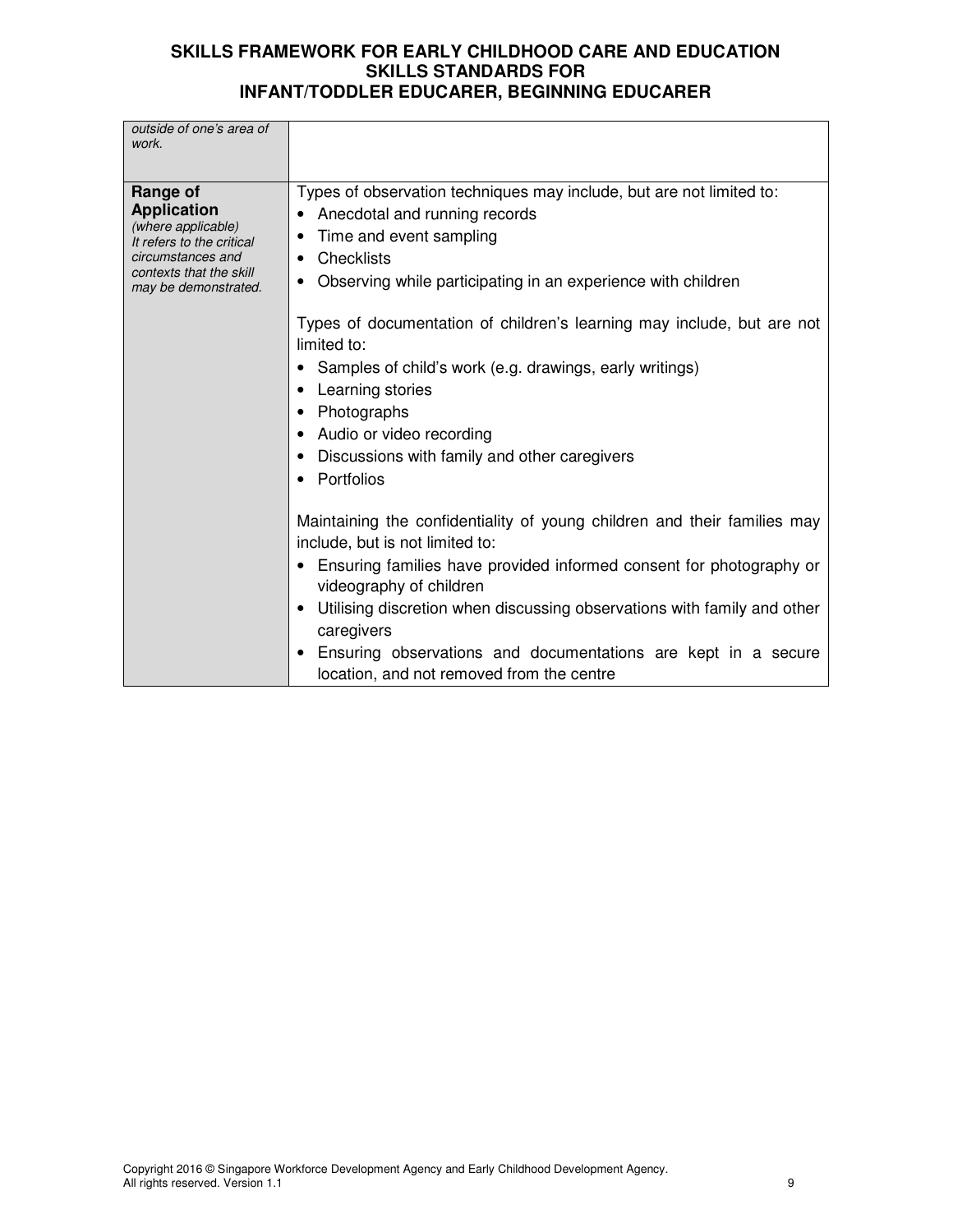| Types of observation techniques may include, but are not limited to:<br>Range of<br><b>Application</b><br>Anecdotal and running records<br>(where applicable)<br>Time and event sampling<br>It refers to the critical<br>circumstances and<br>• Checklists<br>contexts that the skill<br>Observing while participating in an experience with children<br>may be demonstrated.<br>Types of documentation of children's learning may include, but are not<br>limited to:<br>Samples of child's work (e.g. drawings, early writings)<br>Learning stories<br>Photographs<br>Audio or video recording<br>Discussions with family and other caregivers<br>• Portfolios<br>Maintaining the confidentiality of young children and their families may<br>include, but is not limited to:<br>• Ensuring families have provided informed consent for photography or<br>videography of children<br>Utilising discretion when discussing observations with family and other<br>caregivers<br>Ensuring observations and documentations are kept in a secure<br>location, and not removed from the centre | outside of one's area of<br>work. |  |
|--------------------------------------------------------------------------------------------------------------------------------------------------------------------------------------------------------------------------------------------------------------------------------------------------------------------------------------------------------------------------------------------------------------------------------------------------------------------------------------------------------------------------------------------------------------------------------------------------------------------------------------------------------------------------------------------------------------------------------------------------------------------------------------------------------------------------------------------------------------------------------------------------------------------------------------------------------------------------------------------------------------------------------------------------------------------------------------------|-----------------------------------|--|
|                                                                                                                                                                                                                                                                                                                                                                                                                                                                                                                                                                                                                                                                                                                                                                                                                                                                                                                                                                                                                                                                                            |                                   |  |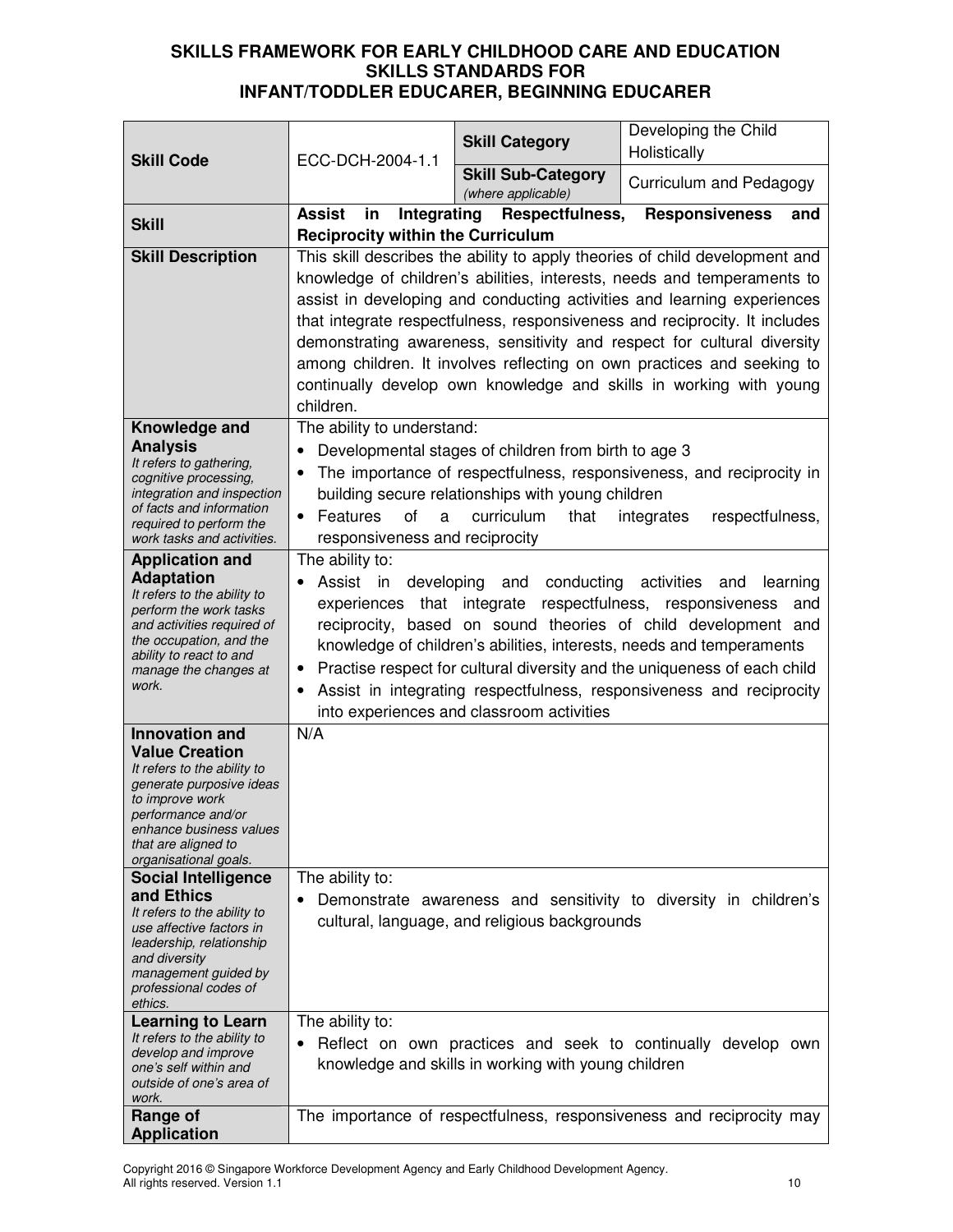| <b>Skill Code</b>                                                                                                                                                                                                             | ECC-DCH-2004-1.1                                                                                                                                                                                                                                                                                                                                                                                                                                                                                                                                        | <b>Skill Category</b>                                                                                                           | Developing the Child<br>Holistically                                                                                                                                                                                                                                                                                              |
|-------------------------------------------------------------------------------------------------------------------------------------------------------------------------------------------------------------------------------|---------------------------------------------------------------------------------------------------------------------------------------------------------------------------------------------------------------------------------------------------------------------------------------------------------------------------------------------------------------------------------------------------------------------------------------------------------------------------------------------------------------------------------------------------------|---------------------------------------------------------------------------------------------------------------------------------|-----------------------------------------------------------------------------------------------------------------------------------------------------------------------------------------------------------------------------------------------------------------------------------------------------------------------------------|
|                                                                                                                                                                                                                               |                                                                                                                                                                                                                                                                                                                                                                                                                                                                                                                                                         | <b>Skill Sub-Category</b><br>(where applicable)                                                                                 | Curriculum and Pedagogy                                                                                                                                                                                                                                                                                                           |
| <b>Skill</b>                                                                                                                                                                                                                  | <b>Assist</b><br>Integrating<br>in<br><b>Reciprocity within the Curriculum</b>                                                                                                                                                                                                                                                                                                                                                                                                                                                                          | Respectfulness,                                                                                                                 | <b>Responsiveness</b><br>and                                                                                                                                                                                                                                                                                                      |
| <b>Skill Description</b>                                                                                                                                                                                                      | This skill describes the ability to apply theories of child development and<br>knowledge of children's abilities, interests, needs and temperaments to<br>assist in developing and conducting activities and learning experiences<br>that integrate respectfulness, responsiveness and reciprocity. It includes<br>demonstrating awareness, sensitivity and respect for cultural diversity<br>among children. It involves reflecting on own practices and seeking to<br>continually develop own knowledge and skills in working with young<br>children. |                                                                                                                                 |                                                                                                                                                                                                                                                                                                                                   |
| Knowledge and<br><b>Analysis</b><br>It refers to gathering,<br>cognitive processing,<br>integration and inspection<br>of facts and information<br>required to perform the<br>work tasks and activities.                       | The ability to understand:<br>of<br>Features<br>a<br>$\bullet$<br>responsiveness and reciprocity                                                                                                                                                                                                                                                                                                                                                                                                                                                        | Developmental stages of children from birth to age 3<br>building secure relationships with young children<br>curriculum<br>that | The importance of respectfulness, responsiveness, and reciprocity in<br>respectfulness,<br>integrates                                                                                                                                                                                                                             |
| <b>Application and</b><br><b>Adaptation</b><br>It refers to the ability to<br>perform the work tasks<br>and activities required of<br>the occupation, and the<br>ability to react to and<br>manage the changes at<br>work.    | The ability to:<br>Assist in developing                                                                                                                                                                                                                                                                                                                                                                                                                                                                                                                 | and conducting<br>experiences that integrate respectfulness, responsiveness<br>into experiences and classroom activities        | activities<br>learning<br>and<br>and<br>reciprocity, based on sound theories of child development and<br>knowledge of children's abilities, interests, needs and temperaments<br>Practise respect for cultural diversity and the uniqueness of each child<br>Assist in integrating respectfulness, responsiveness and reciprocity |
| <b>Innovation and</b><br><b>Value Creation</b><br>It refers to the ability to<br>generate purposive ideas<br>to improve work<br>nerformance and/or<br>enhance business values<br>that are aligned to<br>organisational goals. | N/A                                                                                                                                                                                                                                                                                                                                                                                                                                                                                                                                                     |                                                                                                                                 |                                                                                                                                                                                                                                                                                                                                   |
| <b>Social Intelligence</b><br>and Ethics<br>It refers to the ability to<br>use affective factors in<br>leadership, relationship<br>and diversity<br>management guided by<br>professional codes of<br>ethics.                  | The ability to:                                                                                                                                                                                                                                                                                                                                                                                                                                                                                                                                         | cultural, language, and religious backgrounds                                                                                   | Demonstrate awareness and sensitivity to diversity in children's                                                                                                                                                                                                                                                                  |
| <b>Learning to Learn</b><br>It refers to the ability to<br>develop and improve<br>one's self within and<br>outside of one's area of<br>work.                                                                                  | The ability to:                                                                                                                                                                                                                                                                                                                                                                                                                                                                                                                                         | knowledge and skills in working with young children                                                                             | Reflect on own practices and seek to continually develop own                                                                                                                                                                                                                                                                      |
| Range of<br><b>Application</b>                                                                                                                                                                                                |                                                                                                                                                                                                                                                                                                                                                                                                                                                                                                                                                         |                                                                                                                                 | The importance of respectfulness, responsiveness and reciprocity may                                                                                                                                                                                                                                                              |

Copyright 2016 © Singapore Workforce Development Agency and Early Childhood Development Agency. All rights reserved. Version 1.1 10 and 200 and 200 and 200 and 200 and 200 and 200 and 200 and 200 and 200 and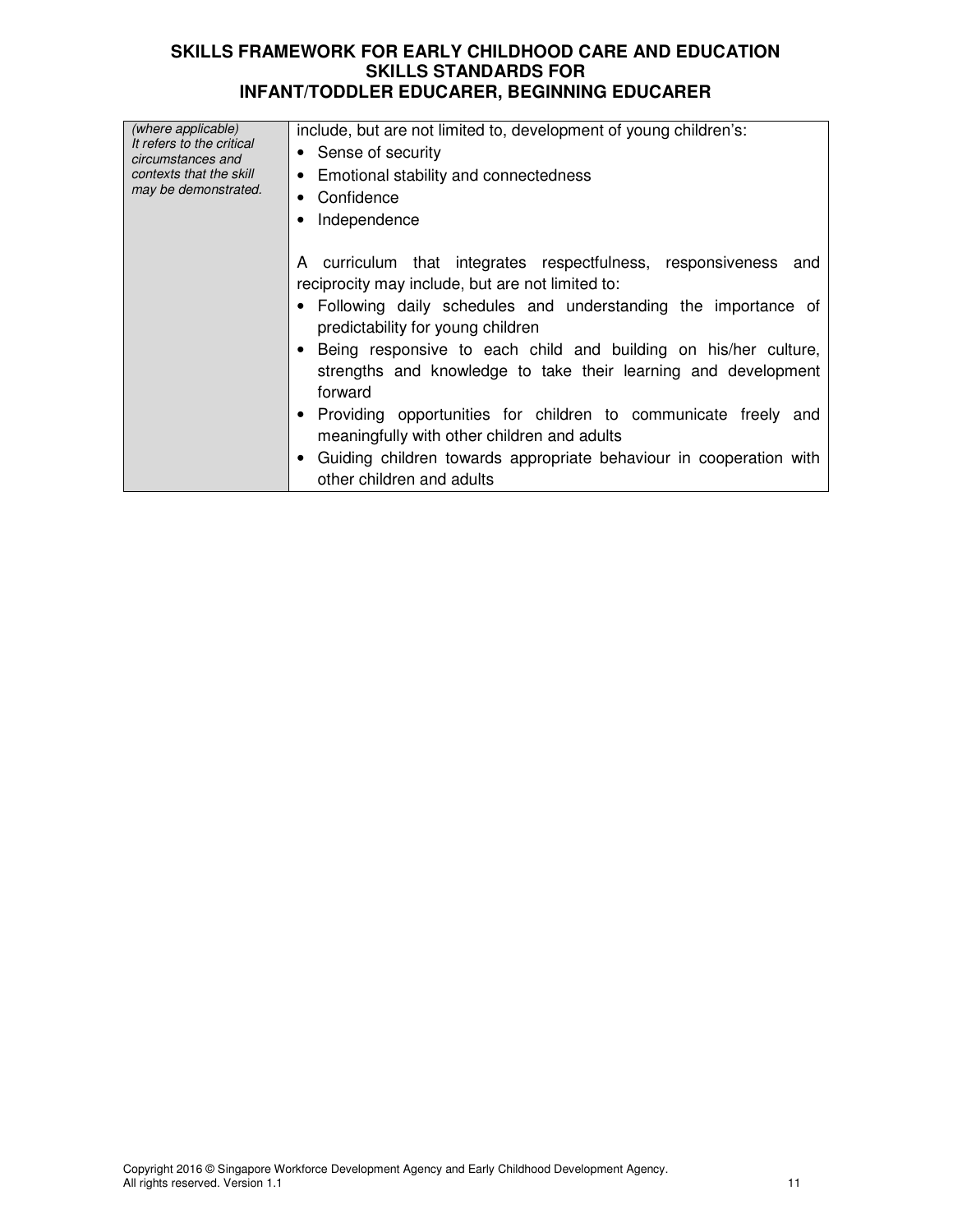| (where applicable)<br>It refers to the critical | include, but are not limited to, development of young children's:  |
|-------------------------------------------------|--------------------------------------------------------------------|
| circumstances and                               | • Sense of security                                                |
| contexts that the skill                         | • Emotional stability and connectedness                            |
| may be demonstrated.                            | Confidence<br>٠                                                    |
|                                                 | Independence                                                       |
|                                                 |                                                                    |
|                                                 |                                                                    |
|                                                 | A curriculum that integrates respectfulness, responsiveness and    |
|                                                 | reciprocity may include, but are not limited to:                   |
|                                                 | • Following daily schedules and understanding the importance of    |
|                                                 | predictability for young children                                  |
|                                                 | Being responsive to each child and building on his/her culture,    |
|                                                 | strengths and knowledge to take their learning and development     |
|                                                 | forward                                                            |
|                                                 | Providing opportunities for children to communicate freely and     |
|                                                 |                                                                    |
|                                                 | meaningfully with other children and adults                        |
|                                                 | Guiding children towards appropriate behaviour in cooperation with |
|                                                 | other children and adults                                          |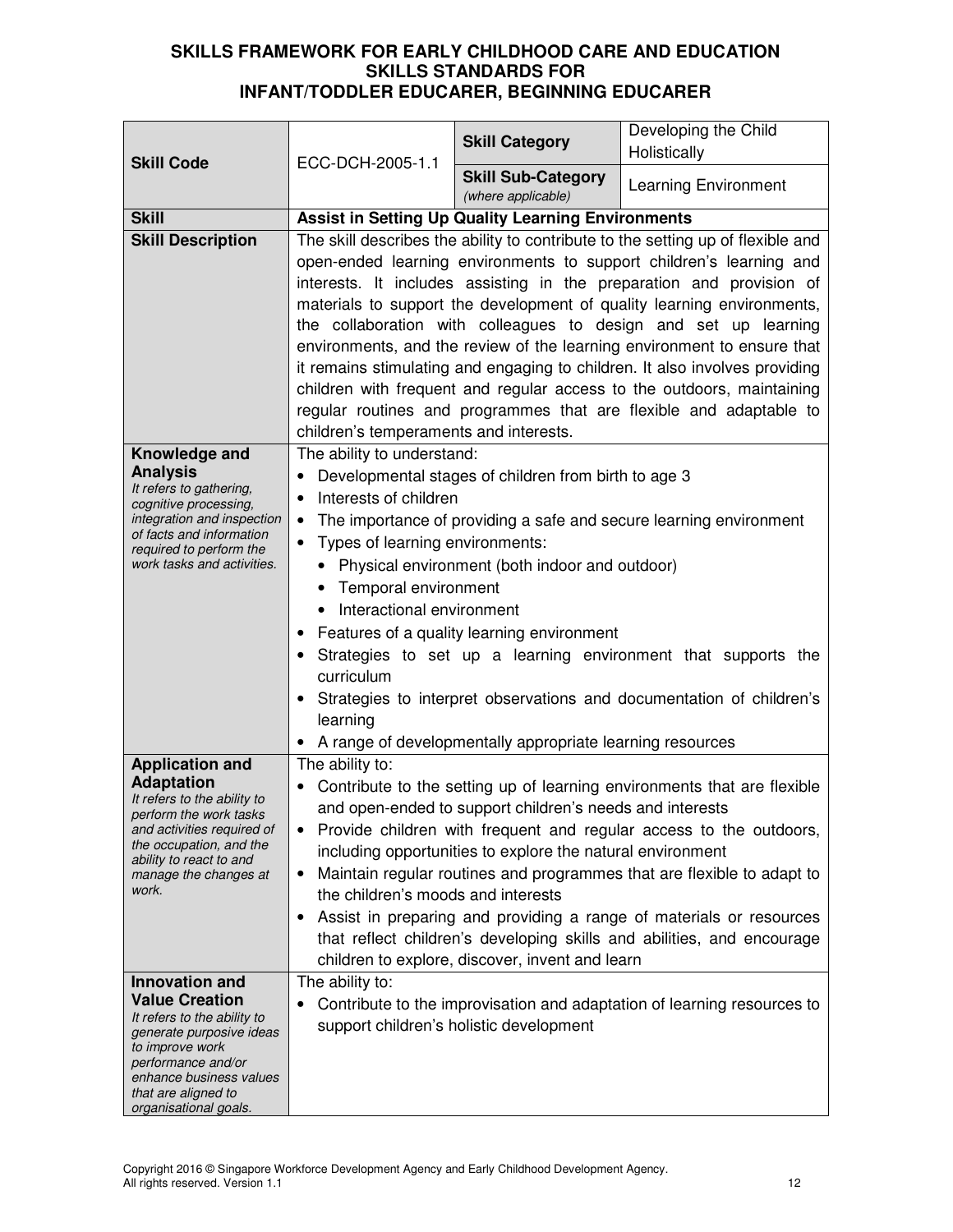| <b>Skill Code</b>                                       | ECC-DCH-2005-1.1                                                                                                                                 | <b>Skill Category</b>                                     | Developing the Child<br>Holistically                                            |
|---------------------------------------------------------|--------------------------------------------------------------------------------------------------------------------------------------------------|-----------------------------------------------------------|---------------------------------------------------------------------------------|
|                                                         |                                                                                                                                                  | <b>Skill Sub-Category</b><br>(where applicable)           | <b>Learning Environment</b>                                                     |
| <b>Skill</b>                                            |                                                                                                                                                  | <b>Assist in Setting Up Quality Learning Environments</b> |                                                                                 |
| <b>Skill Description</b>                                |                                                                                                                                                  |                                                           | The skill describes the ability to contribute to the setting up of flexible and |
|                                                         |                                                                                                                                                  |                                                           | open-ended learning environments to support children's learning and             |
|                                                         |                                                                                                                                                  |                                                           | interests. It includes assisting in the preparation and provision of            |
|                                                         |                                                                                                                                                  |                                                           | materials to support the development of quality learning environments,          |
|                                                         |                                                                                                                                                  |                                                           | the collaboration with colleagues to design and set up learning                 |
|                                                         |                                                                                                                                                  |                                                           | environments, and the review of the learning environment to ensure that         |
|                                                         |                                                                                                                                                  |                                                           | it remains stimulating and engaging to children. It also involves providing     |
|                                                         |                                                                                                                                                  |                                                           | children with frequent and regular access to the outdoors, maintaining          |
|                                                         |                                                                                                                                                  |                                                           | regular routines and programmes that are flexible and adaptable to              |
|                                                         | children's temperaments and interests.                                                                                                           |                                                           |                                                                                 |
| Knowledge and                                           | The ability to understand:                                                                                                                       |                                                           |                                                                                 |
| <b>Analysis</b><br>It refers to gathering,              |                                                                                                                                                  | Developmental stages of children from birth to age 3      |                                                                                 |
| cognitive processing,                                   | Interests of children<br>$\bullet$                                                                                                               |                                                           |                                                                                 |
| integration and inspection<br>of facts and information  |                                                                                                                                                  |                                                           | The importance of providing a safe and secure learning environment              |
| required to perform the                                 | Types of learning environments:                                                                                                                  |                                                           |                                                                                 |
| work tasks and activities.                              |                                                                                                                                                  | Physical environment (both indoor and outdoor)            |                                                                                 |
|                                                         | • Temporal environment                                                                                                                           |                                                           |                                                                                 |
|                                                         | Interactional environment                                                                                                                        |                                                           |                                                                                 |
|                                                         | Features of a quality learning environment                                                                                                       |                                                           |                                                                                 |
|                                                         | Strategies to set up a learning environment that supports the                                                                                    |                                                           |                                                                                 |
|                                                         | curriculum                                                                                                                                       |                                                           |                                                                                 |
|                                                         |                                                                                                                                                  |                                                           | Strategies to interpret observations and documentation of children's            |
|                                                         | learning                                                                                                                                         |                                                           |                                                                                 |
|                                                         | The ability to:                                                                                                                                  | A range of developmentally appropriate learning resources |                                                                                 |
| <b>Application and</b><br><b>Adaptation</b>             |                                                                                                                                                  |                                                           |                                                                                 |
| It refers to the ability to                             | Contribute to the setting up of learning environments that are flexible<br>$\bullet$<br>and open-ended to support children's needs and interests |                                                           |                                                                                 |
| perform the work tasks<br>and activities required of    | Provide children with frequent and regular access to the outdoors,                                                                               |                                                           |                                                                                 |
| the occupation, and the                                 | including opportunities to explore the natural environment                                                                                       |                                                           |                                                                                 |
| ability to react to and<br>manage the changes at        | Maintain regular routines and programmes that are flexible to adapt to<br>$\bullet$                                                              |                                                           |                                                                                 |
| work.                                                   | the children's moods and interests                                                                                                               |                                                           |                                                                                 |
|                                                         |                                                                                                                                                  |                                                           | Assist in preparing and providing a range of materials or resources             |
|                                                         |                                                                                                                                                  |                                                           | that reflect children's developing skills and abilities, and encourage          |
|                                                         |                                                                                                                                                  | children to explore, discover, invent and learn           |                                                                                 |
| <b>Innovation and</b>                                   | The ability to:                                                                                                                                  |                                                           |                                                                                 |
| <b>Value Creation</b>                                   |                                                                                                                                                  |                                                           | Contribute to the improvisation and adaptation of learning resources to         |
| It refers to the ability to<br>generate purposive ideas |                                                                                                                                                  | support children's holistic development                   |                                                                                 |
| to improve work                                         |                                                                                                                                                  |                                                           |                                                                                 |
| performance and/or<br>enhance business values           |                                                                                                                                                  |                                                           |                                                                                 |
| that are aligned to                                     |                                                                                                                                                  |                                                           |                                                                                 |
| organisational goals.                                   |                                                                                                                                                  |                                                           |                                                                                 |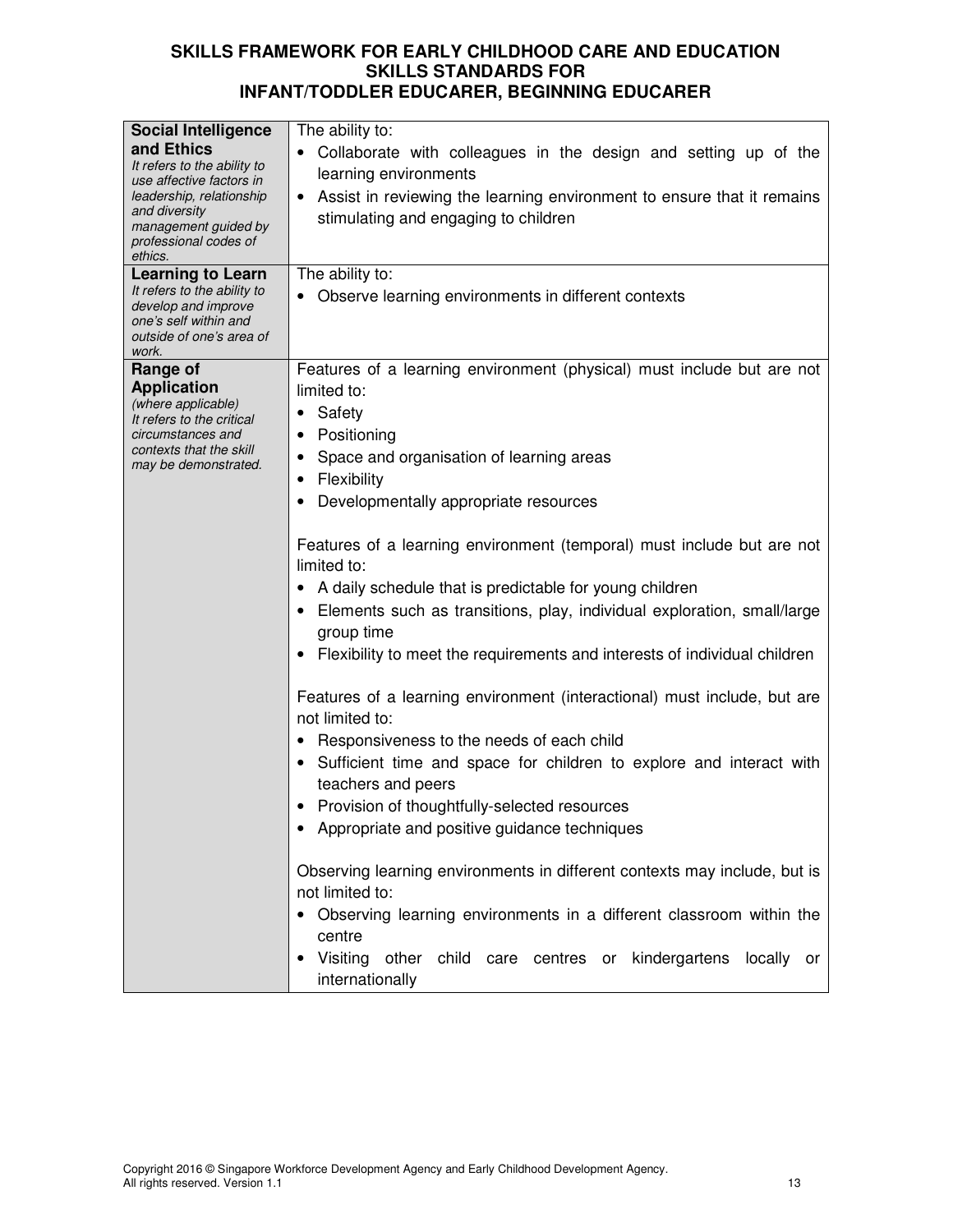| <b>Social Intelligence</b>                              | The ability to:                                                                                       |  |  |
|---------------------------------------------------------|-------------------------------------------------------------------------------------------------------|--|--|
| and Ethics                                              | Collaborate with colleagues in the design and setting up of the                                       |  |  |
| It refers to the ability to                             | learning environments                                                                                 |  |  |
| use affective factors in                                |                                                                                                       |  |  |
| leadership, relationship<br>and diversity               | Assist in reviewing the learning environment to ensure that it remains                                |  |  |
| management guided by                                    | stimulating and engaging to children                                                                  |  |  |
| professional codes of                                   |                                                                                                       |  |  |
| ethics.                                                 | The ability to:                                                                                       |  |  |
| <b>Learning to Learn</b><br>It refers to the ability to |                                                                                                       |  |  |
| develop and improve                                     | Observe learning environments in different contexts                                                   |  |  |
| one's self within and                                   |                                                                                                       |  |  |
| outside of one's area of<br>work.                       |                                                                                                       |  |  |
| Range of                                                | Features of a learning environment (physical) must include but are not                                |  |  |
| <b>Application</b>                                      | limited to:                                                                                           |  |  |
| (where applicable)                                      | Safety<br>$\bullet$                                                                                   |  |  |
| It refers to the critical                               |                                                                                                       |  |  |
| circumstances and<br>contexts that the skill            | Positioning<br>$\bullet$                                                                              |  |  |
| may be demonstrated.                                    | Space and organisation of learning areas                                                              |  |  |
|                                                         | Flexibility<br>$\bullet$                                                                              |  |  |
|                                                         | Developmentally appropriate resources                                                                 |  |  |
|                                                         | Features of a learning environment (temporal) must include but are not<br>limited to:                 |  |  |
|                                                         | A daily schedule that is predictable for young children                                               |  |  |
|                                                         | Elements such as transitions, play, individual exploration, small/large<br>group time                 |  |  |
|                                                         | Flexibility to meet the requirements and interests of individual children                             |  |  |
|                                                         | Features of a learning environment (interactional) must include, but are<br>not limited to:           |  |  |
|                                                         | Responsiveness to the needs of each child                                                             |  |  |
|                                                         | Sufficient time and space for children to explore and interact with                                   |  |  |
|                                                         | teachers and peers                                                                                    |  |  |
|                                                         | Provision of thoughtfully-selected resources                                                          |  |  |
|                                                         | Appropriate and positive guidance techniques                                                          |  |  |
|                                                         |                                                                                                       |  |  |
|                                                         | Observing learning environments in different contexts may include, but is                             |  |  |
|                                                         | not limited to:                                                                                       |  |  |
|                                                         |                                                                                                       |  |  |
|                                                         | Observing learning environments in a different classroom within the                                   |  |  |
|                                                         | centre                                                                                                |  |  |
|                                                         | Visiting<br>kindergartens<br>other<br>child<br>care centres<br>locally<br>or<br>or<br>internationally |  |  |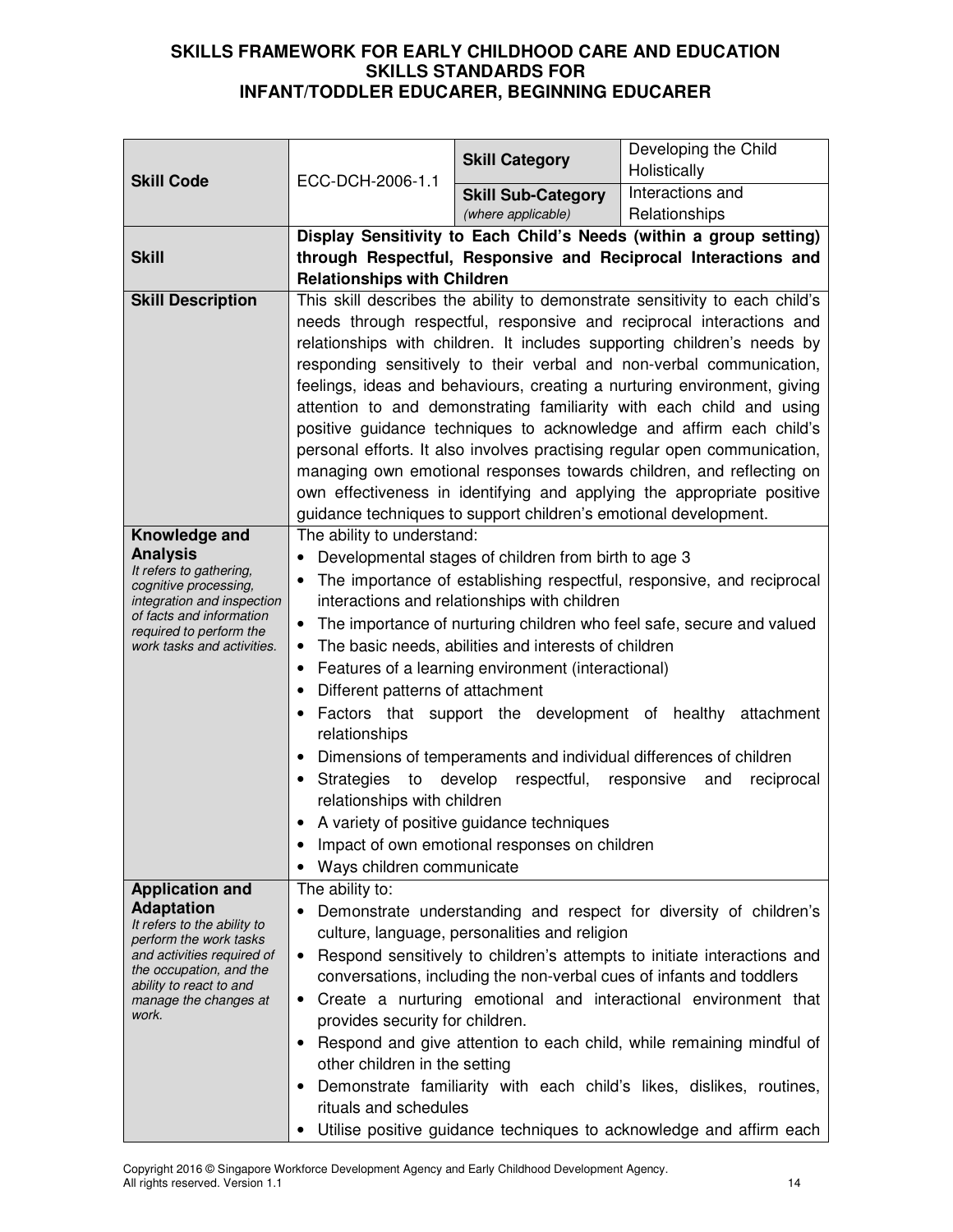|                                                       |                                                                                    | <b>Skill Category</b>                                            | Developing the Child<br>Holistically                                                                                                             |
|-------------------------------------------------------|------------------------------------------------------------------------------------|------------------------------------------------------------------|--------------------------------------------------------------------------------------------------------------------------------------------------|
| <b>Skill Code</b>                                     | ECC-DCH-2006-1.1                                                                   | <b>Skill Sub-Category</b>                                        | Interactions and                                                                                                                                 |
|                                                       |                                                                                    | (where applicable)                                               | Relationships                                                                                                                                    |
|                                                       | Display Sensitivity to Each Child's Needs (within a group setting)                 |                                                                  |                                                                                                                                                  |
| <b>Skill</b>                                          | through Respectful, Responsive and Reciprocal Interactions and                     |                                                                  |                                                                                                                                                  |
|                                                       | <b>Relationships with Children</b>                                                 |                                                                  |                                                                                                                                                  |
| <b>Skill Description</b>                              |                                                                                    |                                                                  | This skill describes the ability to demonstrate sensitivity to each child's                                                                      |
|                                                       | needs through respectful, responsive and reciprocal interactions and               |                                                                  |                                                                                                                                                  |
|                                                       |                                                                                    |                                                                  | relationships with children. It includes supporting children's needs by                                                                          |
|                                                       |                                                                                    |                                                                  | responding sensitively to their verbal and non-verbal communication,                                                                             |
|                                                       |                                                                                    |                                                                  | feelings, ideas and behaviours, creating a nurturing environment, giving                                                                         |
|                                                       |                                                                                    |                                                                  | attention to and demonstrating familiarity with each child and using                                                                             |
|                                                       |                                                                                    |                                                                  | positive guidance techniques to acknowledge and affirm each child's<br>personal efforts. It also involves practising regular open communication, |
|                                                       |                                                                                    |                                                                  | managing own emotional responses towards children, and reflecting on                                                                             |
|                                                       |                                                                                    |                                                                  | own effectiveness in identifying and applying the appropriate positive                                                                           |
|                                                       |                                                                                    | guidance techniques to support children's emotional development. |                                                                                                                                                  |
| Knowledge and                                         | The ability to understand:                                                         |                                                                  |                                                                                                                                                  |
| <b>Analysis</b>                                       |                                                                                    | Developmental stages of children from birth to age 3             |                                                                                                                                                  |
| It refers to gathering,<br>cognitive processing,      |                                                                                    |                                                                  | The importance of establishing respectful, responsive, and reciprocal                                                                            |
| integration and inspection                            |                                                                                    | interactions and relationships with children                     |                                                                                                                                                  |
| of facts and information<br>required to perform the   | The importance of nurturing children who feel safe, secure and valued<br>$\bullet$ |                                                                  |                                                                                                                                                  |
| work tasks and activities.                            |                                                                                    | The basic needs, abilities and interests of children             |                                                                                                                                                  |
|                                                       |                                                                                    | Features of a learning environment (interactional)               |                                                                                                                                                  |
|                                                       | Different patterns of attachment                                                   |                                                                  |                                                                                                                                                  |
|                                                       | relationships                                                                      |                                                                  | Factors that support the development of healthy attachment                                                                                       |
|                                                       |                                                                                    |                                                                  | Dimensions of temperaments and individual differences of children                                                                                |
|                                                       | Strategies to develop                                                              | respectful, responsive                                           | reciprocal<br>and                                                                                                                                |
|                                                       | relationships with children                                                        |                                                                  |                                                                                                                                                  |
|                                                       |                                                                                    | A variety of positive guidance techniques                        |                                                                                                                                                  |
|                                                       |                                                                                    | Impact of own emotional responses on children                    |                                                                                                                                                  |
|                                                       | Ways children communicate                                                          |                                                                  |                                                                                                                                                  |
| <b>Application and</b>                                | The ability to:                                                                    |                                                                  |                                                                                                                                                  |
| <b>Adaptation</b><br>It refers to the ability to      |                                                                                    |                                                                  | Demonstrate understanding and respect for diversity of children's                                                                                |
| perform the work tasks                                |                                                                                    | culture, language, personalities and religion                    |                                                                                                                                                  |
| and activities required of<br>the occupation, and the | ٠                                                                                  |                                                                  | Respond sensitively to children's attempts to initiate interactions and                                                                          |
| ability to react to and                               |                                                                                    |                                                                  | conversations, including the non-verbal cues of infants and toddlers<br>Create a nurturing emotional and interactional environment that          |
| manage the changes at<br>work.                        | ٠<br>provides security for children.                                               |                                                                  |                                                                                                                                                  |
|                                                       |                                                                                    |                                                                  | Respond and give attention to each child, while remaining mindful of                                                                             |
|                                                       | other children in the setting                                                      |                                                                  |                                                                                                                                                  |
|                                                       |                                                                                    |                                                                  | Demonstrate familiarity with each child's likes, dislikes, routines,                                                                             |
|                                                       | rituals and schedules                                                              |                                                                  |                                                                                                                                                  |
|                                                       |                                                                                    |                                                                  | Utilise positive guidance techniques to acknowledge and affirm each                                                                              |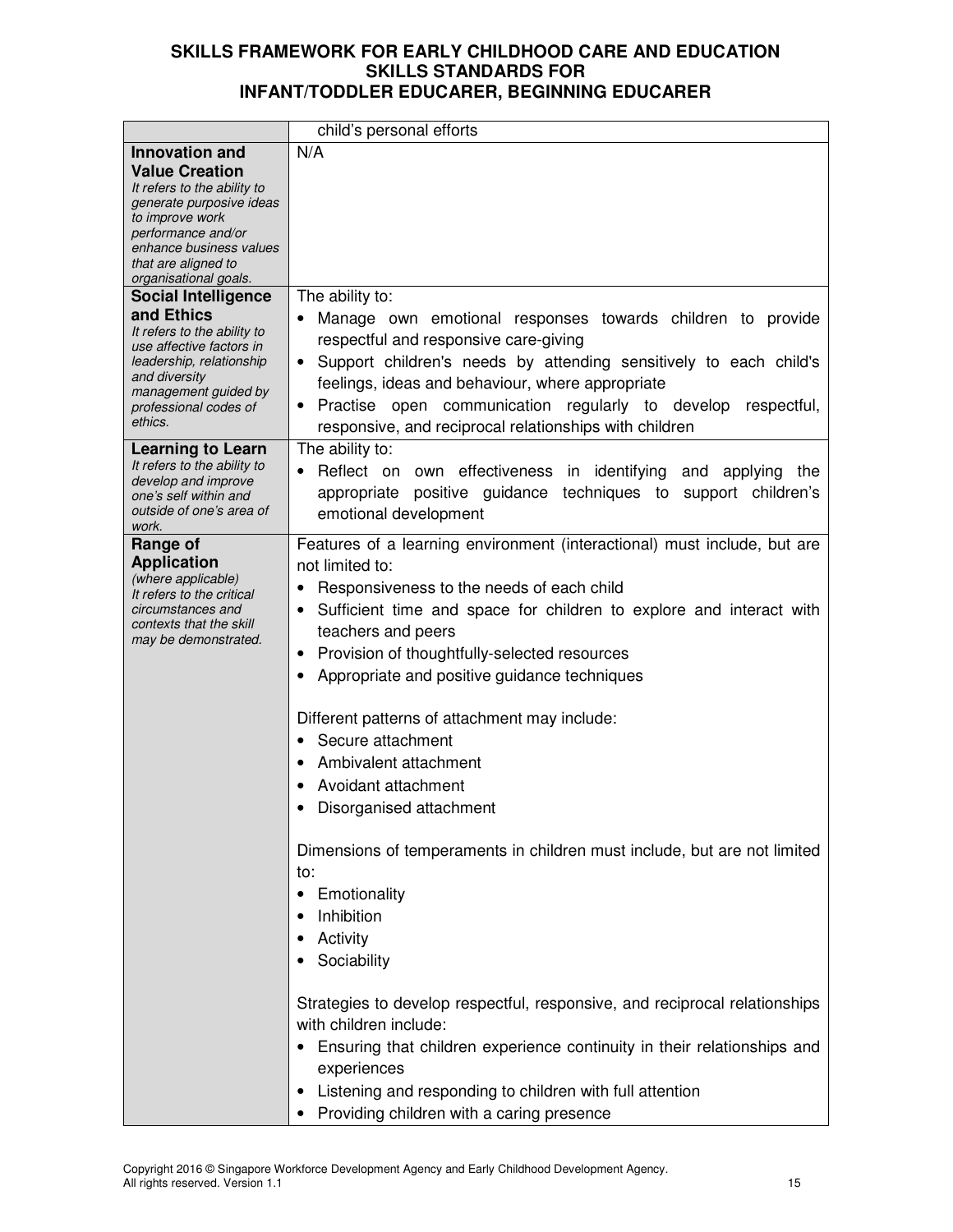|                                                                                                                                                                                                      | child's personal efforts                                                                                                                                                                                                                                                                                                                                                                                                                                                                                                                                                                                                                                                                                                                                                                                                                                                                                                                                                     |
|------------------------------------------------------------------------------------------------------------------------------------------------------------------------------------------------------|------------------------------------------------------------------------------------------------------------------------------------------------------------------------------------------------------------------------------------------------------------------------------------------------------------------------------------------------------------------------------------------------------------------------------------------------------------------------------------------------------------------------------------------------------------------------------------------------------------------------------------------------------------------------------------------------------------------------------------------------------------------------------------------------------------------------------------------------------------------------------------------------------------------------------------------------------------------------------|
| <b>Innovation and</b>                                                                                                                                                                                | N/A                                                                                                                                                                                                                                                                                                                                                                                                                                                                                                                                                                                                                                                                                                                                                                                                                                                                                                                                                                          |
| <b>Value Creation</b><br>It refers to the ability to<br>generate purposive ideas<br>to improve work<br>performance and/or<br>enhance business values<br>that are aligned to<br>organisational goals. |                                                                                                                                                                                                                                                                                                                                                                                                                                                                                                                                                                                                                                                                                                                                                                                                                                                                                                                                                                              |
| <b>Social Intelligence</b>                                                                                                                                                                           | The ability to:                                                                                                                                                                                                                                                                                                                                                                                                                                                                                                                                                                                                                                                                                                                                                                                                                                                                                                                                                              |
| and Ethics<br>It refers to the ability to<br>use affective factors in<br>leadership, relationship<br>and diversity<br>management guided by<br>professional codes of<br>ethics.                       | Manage own emotional responses towards children to provide<br>respectful and responsive care-giving<br>Support children's needs by attending sensitively to each child's<br>feelings, ideas and behaviour, where appropriate<br>• Practise open communication regularly to develop<br>respectful,<br>responsive, and reciprocal relationships with children                                                                                                                                                                                                                                                                                                                                                                                                                                                                                                                                                                                                                  |
| <b>Learning to Learn</b><br>It refers to the ability to<br>develop and improve<br>one's self within and<br>outside of one's area of<br>work.                                                         | The ability to:<br>Reflect on own effectiveness in identifying and<br>applying<br>the<br>$\bullet$<br>positive guidance techniques to support children's<br>appropriate<br>emotional development                                                                                                                                                                                                                                                                                                                                                                                                                                                                                                                                                                                                                                                                                                                                                                             |
| Range of<br><b>Application</b><br>(where applicable)<br>It refers to the critical<br>circumstances and<br>contexts that the skill<br>may be demonstrated.                                            | Features of a learning environment (interactional) must include, but are<br>not limited to:<br>Responsiveness to the needs of each child<br>Sufficient time and space for children to explore and interact with<br>$\bullet$<br>teachers and peers<br>Provision of thoughtfully-selected resources<br>٠<br>Appropriate and positive guidance techniques<br>Different patterns of attachment may include:<br>Secure attachment<br>$\bullet$<br>Ambivalent attachment<br>Avoidant attachment<br>Disorganised attachment<br>Dimensions of temperaments in children must include, but are not limited<br>to:<br>Emotionality<br>Inhibition<br>Activity<br>Sociability<br>Strategies to develop respectful, responsive, and reciprocal relationships<br>with children include:<br>Ensuring that children experience continuity in their relationships and<br>experiences<br>Listening and responding to children with full attention<br>Providing children with a caring presence |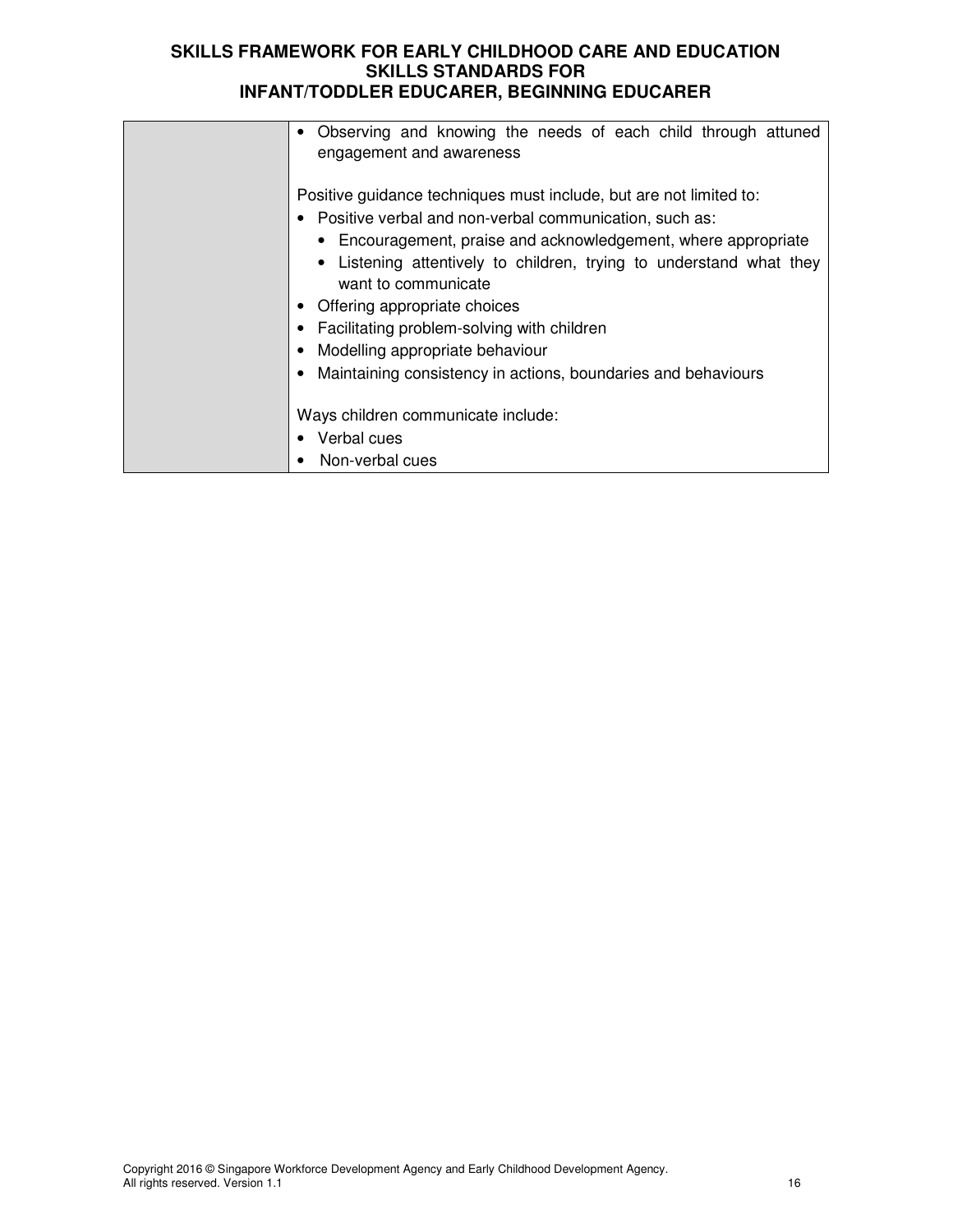| Observing and knowing the needs of each child through attuned<br>engagement and awareness                                                                                                                                                                                                                                                                                                                                                                                             |
|---------------------------------------------------------------------------------------------------------------------------------------------------------------------------------------------------------------------------------------------------------------------------------------------------------------------------------------------------------------------------------------------------------------------------------------------------------------------------------------|
| Positive guidance techniques must include, but are not limited to:<br>• Positive verbal and non-verbal communication, such as:<br>• Encouragement, praise and acknowledgement, where appropriate<br>Listening attentively to children, trying to understand what they<br>want to communicate<br>Offering appropriate choices<br><b>Facilitating problem-solving with children</b><br>Modelling appropriate behaviour<br>Maintaining consistency in actions, boundaries and behaviours |
| Ways children communicate include:                                                                                                                                                                                                                                                                                                                                                                                                                                                    |
| Verbal cues                                                                                                                                                                                                                                                                                                                                                                                                                                                                           |
| Non-verbal cues                                                                                                                                                                                                                                                                                                                                                                                                                                                                       |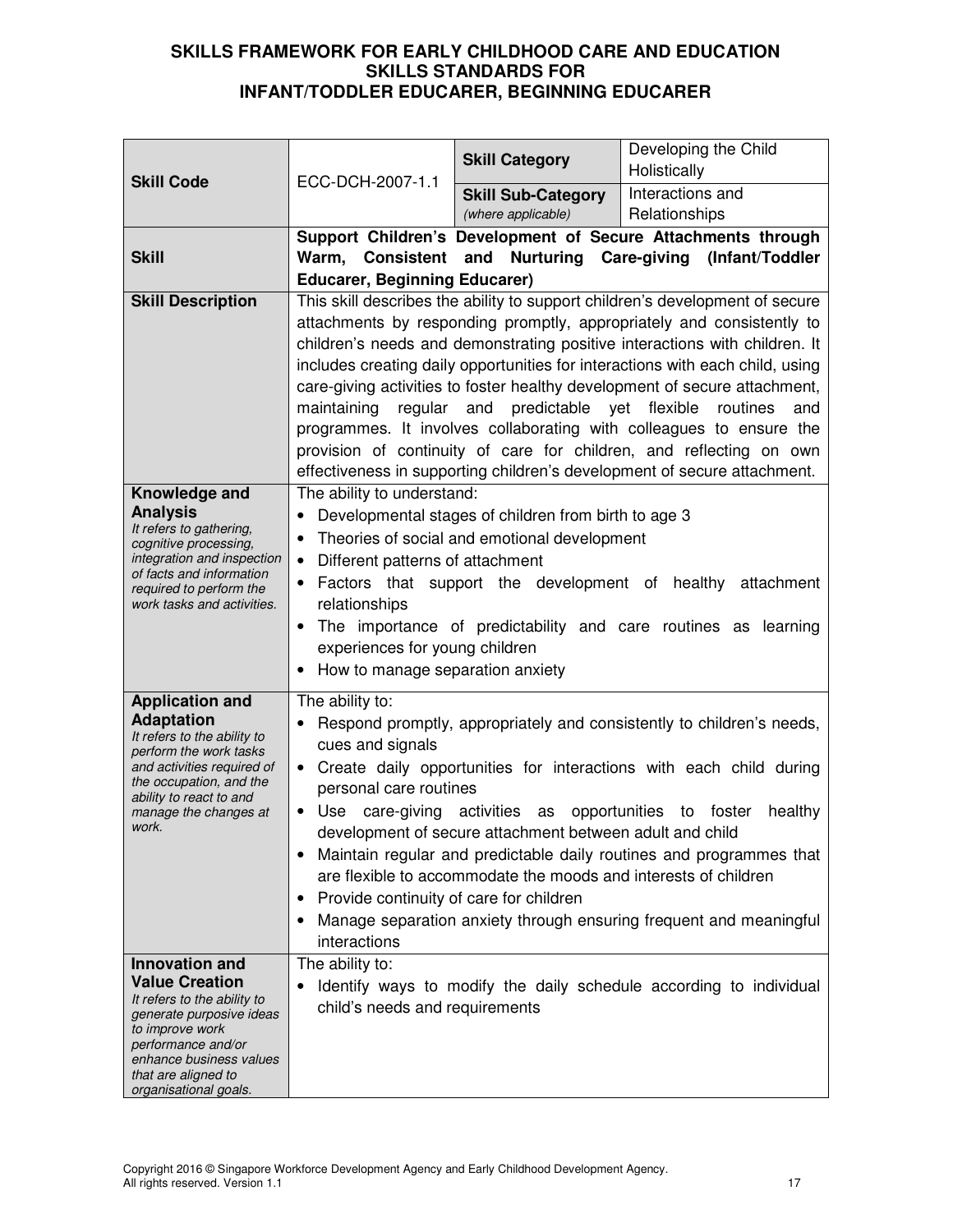| <b>Skill Code</b>                                                                                                                                                                                                             | ECC-DCH-2007-1.1                                                                                                                                                                | <b>Skill Category</b>                                                                                                                        | Developing the Child<br>Holistically                                                                                                                                                                                                                                                                                                                                                                                                                                                                                                                                                                                                |
|-------------------------------------------------------------------------------------------------------------------------------------------------------------------------------------------------------------------------------|---------------------------------------------------------------------------------------------------------------------------------------------------------------------------------|----------------------------------------------------------------------------------------------------------------------------------------------|-------------------------------------------------------------------------------------------------------------------------------------------------------------------------------------------------------------------------------------------------------------------------------------------------------------------------------------------------------------------------------------------------------------------------------------------------------------------------------------------------------------------------------------------------------------------------------------------------------------------------------------|
|                                                                                                                                                                                                                               |                                                                                                                                                                                 | <b>Skill Sub-Category</b><br>(where applicable)                                                                                              | Interactions and<br>Relationships                                                                                                                                                                                                                                                                                                                                                                                                                                                                                                                                                                                                   |
| <b>Skill</b>                                                                                                                                                                                                                  | <b>Educarer, Beginning Educarer)</b>                                                                                                                                            |                                                                                                                                              | Support Children's Development of Secure Attachments through<br>Warm, Consistent and Nurturing Care-giving (Infant/Toddler                                                                                                                                                                                                                                                                                                                                                                                                                                                                                                          |
| <b>Skill Description</b>                                                                                                                                                                                                      |                                                                                                                                                                                 | maintaining regular and predictable yet flexible routines                                                                                    | This skill describes the ability to support children's development of secure<br>attachments by responding promptly, appropriately and consistently to<br>children's needs and demonstrating positive interactions with children. It<br>includes creating daily opportunities for interactions with each child, using<br>care-giving activities to foster healthy development of secure attachment,<br>and<br>programmes. It involves collaborating with colleagues to ensure the<br>provision of continuity of care for children, and reflecting on own<br>effectiveness in supporting children's development of secure attachment. |
| Knowledge and<br><b>Analysis</b><br>It refers to gathering,<br>cognitive processing,<br>integration and inspection<br>of facts and information<br>required to perform the<br>work tasks and activities.                       | The ability to understand:<br>Different patterns of attachment<br>$\bullet$<br>relationships<br>$\bullet$<br>experiences for young children<br>How to manage separation anxiety | Developmental stages of children from birth to age 3<br>Theories of social and emotional development                                         | Factors that support the development of healthy attachment<br>The importance of predictability and care routines as learning                                                                                                                                                                                                                                                                                                                                                                                                                                                                                                        |
| <b>Application and</b><br><b>Adaptation</b><br>It refers to the ability to<br>perform the work tasks<br>and activities required of<br>the occupation, and the<br>ability to react to and<br>manage the changes at<br>work.    | The ability to:<br>cues and signals<br>personal care routines<br>Use<br>care-giving<br>$\bullet$<br>Provide continuity of care for children<br>interactions                     | activities as<br>development of secure attachment between adult and child<br>are flexible to accommodate the moods and interests of children | Respond promptly, appropriately and consistently to children's needs,<br>• Create daily opportunities for interactions with each child during<br>opportunities to foster<br>healthy<br>Maintain regular and predictable daily routines and programmes that<br>Manage separation anxiety through ensuring frequent and meaningful                                                                                                                                                                                                                                                                                                    |
| <b>Innovation and</b><br><b>Value Creation</b><br>It refers to the ability to<br>generate purposive ideas<br>to improve work<br>performance and/or<br>enhance business values<br>that are aligned to<br>organisational goals. | The ability to:<br>child's needs and requirements                                                                                                                               |                                                                                                                                              | Identify ways to modify the daily schedule according to individual                                                                                                                                                                                                                                                                                                                                                                                                                                                                                                                                                                  |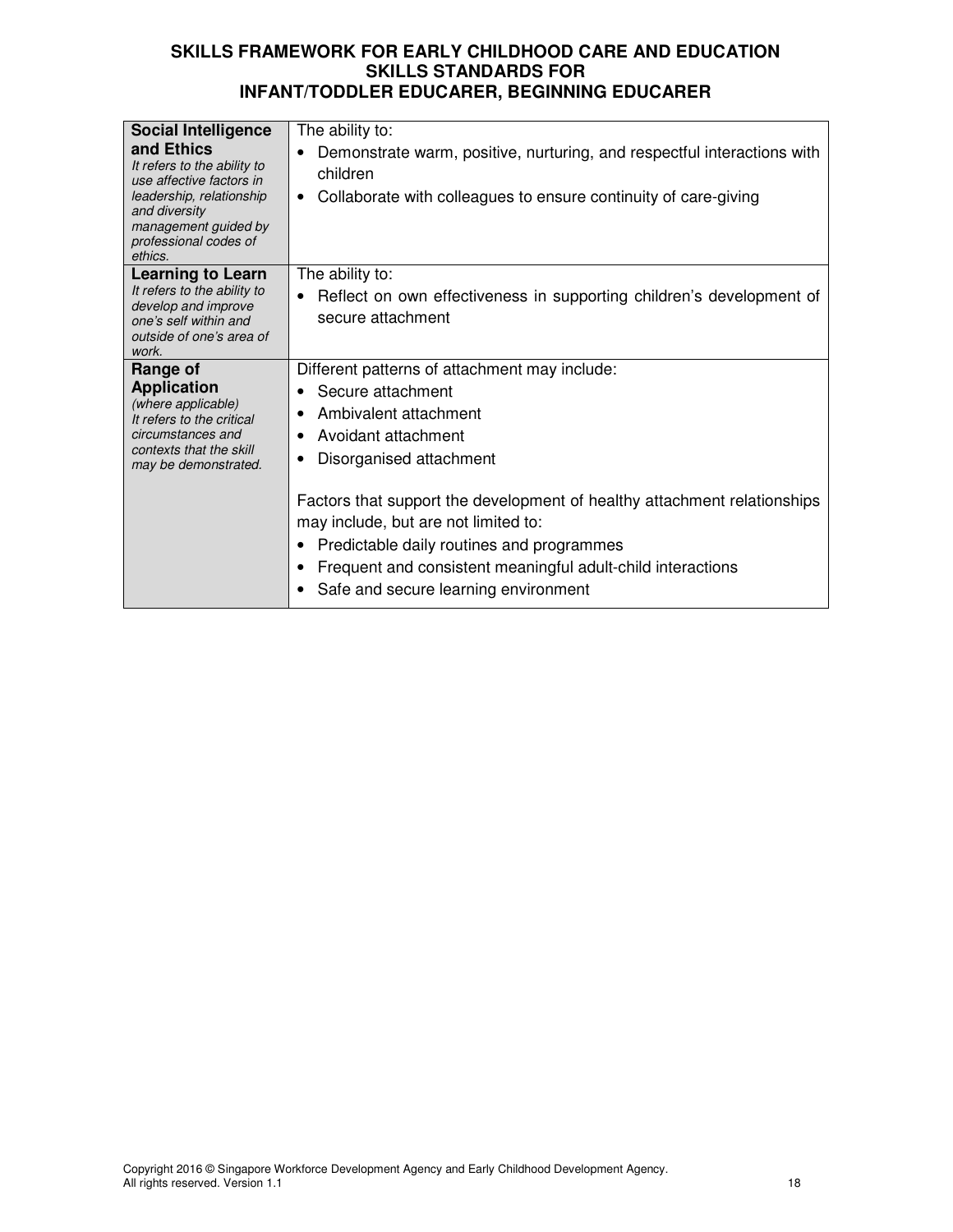| <b>Social Intelligence</b><br>and Ethics<br>It refers to the ability to<br>use affective factors in<br>leadership, relationship<br>and diversity<br>management guided by<br>professional codes of<br>ethics. | The ability to:<br>Demonstrate warm, positive, nurturing, and respectful interactions with<br>children<br>Collaborate with colleagues to ensure continuity of care-giving<br>٠                                                                                       |
|--------------------------------------------------------------------------------------------------------------------------------------------------------------------------------------------------------------|----------------------------------------------------------------------------------------------------------------------------------------------------------------------------------------------------------------------------------------------------------------------|
| <b>Learning to Learn</b><br>It refers to the ability to<br>develop and improve<br>one's self within and<br>outside of one's area of<br>work.                                                                 | The ability to:<br>Reflect on own effectiveness in supporting children's development of<br>secure attachment                                                                                                                                                         |
| Range of<br><b>Application</b><br>(where applicable)<br>It refers to the critical<br>circumstances and<br>contexts that the skill<br>may be demonstrated.                                                    | Different patterns of attachment may include:<br>Secure attachment<br>Ambivalent attachment<br>Avoidant attachment<br>Disorganised attachment                                                                                                                        |
|                                                                                                                                                                                                              | Factors that support the development of healthy attachment relationships<br>may include, but are not limited to:<br>Predictable daily routines and programmes<br>Frequent and consistent meaningful adult-child interactions<br>Safe and secure learning environment |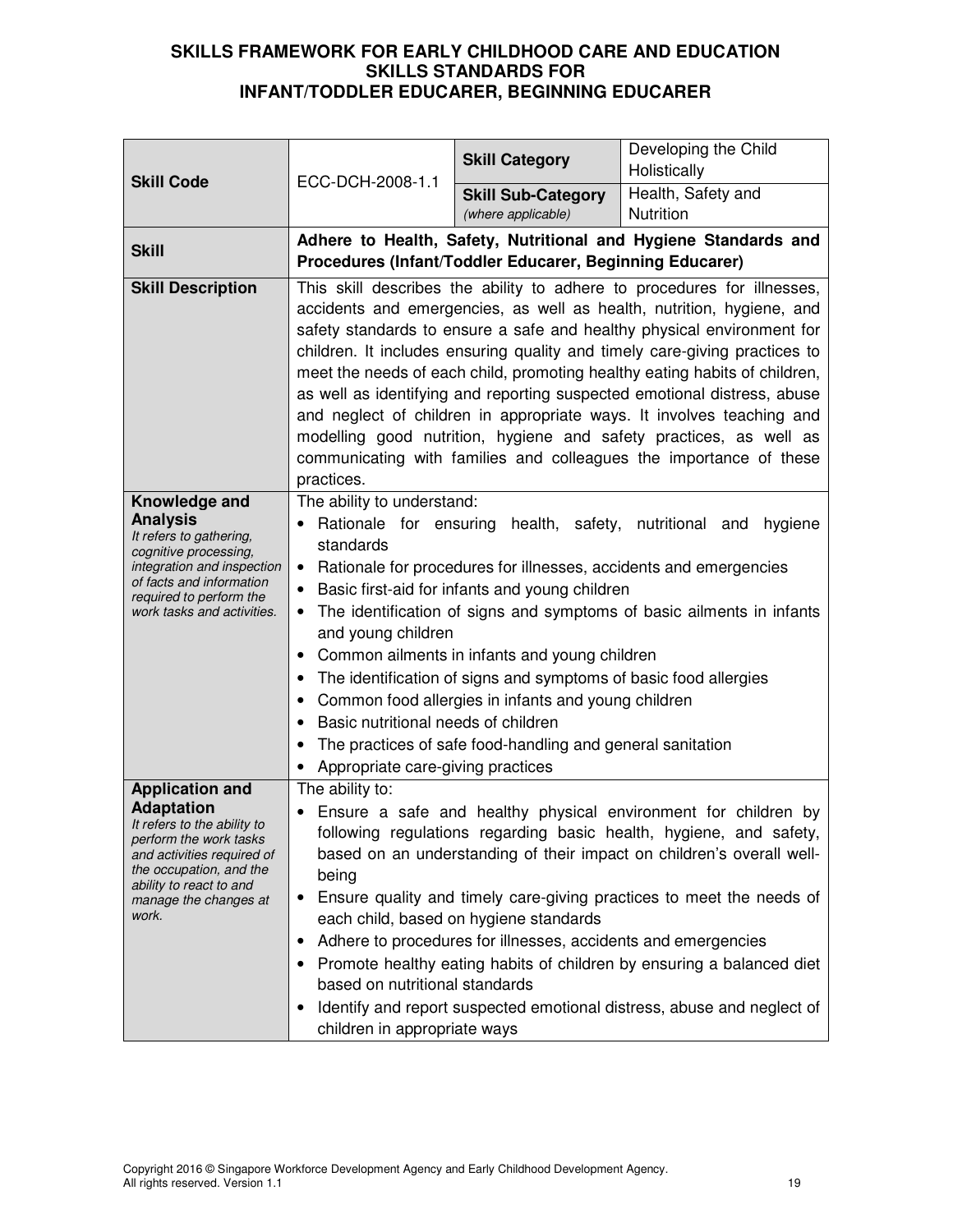|                                                                                                                                                                                                                            |                                                                                                                                                                                                                                                                                                                                                                                                                                                                                                                                                                                                                                                                                                       | <b>Skill Category</b>                                    | Developing the Child<br>Holistically                            |
|----------------------------------------------------------------------------------------------------------------------------------------------------------------------------------------------------------------------------|-------------------------------------------------------------------------------------------------------------------------------------------------------------------------------------------------------------------------------------------------------------------------------------------------------------------------------------------------------------------------------------------------------------------------------------------------------------------------------------------------------------------------------------------------------------------------------------------------------------------------------------------------------------------------------------------------------|----------------------------------------------------------|-----------------------------------------------------------------|
| <b>Skill Code</b>                                                                                                                                                                                                          | ECC-DCH-2008-1.1                                                                                                                                                                                                                                                                                                                                                                                                                                                                                                                                                                                                                                                                                      | <b>Skill Sub-Category</b><br>(where applicable)          | Health, Safety and<br>Nutrition                                 |
| <b>Skill</b>                                                                                                                                                                                                               |                                                                                                                                                                                                                                                                                                                                                                                                                                                                                                                                                                                                                                                                                                       | Procedures (Infant/Toddler Educarer, Beginning Educarer) | Adhere to Health, Safety, Nutritional and Hygiene Standards and |
| <b>Skill Description</b>                                                                                                                                                                                                   | This skill describes the ability to adhere to procedures for illnesses,<br>accidents and emergencies, as well as health, nutrition, hygiene, and<br>safety standards to ensure a safe and healthy physical environment for<br>children. It includes ensuring quality and timely care-giving practices to<br>meet the needs of each child, promoting healthy eating habits of children,<br>as well as identifying and reporting suspected emotional distress, abuse<br>and neglect of children in appropriate ways. It involves teaching and<br>modelling good nutrition, hygiene and safety practices, as well as<br>communicating with families and colleagues the importance of these<br>practices. |                                                          |                                                                 |
| Knowledge and<br><b>Analysis</b><br>It refers to gathering,<br>cognitive processing,<br>integration and inspection<br>of facts and information<br>required to perform the<br>work tasks and activities.                    | The ability to understand:<br>Rationale for ensuring<br>health, safety, nutritional and<br>hygiene<br>standards<br>Rationale for procedures for illnesses, accidents and emergencies<br>$\bullet$<br>Basic first-aid for infants and young children<br>$\bullet$<br>The identification of signs and symptoms of basic ailments in infants<br>and young children<br>Common ailments in infants and young children<br>٠<br>The identification of signs and symptoms of basic food allergies<br>Common food allergies in infants and young children<br>Basic nutritional needs of children<br>The practices of safe food-handling and general sanitation<br>Appropriate care-giving practices            |                                                          |                                                                 |
| <b>Application and</b><br><b>Adaptation</b><br>It refers to the ability to<br>perform the work tasks<br>and activities required of<br>the occupation, and the<br>ability to react to and<br>manage the changes at<br>work. | The ability to:<br>Ensure a safe and healthy physical environment for children by<br>following regulations regarding basic health, hygiene, and safety,<br>based on an understanding of their impact on children's overall well-<br>being<br>Ensure quality and timely care-giving practices to meet the needs of<br>each child, based on hygiene standards<br>Adhere to procedures for illnesses, accidents and emergencies<br>$\bullet$<br>Promote healthy eating habits of children by ensuring a balanced diet<br>based on nutritional standards<br>Identify and report suspected emotional distress, abuse and neglect of<br>٠<br>children in appropriate ways                                   |                                                          |                                                                 |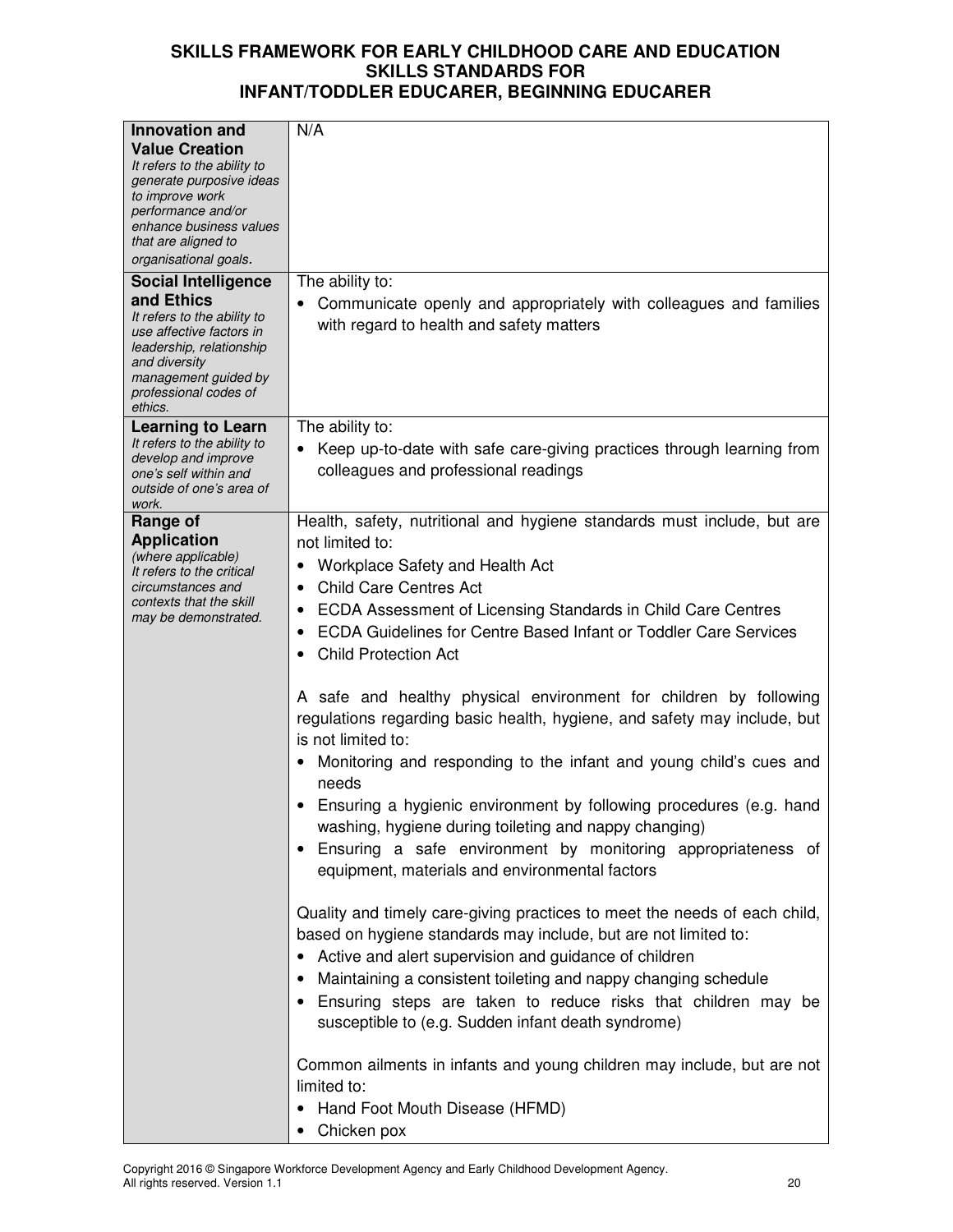| <b>Innovation and</b>                           | N/A                                                                           |
|-------------------------------------------------|-------------------------------------------------------------------------------|
|                                                 |                                                                               |
| <b>Value Creation</b>                           |                                                                               |
| It refers to the ability to                     |                                                                               |
| generate purposive ideas<br>to improve work     |                                                                               |
| performance and/or                              |                                                                               |
| enhance business values                         |                                                                               |
| that are aligned to                             |                                                                               |
| organisational goals.                           |                                                                               |
| <b>Social Intelligence</b>                      | The ability to:                                                               |
| and Ethics                                      |                                                                               |
| It refers to the ability to                     | Communicate openly and appropriately with colleagues and families             |
| use affective factors in                        | with regard to health and safety matters                                      |
| leadership, relationship                        |                                                                               |
| and diversity                                   |                                                                               |
| management guided by                            |                                                                               |
| professional codes of                           |                                                                               |
| ethics.                                         |                                                                               |
| <b>Learning to Learn</b>                        | The ability to:                                                               |
| It refers to the ability to                     | Keep up-to-date with safe care-giving practices through learning from         |
| develop and improve<br>one's self within and    | colleagues and professional readings                                          |
| outside of one's area of                        |                                                                               |
| work.                                           |                                                                               |
| Range of                                        | Health, safety, nutritional and hygiene standards must include, but are       |
| <b>Application</b>                              | not limited to:                                                               |
| (where applicable)                              | Workplace Safety and Health Act                                               |
| It refers to the critical                       |                                                                               |
| circumstances and                               | <b>Child Care Centres Act</b><br>$\bullet$                                    |
| contexts that the skill<br>may be demonstrated. | ECDA Assessment of Licensing Standards in Child Care Centres<br>٠             |
|                                                 | ECDA Guidelines for Centre Based Infant or Toddler Care Services<br>$\bullet$ |
|                                                 | <b>Child Protection Act</b>                                                   |
|                                                 |                                                                               |
|                                                 |                                                                               |
|                                                 | A safe and healthy physical environment for children by following             |
|                                                 | regulations regarding basic health, hygiene, and safety may include, but      |
|                                                 | is not limited to:                                                            |
|                                                 | Monitoring and responding to the infant and young child's cues and            |
|                                                 |                                                                               |
|                                                 | needs                                                                         |
|                                                 | Ensuring a hygienic environment by following procedures (e.g. hand            |
|                                                 | washing, hygiene during toileting and nappy changing)                         |
|                                                 | Ensuring a safe environment by monitoring appropriateness of<br>$\bullet$     |
|                                                 |                                                                               |
|                                                 | equipment, materials and environmental factors                                |
|                                                 |                                                                               |
|                                                 | Quality and timely care-giving practices to meet the needs of each child,     |
|                                                 | based on hygiene standards may include, but are not limited to:               |
|                                                 | Active and alert supervision and guidance of children                         |
|                                                 |                                                                               |
|                                                 | Maintaining a consistent toileting and nappy changing schedule<br>٠           |
|                                                 | Ensuring steps are taken to reduce risks that children may be<br>$\bullet$    |
|                                                 | susceptible to (e.g. Sudden infant death syndrome)                            |
|                                                 |                                                                               |
|                                                 | Common ailments in infants and young children may include, but are not        |
|                                                 | limited to:                                                                   |
|                                                 |                                                                               |
|                                                 | Hand Foot Mouth Disease (HFMD)                                                |
|                                                 | Chicken pox                                                                   |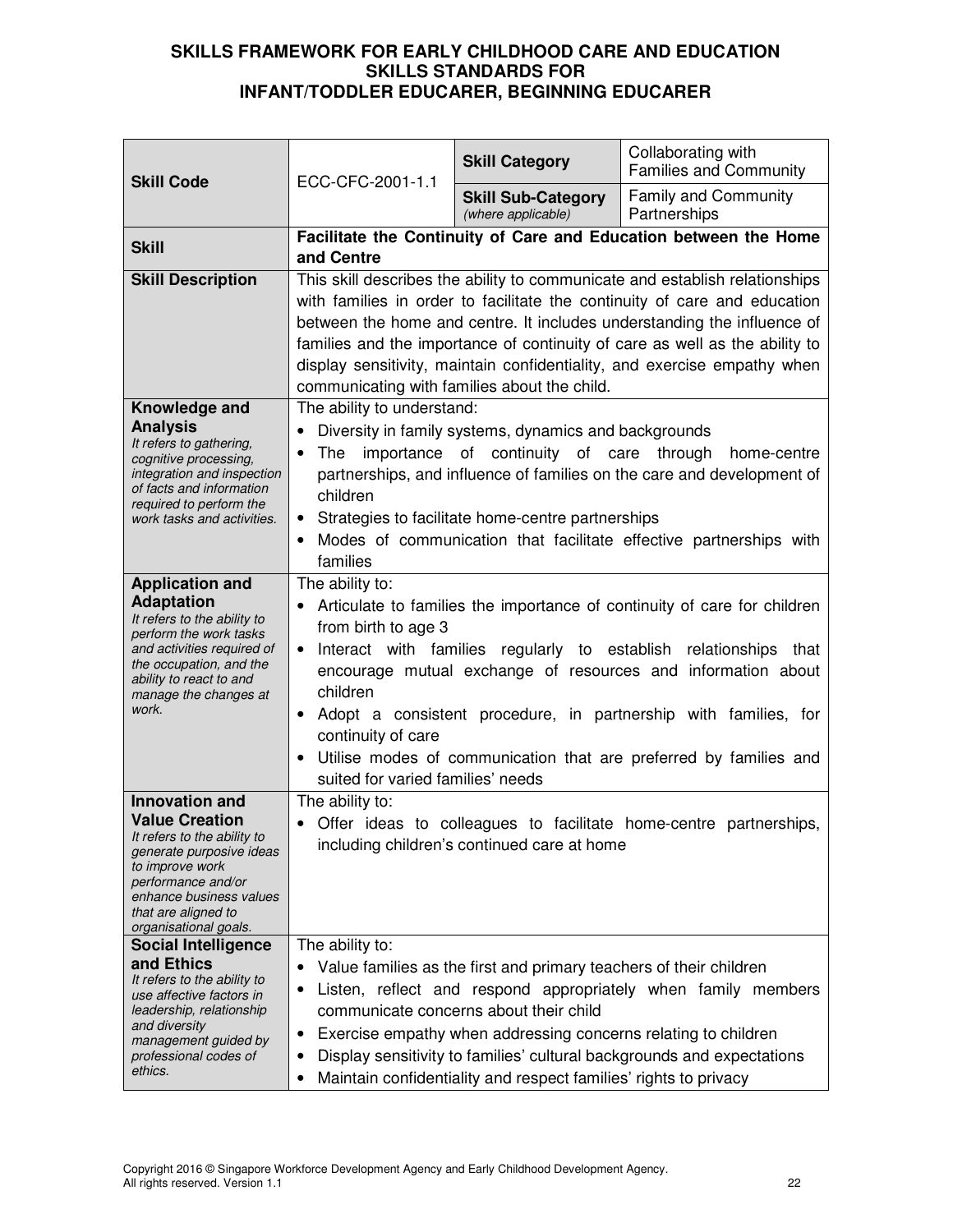| <b>Skill Code</b>                                                                                                                                                                                                             | ECC-CFC-2001-1.1                                                                                                                                                                                                                                                                                                                                                                                                                                                                                | <b>Skill Category</b>                                                                                                                                                                                                                              | Collaborating with<br><b>Families and Community</b>                                                                                     |
|-------------------------------------------------------------------------------------------------------------------------------------------------------------------------------------------------------------------------------|-------------------------------------------------------------------------------------------------------------------------------------------------------------------------------------------------------------------------------------------------------------------------------------------------------------------------------------------------------------------------------------------------------------------------------------------------------------------------------------------------|----------------------------------------------------------------------------------------------------------------------------------------------------------------------------------------------------------------------------------------------------|-----------------------------------------------------------------------------------------------------------------------------------------|
|                                                                                                                                                                                                                               |                                                                                                                                                                                                                                                                                                                                                                                                                                                                                                 | <b>Skill Sub-Category</b><br>(where applicable)                                                                                                                                                                                                    | Family and Community<br>Partnerships                                                                                                    |
| <b>Skill</b>                                                                                                                                                                                                                  | and Centre                                                                                                                                                                                                                                                                                                                                                                                                                                                                                      |                                                                                                                                                                                                                                                    | Facilitate the Continuity of Care and Education between the Home                                                                        |
| <b>Skill Description</b>                                                                                                                                                                                                      | This skill describes the ability to communicate and establish relationships<br>with families in order to facilitate the continuity of care and education<br>between the home and centre. It includes understanding the influence of<br>families and the importance of continuity of care as well as the ability to<br>display sensitivity, maintain confidentiality, and exercise empathy when<br>communicating with families about the child.                                                  |                                                                                                                                                                                                                                                    |                                                                                                                                         |
| Knowledge and<br><b>Analysis</b><br>It refers to gathering,<br>cognitive processing,<br>integration and inspection<br>of facts and information<br>required to perform the<br>work tasks and activities.                       | The ability to understand:<br>Diversity in family systems, dynamics and backgrounds<br>of continuity of care<br>importance<br>The<br>through<br>home-centre<br>partnerships, and influence of families on the care and development of<br>children<br>Strategies to facilitate home-centre partnerships<br>٠<br>Modes of communication that facilitate effective partnerships with<br>$\bullet$<br>families                                                                                      |                                                                                                                                                                                                                                                    |                                                                                                                                         |
| <b>Application and</b><br><b>Adaptation</b><br>It refers to the ability to<br>perform the work tasks<br>and activities required of<br>the occupation, and the<br>ability to react to and<br>manage the changes at<br>work.    | The ability to:<br>Articulate to families the importance of continuity of care for children<br>from birth to age 3<br>Interact with families regularly to establish relationships that<br>$\bullet$<br>encourage mutual exchange of resources and information about<br>children<br>Adopt a consistent procedure, in partnership with families, for<br>$\bullet$<br>continuity of care<br>Utilise modes of communication that are preferred by families and<br>suited for varied families' needs |                                                                                                                                                                                                                                                    |                                                                                                                                         |
| <b>Innovation and</b><br><b>Value Creation</b><br>It refers to the ability to<br>generate purposive ideas<br>to improve work<br>performance and/or<br>enhance business values<br>that are aligned to<br>organisational goals. | The ability to:<br>• Offer ideas to colleagues to facilitate home-centre partnerships,<br>including children's continued care at home                                                                                                                                                                                                                                                                                                                                                           |                                                                                                                                                                                                                                                    |                                                                                                                                         |
| <b>Social Intelligence</b><br>and Ethics<br>It refers to the ability to<br>use affective factors in<br>leadership, relationship<br>and diversity<br>management guided by<br>professional codes of<br>ethics.                  | The ability to:<br>$\bullet$<br>٠<br>٠<br>٠<br>٠                                                                                                                                                                                                                                                                                                                                                                                                                                                | Value families as the first and primary teachers of their children<br>communicate concerns about their child<br>Exercise empathy when addressing concerns relating to children<br>Maintain confidentiality and respect families' rights to privacy | Listen, reflect and respond appropriately when family members<br>Display sensitivity to families' cultural backgrounds and expectations |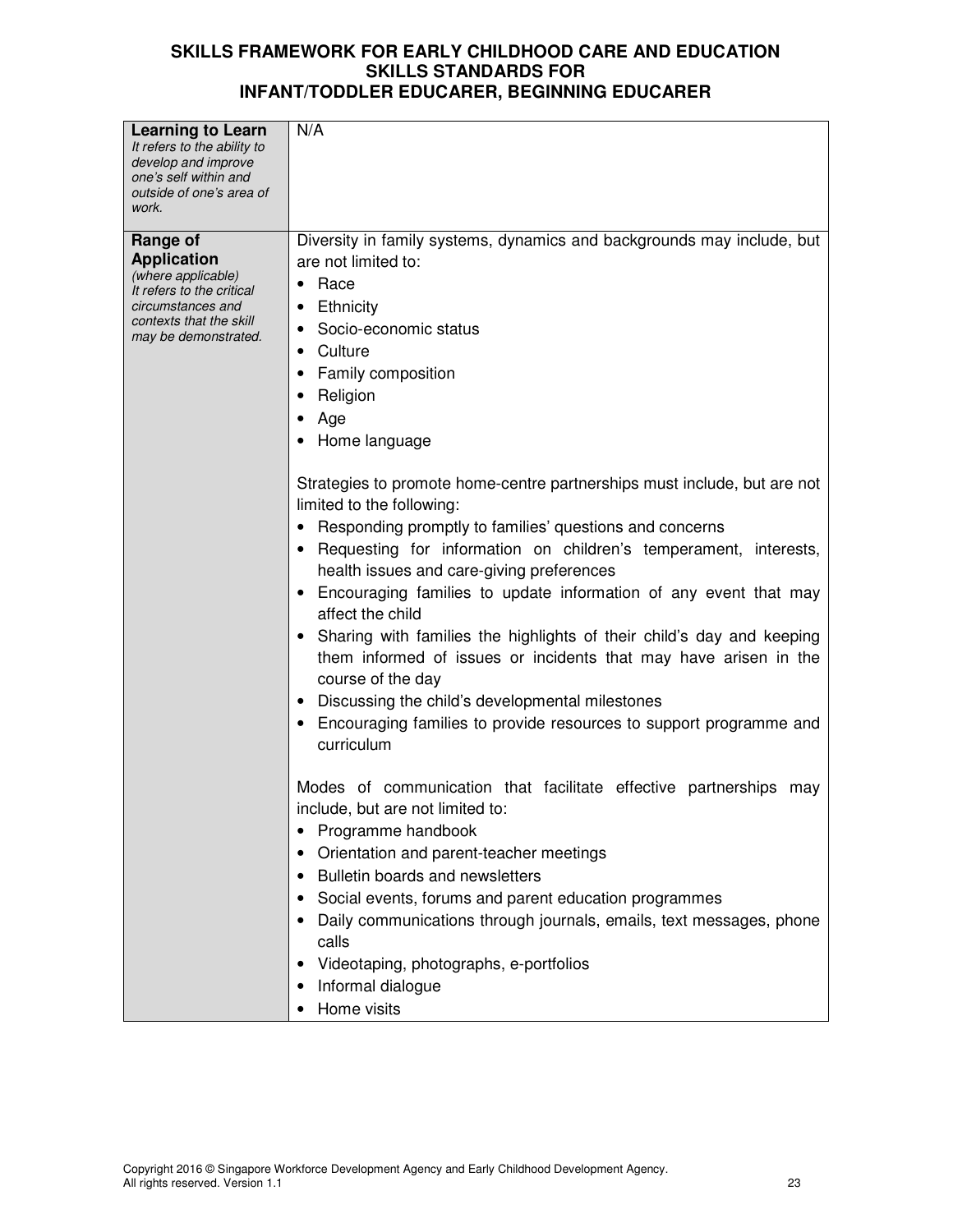| <b>Learning to Learn</b><br>It refers to the ability to<br>develop and improve<br>one's self within and<br>outside of one's area of<br>work.              | N/A                                                                                                                                                                                                                                                                                                                                                                                                                                                                                                                                                                                                                                                                                                            |
|-----------------------------------------------------------------------------------------------------------------------------------------------------------|----------------------------------------------------------------------------------------------------------------------------------------------------------------------------------------------------------------------------------------------------------------------------------------------------------------------------------------------------------------------------------------------------------------------------------------------------------------------------------------------------------------------------------------------------------------------------------------------------------------------------------------------------------------------------------------------------------------|
| Range of<br><b>Application</b><br>(where applicable)<br>It refers to the critical<br>circumstances and<br>contexts that the skill<br>may be demonstrated. | Diversity in family systems, dynamics and backgrounds may include, but<br>are not limited to:<br>$\bullet$ Race<br>Ethnicity<br>Socio-economic status<br>٠<br>Culture<br>Family composition<br>Religion<br>Age<br>Home language                                                                                                                                                                                                                                                                                                                                                                                                                                                                                |
|                                                                                                                                                           | Strategies to promote home-centre partnerships must include, but are not<br>limited to the following:<br>• Responding promptly to families' questions and concerns<br>Requesting for information on children's temperament, interests,<br>health issues and care-giving preferences<br>Encouraging families to update information of any event that may<br>affect the child<br>Sharing with families the highlights of their child's day and keeping<br>$\bullet$<br>them informed of issues or incidents that may have arisen in the<br>course of the day<br>Discussing the child's developmental milestones<br>$\bullet$<br>Encouraging families to provide resources to support programme and<br>curriculum |
|                                                                                                                                                           | Modes of communication that facilitate effective partnerships may<br>include, but are not limited to:<br>Programme handbook<br>Orientation and parent-teacher meetings<br>Bulletin boards and newsletters<br>Social events, forums and parent education programmes<br>Daily communications through journals, emails, text messages, phone<br>calls<br>Videotaping, photographs, e-portfolios<br>Informal dialogue<br>Home visits                                                                                                                                                                                                                                                                               |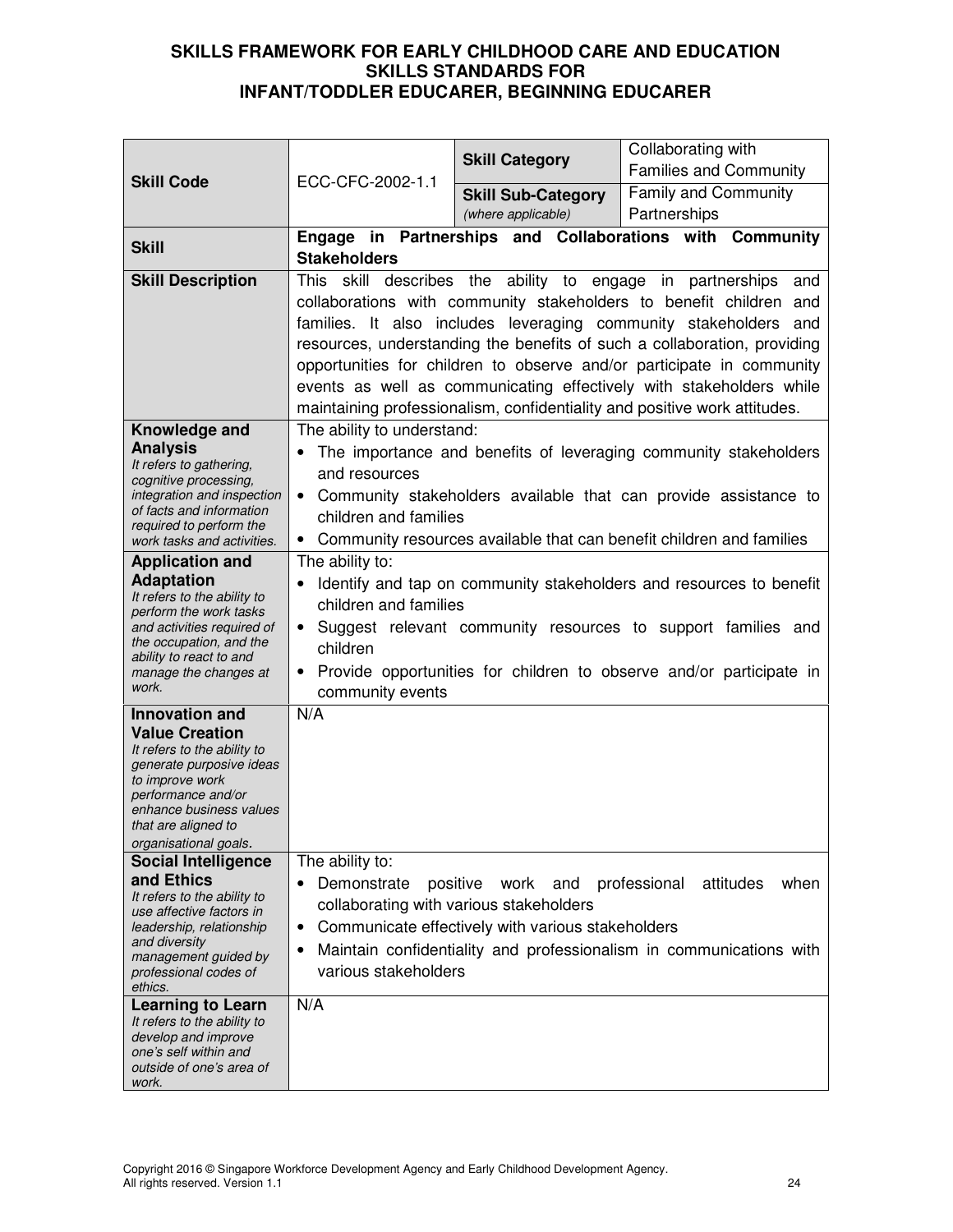|                                                                                                                                                                                                                               |                                                                                                                                                                                                                                                                                                                  | <b>Skill Category</b>                                                                                                   | Collaborating with<br><b>Families and Community</b>                                                                                                                                                                                                                                                                                                                                                                                                                                                               |
|-------------------------------------------------------------------------------------------------------------------------------------------------------------------------------------------------------------------------------|------------------------------------------------------------------------------------------------------------------------------------------------------------------------------------------------------------------------------------------------------------------------------------------------------------------|-------------------------------------------------------------------------------------------------------------------------|-------------------------------------------------------------------------------------------------------------------------------------------------------------------------------------------------------------------------------------------------------------------------------------------------------------------------------------------------------------------------------------------------------------------------------------------------------------------------------------------------------------------|
| <b>Skill Code</b>                                                                                                                                                                                                             | ECC-CFC-2002-1.1                                                                                                                                                                                                                                                                                                 | <b>Skill Sub-Category</b><br>(where applicable)                                                                         | Family and Community<br>Partnerships                                                                                                                                                                                                                                                                                                                                                                                                                                                                              |
| <b>Skill</b>                                                                                                                                                                                                                  | <b>Stakeholders</b>                                                                                                                                                                                                                                                                                              |                                                                                                                         | Engage in Partnerships and Collaborations with Community                                                                                                                                                                                                                                                                                                                                                                                                                                                          |
| <b>Skill Description</b>                                                                                                                                                                                                      |                                                                                                                                                                                                                                                                                                                  |                                                                                                                         | This skill describes the ability to engage in partnerships and<br>collaborations with community stakeholders to benefit children and<br>families. It also includes leveraging community stakeholders and<br>resources, understanding the benefits of such a collaboration, providing<br>opportunities for children to observe and/or participate in community<br>events as well as communicating effectively with stakeholders while<br>maintaining professionalism, confidentiality and positive work attitudes. |
| Knowledge and<br><b>Analysis</b><br>It refers to gathering,<br>cognitive processing,<br>integration and inspection<br>of facts and information<br>required to perform the<br>work tasks and activities.                       | The ability to understand:<br>and resources<br>children and families<br>$\bullet$                                                                                                                                                                                                                                |                                                                                                                         | The importance and benefits of leveraging community stakeholders<br>• Community stakeholders available that can provide assistance to<br>Community resources available that can benefit children and families                                                                                                                                                                                                                                                                                                     |
| <b>Application and</b><br><b>Adaptation</b><br>It refers to the ability to<br>perform the work tasks<br>and activities required of<br>the occupation, and the<br>ability to react to and<br>manage the changes at<br>work.    | The ability to:<br>Identify and tap on community stakeholders and resources to benefit<br>children and families<br>Suggest relevant community resources to support families and<br>$\bullet$<br>children<br>Provide opportunities for children to observe and/or participate in<br>$\bullet$<br>community events |                                                                                                                         |                                                                                                                                                                                                                                                                                                                                                                                                                                                                                                                   |
| <b>Innovation and</b><br><b>Value Creation</b><br>It refers to the ability to<br>generate purposive ideas<br>to improve work<br>performance and/or<br>enhance business values<br>that are aligned to<br>organisational goals. | N/A                                                                                                                                                                                                                                                                                                              |                                                                                                                         |                                                                                                                                                                                                                                                                                                                                                                                                                                                                                                                   |
| <b>Social Intelligence</b><br>and Ethics<br>It refers to the ability to<br>use affective factors in<br>leadership, relationship<br>and diversity<br>management guided by<br>professional codes of<br>ethics.                  | The ability to:<br>Demonstrate<br>$\bullet$<br>$\bullet$<br>٠<br>various stakeholders                                                                                                                                                                                                                            | positive<br>and<br>work<br>collaborating with various stakeholders<br>Communicate effectively with various stakeholders | professional<br>when<br>attitudes<br>Maintain confidentiality and professionalism in communications with                                                                                                                                                                                                                                                                                                                                                                                                          |
| <b>Learning to Learn</b><br>It refers to the ability to<br>develop and improve<br>one's self within and<br>outside of one's area of<br>work.                                                                                  | N/A                                                                                                                                                                                                                                                                                                              |                                                                                                                         |                                                                                                                                                                                                                                                                                                                                                                                                                                                                                                                   |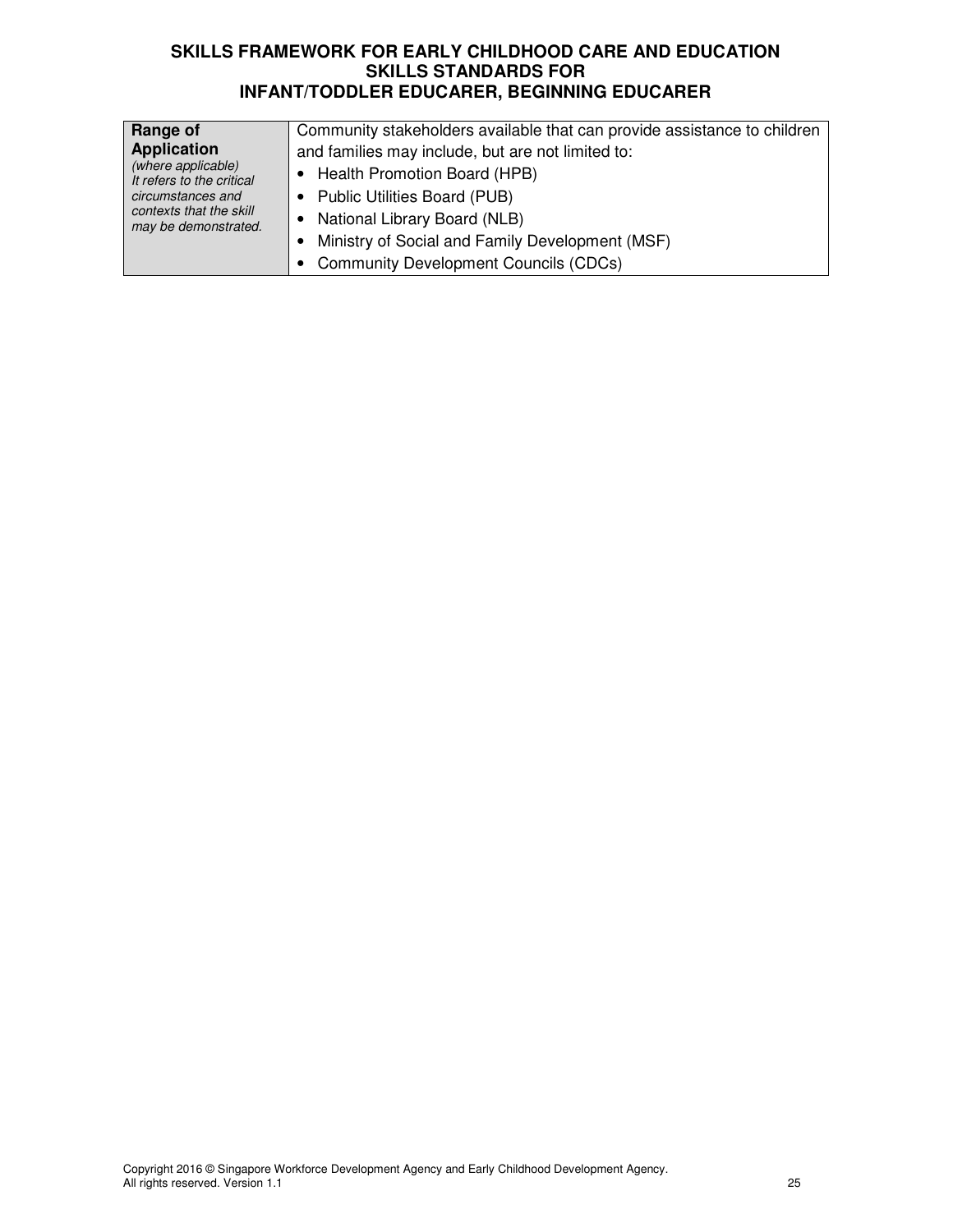| Range of                  | Community stakeholders available that can provide assistance to children |
|---------------------------|--------------------------------------------------------------------------|
| <b>Application</b>        | and families may include, but are not limited to:                        |
| (where applicable)        | Health Promotion Board (HPB)                                             |
| It refers to the critical | • Public Utilities Board (PUB)                                           |
| circumstances and         | National Library Board (NLB)                                             |
| contexts that the skill   | Ministry of Social and Family Development (MSF)                          |
| may be demonstrated.      | <b>Community Development Councils (CDCs)</b>                             |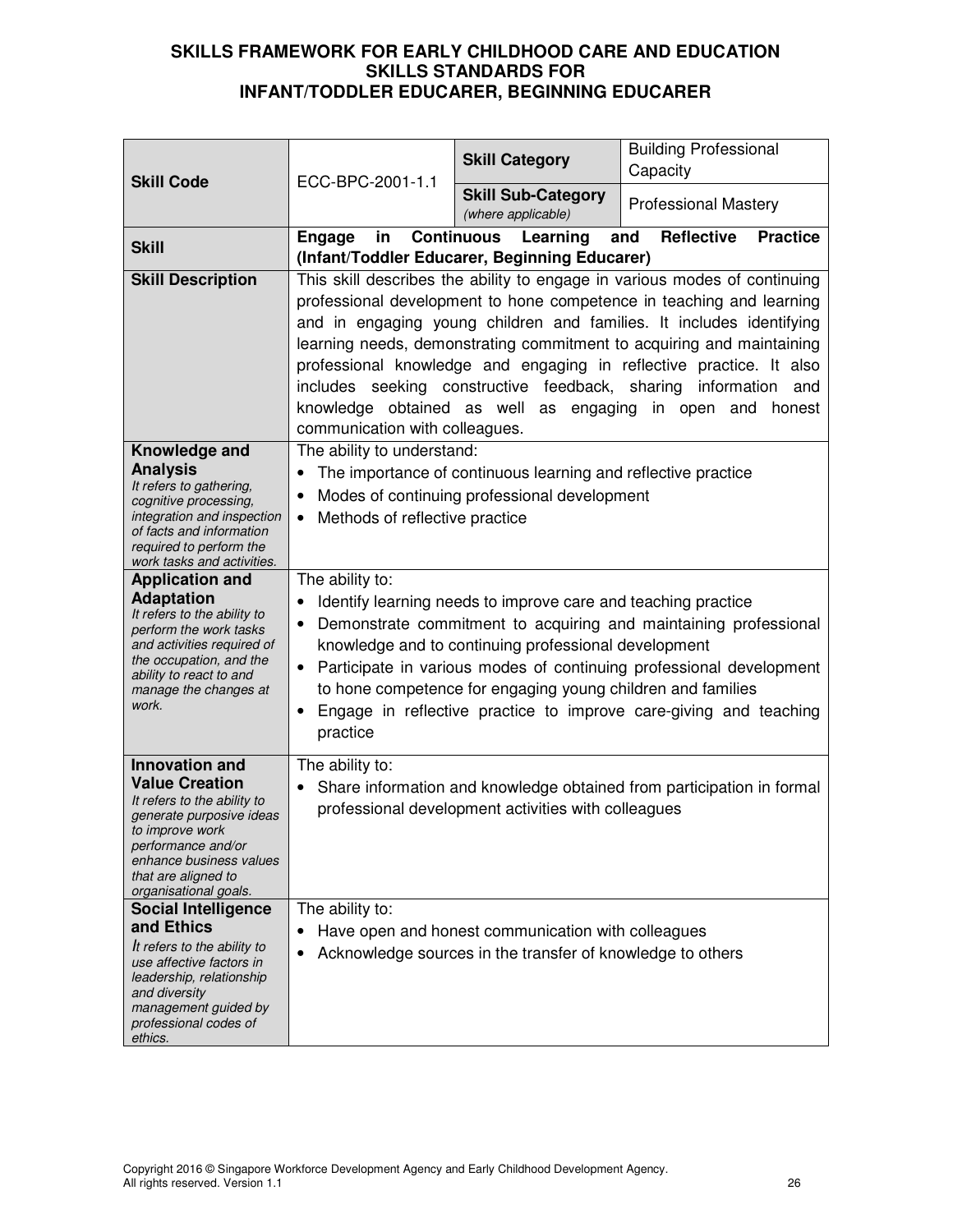| <b>Skill Code</b>                                                                                                                                                                                                             | ECC-BPC-2001-1.1                                                                                                                                                                                                                                                                                                                                                                                                                                                                                                                                           | <b>Skill Category</b>                                                                                            | <b>Building Professional</b><br>Capacity                              |
|-------------------------------------------------------------------------------------------------------------------------------------------------------------------------------------------------------------------------------|------------------------------------------------------------------------------------------------------------------------------------------------------------------------------------------------------------------------------------------------------------------------------------------------------------------------------------------------------------------------------------------------------------------------------------------------------------------------------------------------------------------------------------------------------------|------------------------------------------------------------------------------------------------------------------|-----------------------------------------------------------------------|
|                                                                                                                                                                                                                               |                                                                                                                                                                                                                                                                                                                                                                                                                                                                                                                                                            | <b>Skill Sub-Category</b><br>(where applicable)                                                                  | <b>Professional Mastery</b>                                           |
| <b>Skill</b>                                                                                                                                                                                                                  | <b>Engage</b><br>in                                                                                                                                                                                                                                                                                                                                                                                                                                                                                                                                        | <b>Continuous</b> Learning<br>(Infant/Toddler Educarer, Beginning Educarer)                                      | <b>Reflective</b><br>and<br><b>Practice</b>                           |
| <b>Skill Description</b>                                                                                                                                                                                                      | This skill describes the ability to engage in various modes of continuing<br>professional development to hone competence in teaching and learning<br>and in engaging young children and families. It includes identifying<br>learning needs, demonstrating commitment to acquiring and maintaining<br>professional knowledge and engaging in reflective practice. It also<br>includes seeking constructive feedback, sharing<br>information<br>and<br>knowledge obtained as well as engaging<br>in open<br>and<br>honest<br>communication with colleagues. |                                                                                                                  |                                                                       |
| Knowledge and<br><b>Analysis</b><br>It refers to gathering,<br>cognitive processing,<br>integration and inspection<br>of facts and information<br>required to perform the<br>work tasks and activities.                       | The ability to understand:<br>The importance of continuous learning and reflective practice<br>Modes of continuing professional development<br>٠<br>Methods of reflective practice<br>$\bullet$                                                                                                                                                                                                                                                                                                                                                            |                                                                                                                  |                                                                       |
| <b>Application and</b><br><b>Adaptation</b><br>It refers to the ability to<br>perform the work tasks<br>and activities required of<br>the occupation, and the<br>ability to react to and<br>manage the changes at<br>work.    | The ability to:<br>Identify learning needs to improve care and teaching practice<br>Demonstrate commitment to acquiring and maintaining professional<br>knowledge and to continuing professional development<br>Participate in various modes of continuing professional development<br>٠<br>to hone competence for engaging young children and families<br>Engage in reflective practice to improve care-giving and teaching<br>$\bullet$<br>practice                                                                                                      |                                                                                                                  |                                                                       |
| <b>Innovation and</b><br><b>Value Creation</b><br>It refers to the ability to<br>generate purposive ideas<br>to improve work<br>performance and/or<br>enhance business values<br>that are aligned to<br>organisational goals. | The ability to:                                                                                                                                                                                                                                                                                                                                                                                                                                                                                                                                            | professional development activities with colleagues                                                              | Share information and knowledge obtained from participation in formal |
| <b>Social Intelligence</b><br>and Ethics<br>It refers to the ability to<br>use affective factors in<br>leadership, relationship<br>and diversity<br>management guided by<br>professional codes of<br>ethics.                  | The ability to:<br>$\bullet$                                                                                                                                                                                                                                                                                                                                                                                                                                                                                                                               | Have open and honest communication with colleagues<br>Acknowledge sources in the transfer of knowledge to others |                                                                       |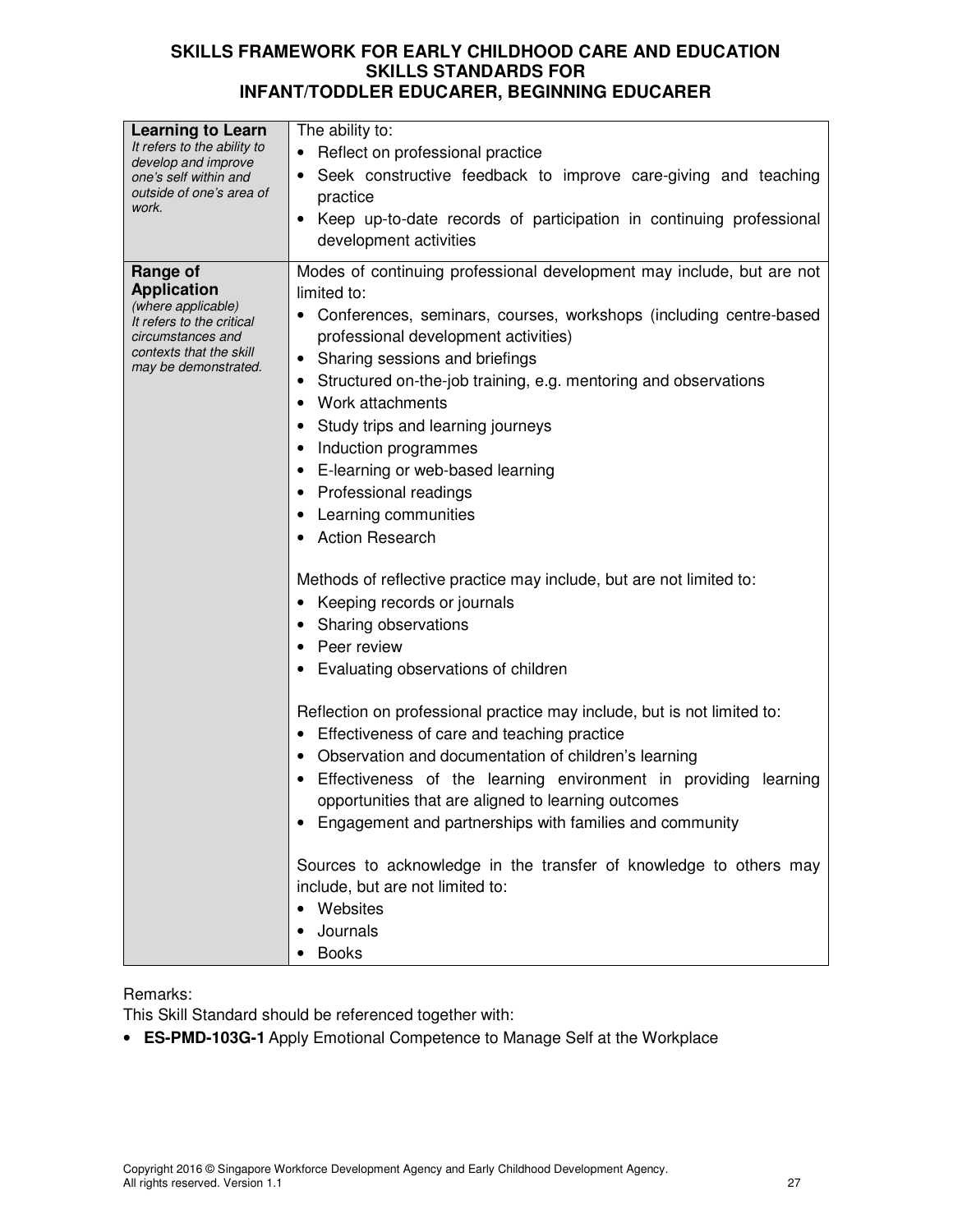| Modes of continuing professional development may include, but are not<br>Range of<br><b>Application</b><br>limited to:<br>(where applicable)<br>Conferences, seminars, courses, workshops (including centre-based<br>It refers to the critical<br>professional development activities)<br>circumstances and<br>contexts that the skill<br>Sharing sessions and briefings<br>$\bullet$<br>may be demonstrated.<br>Structured on-the-job training, e.g. mentoring and observations<br>٠<br>Work attachments<br>٠<br>Study trips and learning journeys<br>Induction programmes<br>• E-learning or web-based learning<br>Professional readings<br>Learning communities<br><b>Action Research</b><br>Methods of reflective practice may include, but are not limited to:<br>Keeping records or journals<br>٠<br>Sharing observations<br>Peer review<br>Evaluating observations of children<br>Reflection on professional practice may include, but is not limited to:<br>Effectiveness of care and teaching practice<br>٠<br>Observation and documentation of children's learning<br>٠<br>Effectiveness of the learning environment in providing<br>learning<br>opportunities that are aligned to learning outcomes<br>Engagement and partnerships with families and community<br>Sources to acknowledge in the transfer of knowledge to others may<br>include, but are not limited to:<br>Websites | Learning to Learn<br>It refers to the ability to<br>develop and improve<br>one's self within and<br>outside of one's area of<br>work. | The ability to:<br>• Reflect on professional practice<br>Seek constructive feedback to improve care-giving and teaching<br>practice<br>Keep up-to-date records of participation in continuing professional<br>development activities |
|------------------------------------------------------------------------------------------------------------------------------------------------------------------------------------------------------------------------------------------------------------------------------------------------------------------------------------------------------------------------------------------------------------------------------------------------------------------------------------------------------------------------------------------------------------------------------------------------------------------------------------------------------------------------------------------------------------------------------------------------------------------------------------------------------------------------------------------------------------------------------------------------------------------------------------------------------------------------------------------------------------------------------------------------------------------------------------------------------------------------------------------------------------------------------------------------------------------------------------------------------------------------------------------------------------------------------------------------------------------------------------------------|---------------------------------------------------------------------------------------------------------------------------------------|--------------------------------------------------------------------------------------------------------------------------------------------------------------------------------------------------------------------------------------|
| Journals<br><b>Books</b>                                                                                                                                                                                                                                                                                                                                                                                                                                                                                                                                                                                                                                                                                                                                                                                                                                                                                                                                                                                                                                                                                                                                                                                                                                                                                                                                                                       |                                                                                                                                       |                                                                                                                                                                                                                                      |

# Remarks:

This Skill Standard should be referenced together with:

• **ES-PMD-103G-1** Apply Emotional Competence to Manage Self at the Workplace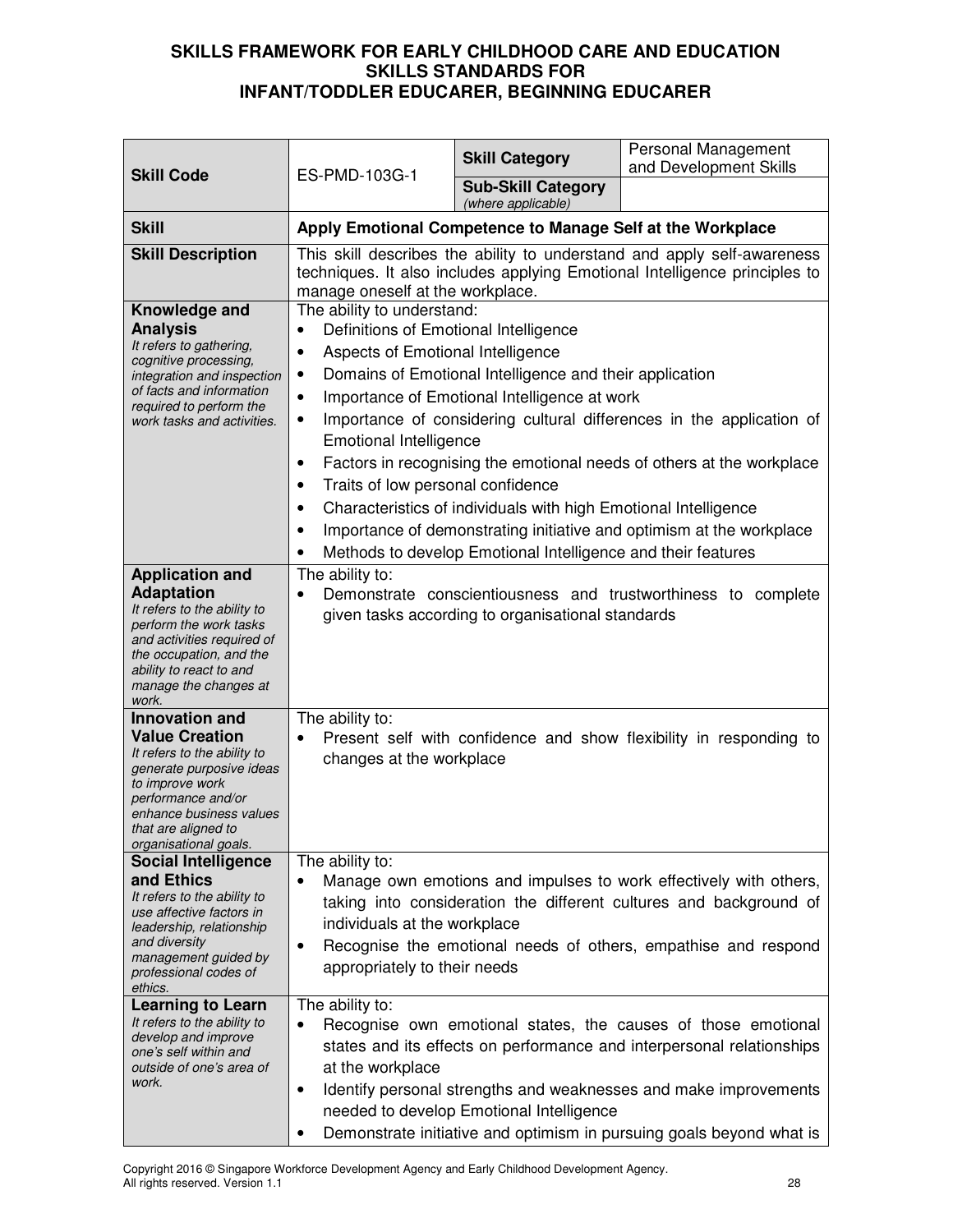| <b>Skill Code</b><br>ES-PMD-103G-1                                                                                                                                                                                            |                                                                                                                                                                                                                                                                                                                                                                                                                                                                                                                                                                                                                                                                                                                                                 | <b>Skill Category</b>                                      | Personal Management<br>and Development Skills                                                                                                                                                                                                                                      |
|-------------------------------------------------------------------------------------------------------------------------------------------------------------------------------------------------------------------------------|-------------------------------------------------------------------------------------------------------------------------------------------------------------------------------------------------------------------------------------------------------------------------------------------------------------------------------------------------------------------------------------------------------------------------------------------------------------------------------------------------------------------------------------------------------------------------------------------------------------------------------------------------------------------------------------------------------------------------------------------------|------------------------------------------------------------|------------------------------------------------------------------------------------------------------------------------------------------------------------------------------------------------------------------------------------------------------------------------------------|
|                                                                                                                                                                                                                               | <b>Sub-Skill Category</b><br>(where applicable)                                                                                                                                                                                                                                                                                                                                                                                                                                                                                                                                                                                                                                                                                                 |                                                            |                                                                                                                                                                                                                                                                                    |
| <b>Skill</b>                                                                                                                                                                                                                  |                                                                                                                                                                                                                                                                                                                                                                                                                                                                                                                                                                                                                                                                                                                                                 | Apply Emotional Competence to Manage Self at the Workplace |                                                                                                                                                                                                                                                                                    |
| <b>Skill Description</b>                                                                                                                                                                                                      | manage oneself at the workplace.                                                                                                                                                                                                                                                                                                                                                                                                                                                                                                                                                                                                                                                                                                                |                                                            | This skill describes the ability to understand and apply self-awareness<br>techniques. It also includes applying Emotional Intelligence principles to                                                                                                                              |
| Knowledge and<br><b>Analysis</b><br>It refers to gathering,<br>cognitive processing,<br>integration and inspection<br>of facts and information<br>required to perform the<br>work tasks and activities.                       | The ability to understand:<br>Definitions of Emotional Intelligence<br>٠<br>Aspects of Emotional Intelligence<br>$\bullet$<br>Domains of Emotional Intelligence and their application<br>$\bullet$<br>Importance of Emotional Intelligence at work<br>$\bullet$<br>Importance of considering cultural differences in the application of<br>٠<br><b>Emotional Intelligence</b><br>Factors in recognising the emotional needs of others at the workplace<br>$\bullet$<br>Traits of low personal confidence<br>٠<br>Characteristics of individuals with high Emotional Intelligence<br>٠<br>Importance of demonstrating initiative and optimism at the workplace<br>٠<br>Methods to develop Emotional Intelligence and their features<br>$\bullet$ |                                                            |                                                                                                                                                                                                                                                                                    |
| <b>Application and</b><br><b>Adaptation</b><br>It refers to the ability to<br>perform the work tasks<br>and activities required of<br>the occupation, and the<br>ability to react to and<br>manage the changes at<br>work.    | The ability to:<br>٠                                                                                                                                                                                                                                                                                                                                                                                                                                                                                                                                                                                                                                                                                                                            | given tasks according to organisational standards          | Demonstrate conscientiousness and trustworthiness to complete                                                                                                                                                                                                                      |
| <b>Innovation and</b><br><b>Value Creation</b><br>It refers to the ability to<br>generate purposive ideas<br>to improve work<br>performance and/or<br>enhance business values<br>that are aligned to<br>organisational goals. | The ability to:<br>$\bullet$<br>changes at the workplace                                                                                                                                                                                                                                                                                                                                                                                                                                                                                                                                                                                                                                                                                        |                                                            | Present self with confidence and show flexibility in responding to                                                                                                                                                                                                                 |
| <b>Social Intelligence</b><br>and Ethics<br>It refers to the ability to<br>use affective factors in<br>leadership, relationship<br>and diversity<br>management guided by<br>professional codes of<br>ethics.                  | The ability to:<br>٠<br>individuals at the workplace<br>$\bullet$<br>appropriately to their needs                                                                                                                                                                                                                                                                                                                                                                                                                                                                                                                                                                                                                                               |                                                            | Manage own emotions and impulses to work effectively with others,<br>taking into consideration the different cultures and background of<br>Recognise the emotional needs of others, empathise and respond                                                                          |
| <b>Learning to Learn</b><br>It refers to the ability to<br>develop and improve<br>one's self within and<br>outside of one's area of<br>work.                                                                                  | The ability to:<br>$\bullet$<br>at the workplace<br>$\bullet$<br>٠                                                                                                                                                                                                                                                                                                                                                                                                                                                                                                                                                                                                                                                                              | needed to develop Emotional Intelligence                   | Recognise own emotional states, the causes of those emotional<br>states and its effects on performance and interpersonal relationships<br>Identify personal strengths and weaknesses and make improvements<br>Demonstrate initiative and optimism in pursuing goals beyond what is |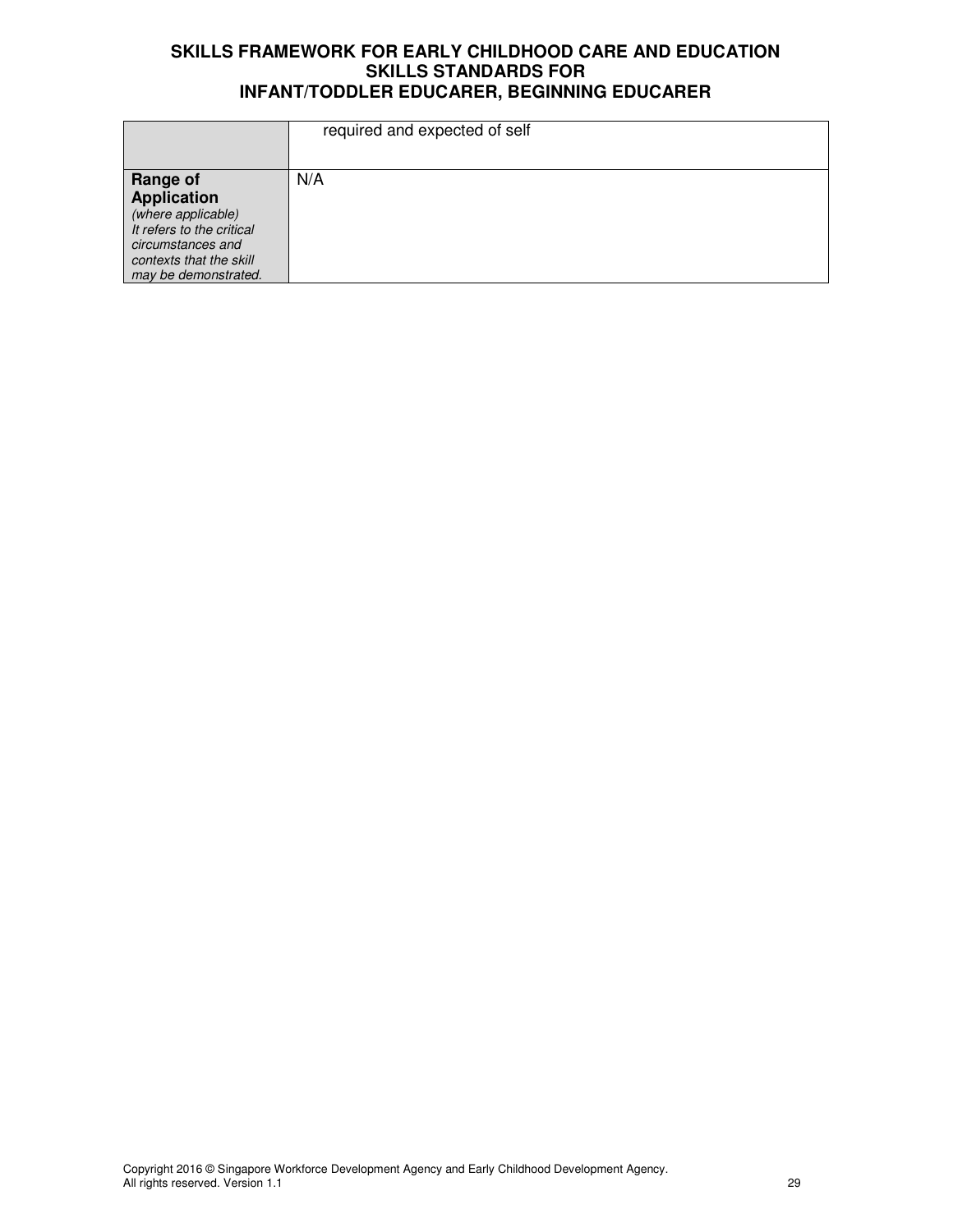|                                                                                                                                                                  | required and expected of self |
|------------------------------------------------------------------------------------------------------------------------------------------------------------------|-------------------------------|
| <b>Range of</b><br><b>Application</b><br>(where applicable)<br>It refers to the critical<br>circumstances and<br>contexts that the skill<br>may be demonstrated. | N/A                           |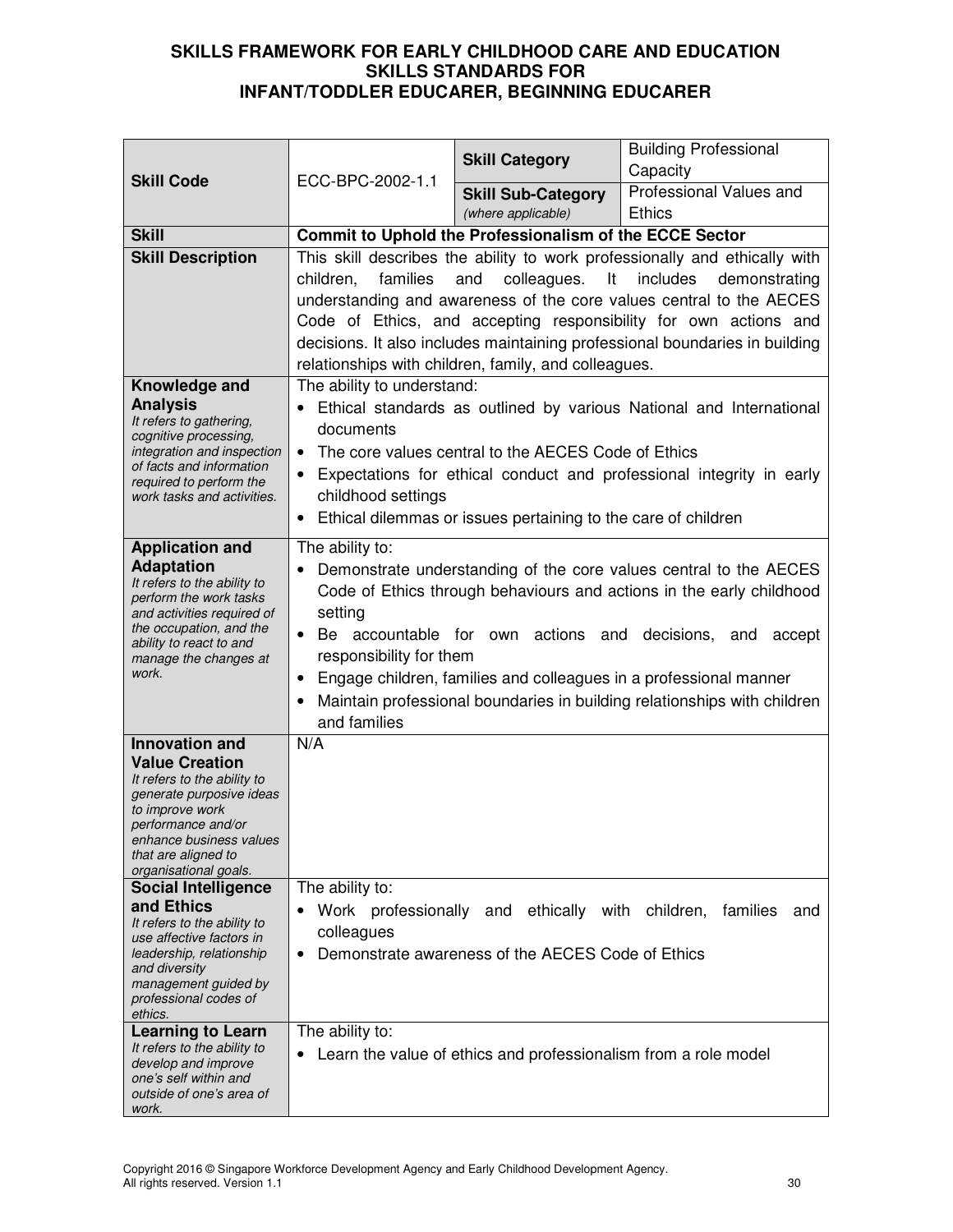|                                                                                                                                                                                                                               | ECC-BPC-2002-1.1                                                                                                                                                                                                                                                                                                                                                                                                                                                          | <b>Skill Category</b>                                                                                 | <b>Building Professional</b><br>Capacity |  |
|-------------------------------------------------------------------------------------------------------------------------------------------------------------------------------------------------------------------------------|---------------------------------------------------------------------------------------------------------------------------------------------------------------------------------------------------------------------------------------------------------------------------------------------------------------------------------------------------------------------------------------------------------------------------------------------------------------------------|-------------------------------------------------------------------------------------------------------|------------------------------------------|--|
| <b>Skill Code</b>                                                                                                                                                                                                             |                                                                                                                                                                                                                                                                                                                                                                                                                                                                           | <b>Skill Sub-Category</b><br>(where applicable)                                                       | Professional Values and<br><b>Ethics</b> |  |
| <b>Skill</b>                                                                                                                                                                                                                  |                                                                                                                                                                                                                                                                                                                                                                                                                                                                           | Commit to Uphold the Professionalism of the ECCE Sector                                               |                                          |  |
| <b>Skill Description</b>                                                                                                                                                                                                      | This skill describes the ability to work professionally and ethically with<br>includes<br>families<br>colleagues. It<br>demonstrating<br>children,<br>and<br>understanding and awareness of the core values central to the AECES<br>Code of Ethics, and accepting responsibility for own actions and<br>decisions. It also includes maintaining professional boundaries in building<br>relationships with children, family, and colleagues.                               |                                                                                                       |                                          |  |
| Knowledge and<br><b>Analysis</b><br>It refers to gathering,<br>cognitive processing,<br>integration and inspection<br>of facts and information<br>required to perform the<br>work tasks and activities.                       | The ability to understand:<br>Ethical standards as outlined by various National and International<br>documents<br>The core values central to the AECES Code of Ethics<br>$\bullet$<br>Expectations for ethical conduct and professional integrity in early<br>childhood settings<br>Ethical dilemmas or issues pertaining to the care of children<br>$\bullet$                                                                                                            |                                                                                                       |                                          |  |
| <b>Application and</b><br><b>Adaptation</b><br>It refers to the ability to<br>perform the work tasks<br>and activities required of<br>the occupation, and the<br>ability to react to and<br>manage the changes at<br>work.    | The ability to:<br>Demonstrate understanding of the core values central to the AECES<br>$\bullet$<br>Code of Ethics through behaviours and actions in the early childhood<br>setting<br>Be accountable for own actions and decisions, and<br>$\bullet$<br>accept<br>responsibility for them<br>Engage children, families and colleagues in a professional manner<br>$\bullet$<br>Maintain professional boundaries in building relationships with children<br>and families |                                                                                                       |                                          |  |
| <b>Innovation and</b><br><b>Value Creation</b><br>It refers to the ability to<br>generate purposive ideas<br>to improve work<br>performance and/or<br>enhance business values<br>that are aligned to<br>organisational goals. | N/A                                                                                                                                                                                                                                                                                                                                                                                                                                                                       |                                                                                                       |                                          |  |
| <b>Social Intelligence</b><br>and Ethics<br>It refers to the ability to<br>use affective factors in<br>leadership, relationship<br>and diversity<br>management guided by<br>professional codes of<br>ethics.                  | The ability to:<br>colleagues<br>$\bullet$                                                                                                                                                                                                                                                                                                                                                                                                                                | Work professionally and ethically with children,<br>Demonstrate awareness of the AECES Code of Ethics | families<br>and                          |  |
| <b>Learning to Learn</b><br>It refers to the ability to<br>develop and improve<br>one's self within and<br>outside of one's area of<br>work.                                                                                  | The ability to:                                                                                                                                                                                                                                                                                                                                                                                                                                                           | Learn the value of ethics and professionalism from a role model                                       |                                          |  |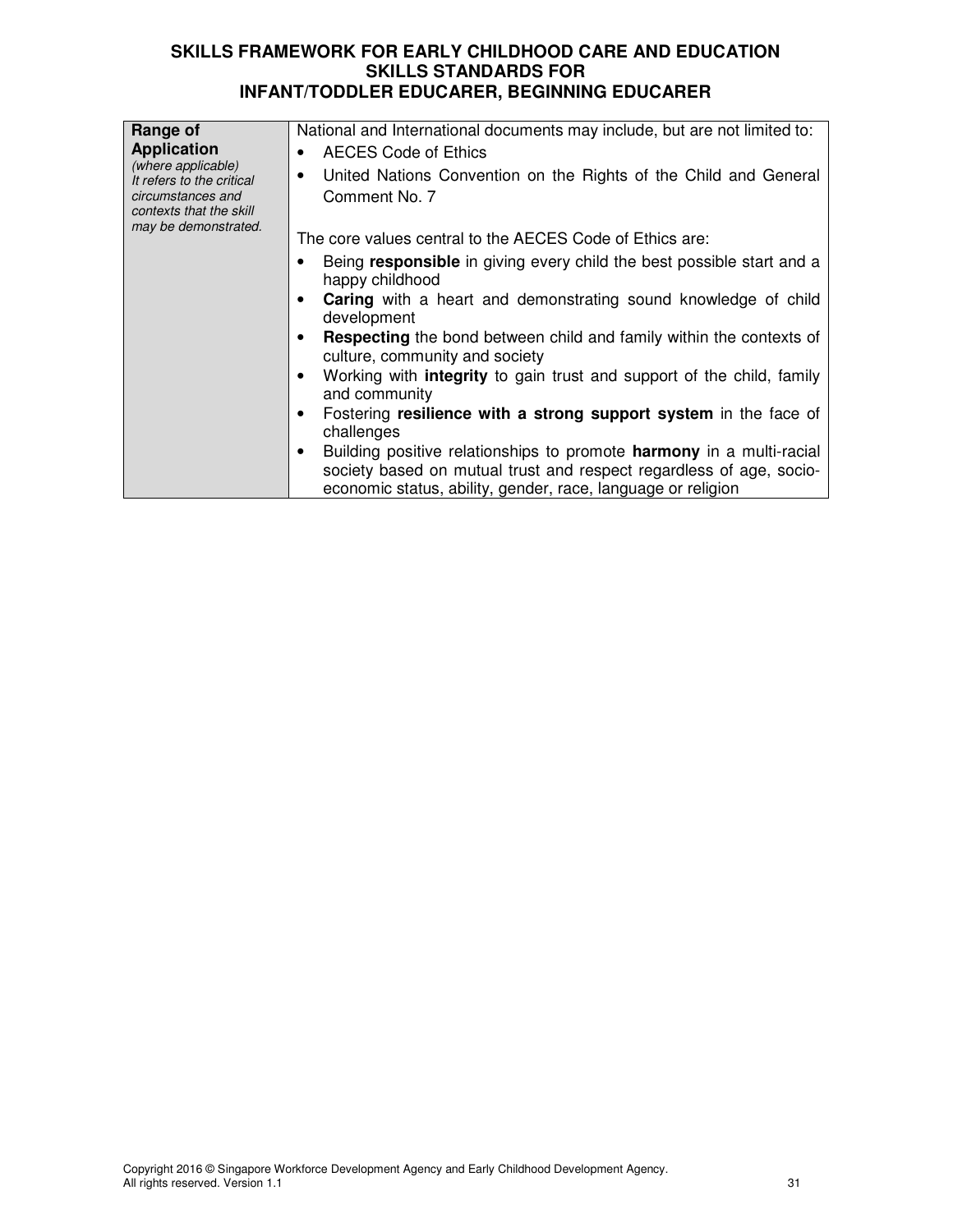| Range of<br><b>Application</b><br>(where applicable)<br>It refers to the critical<br>circumstances and<br>contexts that the skill | National and International documents may include, but are not limited to:<br>AECES Code of Ethics<br>United Nations Convention on the Rights of the Child and General<br>Comment No. 7                             |
|-----------------------------------------------------------------------------------------------------------------------------------|--------------------------------------------------------------------------------------------------------------------------------------------------------------------------------------------------------------------|
| may be demonstrated.                                                                                                              | The core values central to the AECES Code of Ethics are:                                                                                                                                                           |
|                                                                                                                                   | Being responsible in giving every child the best possible start and a<br>happy childhood                                                                                                                           |
|                                                                                                                                   | <b>Caring</b> with a heart and demonstrating sound knowledge of child<br>development                                                                                                                               |
|                                                                                                                                   | <b>Respecting</b> the bond between child and family within the contexts of<br>culture, community and society                                                                                                       |
|                                                                                                                                   | Working with <b>integrity</b> to gain trust and support of the child, family<br>and community                                                                                                                      |
|                                                                                                                                   | Fostering resilience with a strong support system in the face of<br>challenges                                                                                                                                     |
|                                                                                                                                   | Building positive relationships to promote <b>harmony</b> in a multi-racial<br>society based on mutual trust and respect regardless of age, socio-<br>economic status, ability, gender, race, language or religion |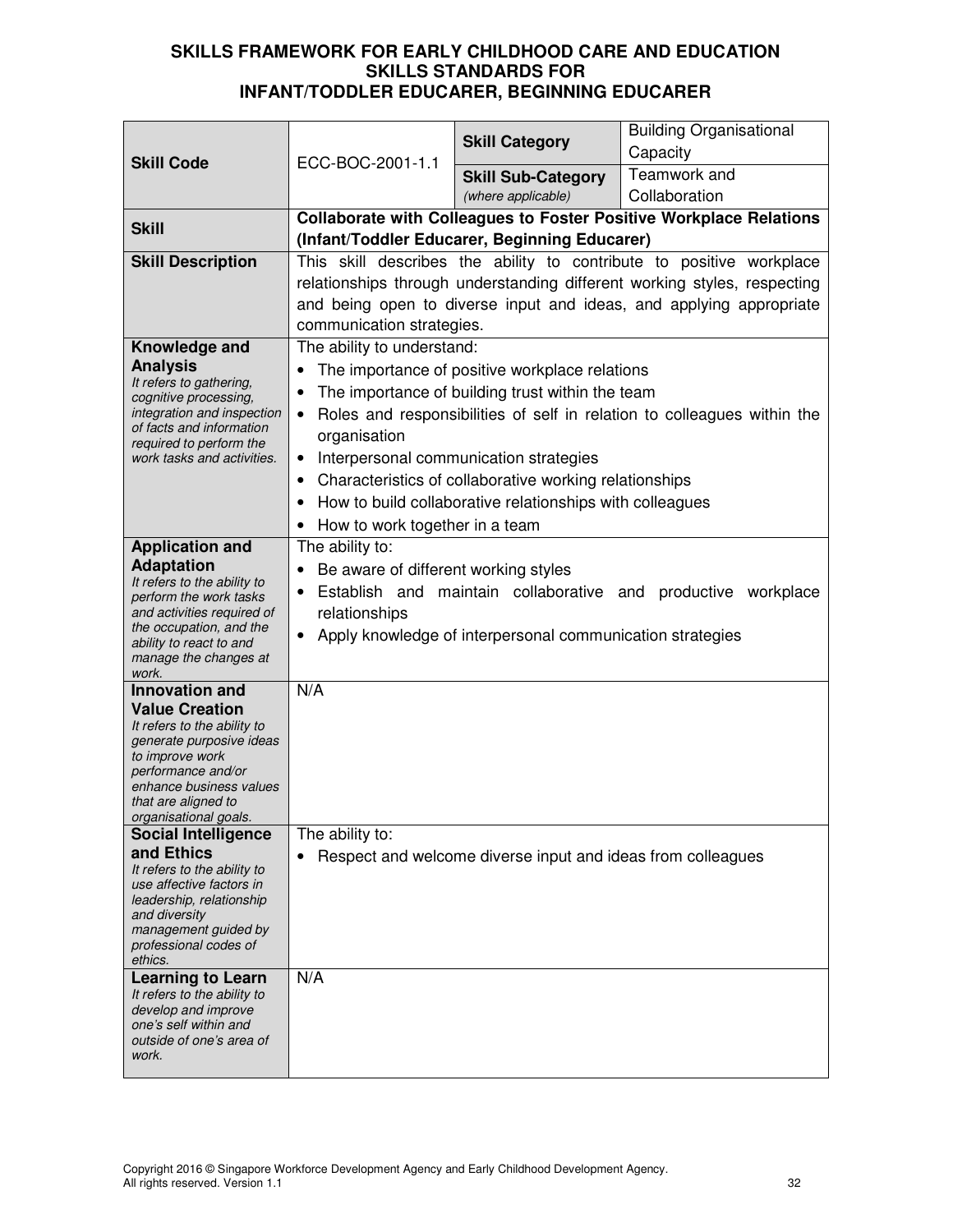| <b>Skill Code</b>                                                                                                                                                                                                             | ECC-BOC-2001-1.1                                                                                                                                                                                                    | <b>Skill Category</b>                                                                                                                                                                                                                                              | <b>Building Organisational</b><br>Capacity                                                                                                                                                                              |
|-------------------------------------------------------------------------------------------------------------------------------------------------------------------------------------------------------------------------------|---------------------------------------------------------------------------------------------------------------------------------------------------------------------------------------------------------------------|--------------------------------------------------------------------------------------------------------------------------------------------------------------------------------------------------------------------------------------------------------------------|-------------------------------------------------------------------------------------------------------------------------------------------------------------------------------------------------------------------------|
|                                                                                                                                                                                                                               |                                                                                                                                                                                                                     | <b>Skill Sub-Category</b><br>(where applicable)                                                                                                                                                                                                                    | Teamwork and<br>Collaboration                                                                                                                                                                                           |
| <b>Skill</b>                                                                                                                                                                                                                  |                                                                                                                                                                                                                     | (Infant/Toddler Educarer, Beginning Educarer)                                                                                                                                                                                                                      | <b>Collaborate with Colleagues to Foster Positive Workplace Relations</b>                                                                                                                                               |
| <b>Skill Description</b>                                                                                                                                                                                                      | communication strategies.                                                                                                                                                                                           |                                                                                                                                                                                                                                                                    | This skill describes the ability to contribute to positive workplace<br>relationships through understanding different working styles, respecting<br>and being open to diverse input and ideas, and applying appropriate |
| Knowledge and<br><b>Analysis</b><br>It refers to gathering,<br>cognitive processing,<br>integration and inspection<br>of facts and information<br>required to perform the<br>work tasks and activities.                       | The ability to understand:<br>organisation<br>$\bullet$<br>$\bullet$<br>How to work together in a team                                                                                                              | The importance of positive workplace relations<br>The importance of building trust within the team<br>Interpersonal communication strategies<br>Characteristics of collaborative working relationships<br>How to build collaborative relationships with colleagues | Roles and responsibilities of self in relation to colleagues within the                                                                                                                                                 |
| <b>Application and</b><br><b>Adaptation</b><br>It refers to the ability to<br>perform the work tasks<br>and activities required of<br>the occupation, and the<br>ability to react to and<br>manage the changes at<br>work.    | The ability to:<br>Be aware of different working styles<br>$\bullet$<br>Establish and maintain collaborative and productive workplace<br>relationships<br>Apply knowledge of interpersonal communication strategies |                                                                                                                                                                                                                                                                    |                                                                                                                                                                                                                         |
| <b>Innovation and</b><br><b>Value Creation</b><br>It refers to the ability to<br>generate purposive ideas<br>to improve work<br>performance and/or<br>enhance business values<br>that are aligned to<br>organisational goals. | N/A                                                                                                                                                                                                                 |                                                                                                                                                                                                                                                                    |                                                                                                                                                                                                                         |
| <b>Social Intelligence</b><br>and Ethics<br>It refers to the ability to<br>use affective factors in<br>leadership, relationship<br>and diversity<br>management guided by<br>professional codes of<br>ethics.                  | The ability to:<br>٠                                                                                                                                                                                                | Respect and welcome diverse input and ideas from colleagues                                                                                                                                                                                                        |                                                                                                                                                                                                                         |
| <b>Learning to Learn</b><br>It refers to the ability to<br>develop and improve<br>one's self within and<br>outside of one's area of<br>work.                                                                                  | N/A                                                                                                                                                                                                                 |                                                                                                                                                                                                                                                                    |                                                                                                                                                                                                                         |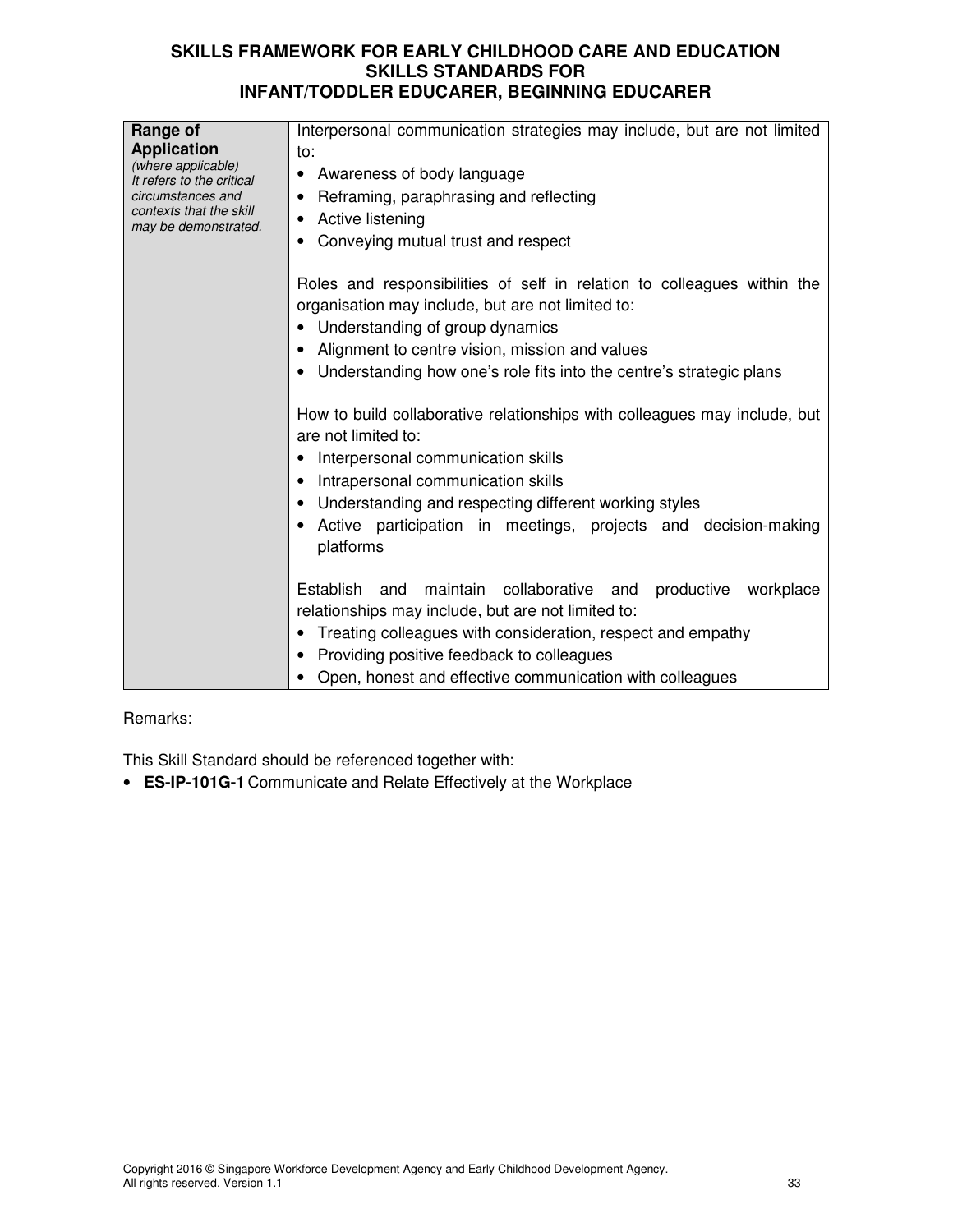| Range of<br><b>Application</b><br>(where applicable)<br>It refers to the critical<br>circumstances and<br>contexts that the skill<br>may be demonstrated. | Interpersonal communication strategies may include, but are not limited<br>to:<br>Awareness of body language<br>٠<br>Reframing, paraphrasing and reflecting<br>٠<br>Active listening<br>Conveying mutual trust and respect                                                                                           |  |  |
|-----------------------------------------------------------------------------------------------------------------------------------------------------------|----------------------------------------------------------------------------------------------------------------------------------------------------------------------------------------------------------------------------------------------------------------------------------------------------------------------|--|--|
|                                                                                                                                                           | Roles and responsibilities of self in relation to colleagues within the<br>organisation may include, but are not limited to:<br>• Understanding of group dynamics<br>Alignment to centre vision, mission and values<br>Understanding how one's role fits into the centre's strategic plans                           |  |  |
|                                                                                                                                                           | How to build collaborative relationships with colleagues may include, but<br>are not limited to:<br>Interpersonal communication skills<br>Intrapersonal communication skills<br>Understanding and respecting different working styles<br>Active participation in meetings, projects and decision-making<br>platforms |  |  |
|                                                                                                                                                           | maintain collaborative and<br>Establish and<br>productive<br>workplace<br>relationships may include, but are not limited to:<br>Treating colleagues with consideration, respect and empathy<br>Providing positive feedback to colleagues<br>Open, honest and effective communication with colleagues                 |  |  |

# Remarks:

This Skill Standard should be referenced together with:

• **ES-IP-101G-1** Communicate and Relate Effectively at the Workplace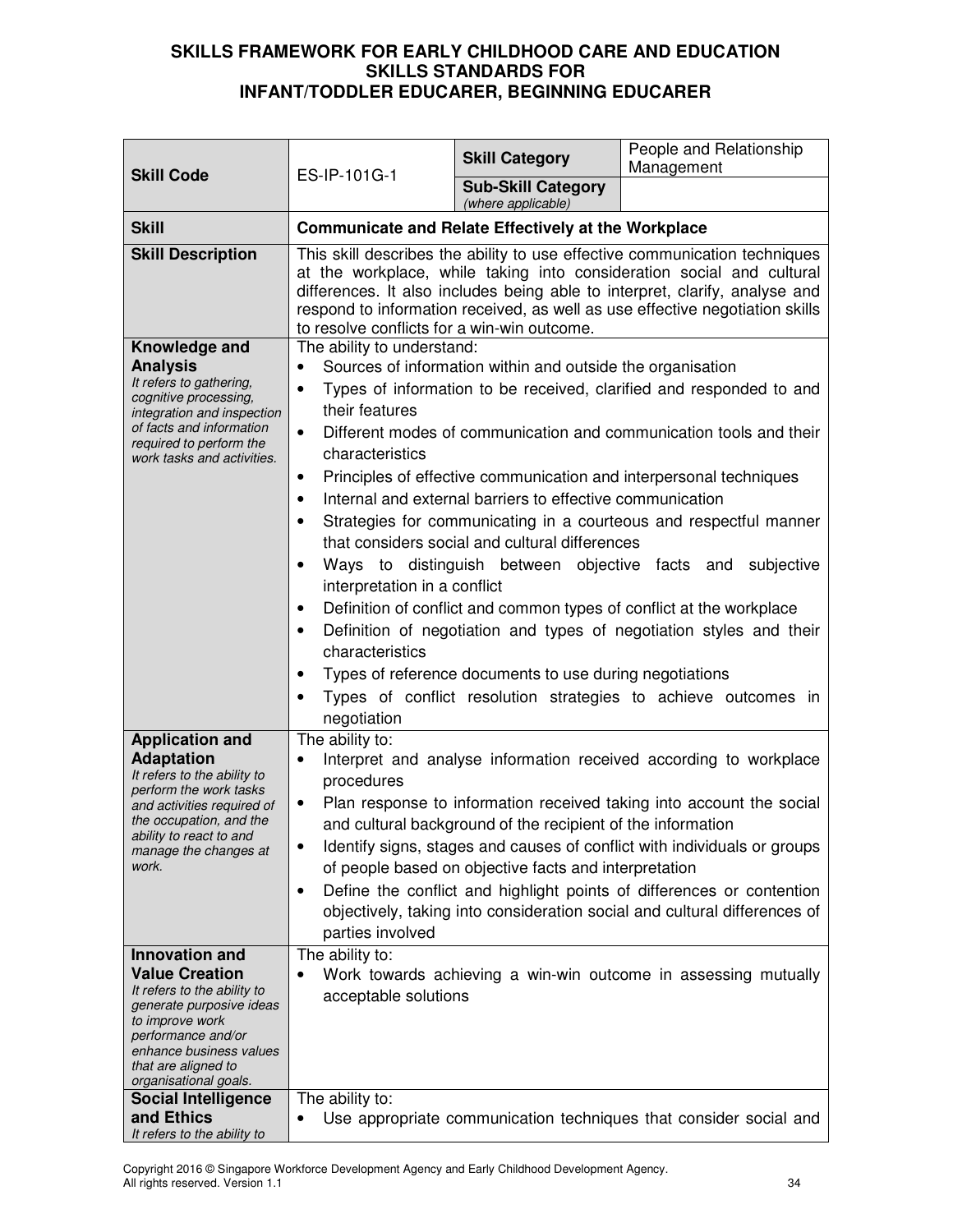| <b>Skill Code</b>                                                                                                                                                                                                                                                                                           | ES-IP-101G-1                                                                                                                                                                                                                                                                                                                                                                                                                                                                                                                                                                                                                                                                                                                                                                                                                                                                                                                                                                                                    | <b>Skill Category</b>                                                                                                | People and Relationship<br>Management                                                                                                                                                                                                                                                                                                                                                                                                         |  |
|-------------------------------------------------------------------------------------------------------------------------------------------------------------------------------------------------------------------------------------------------------------------------------------------------------------|-----------------------------------------------------------------------------------------------------------------------------------------------------------------------------------------------------------------------------------------------------------------------------------------------------------------------------------------------------------------------------------------------------------------------------------------------------------------------------------------------------------------------------------------------------------------------------------------------------------------------------------------------------------------------------------------------------------------------------------------------------------------------------------------------------------------------------------------------------------------------------------------------------------------------------------------------------------------------------------------------------------------|----------------------------------------------------------------------------------------------------------------------|-----------------------------------------------------------------------------------------------------------------------------------------------------------------------------------------------------------------------------------------------------------------------------------------------------------------------------------------------------------------------------------------------------------------------------------------------|--|
|                                                                                                                                                                                                                                                                                                             |                                                                                                                                                                                                                                                                                                                                                                                                                                                                                                                                                                                                                                                                                                                                                                                                                                                                                                                                                                                                                 | <b>Sub-Skill Category</b><br>(where applicable)                                                                      |                                                                                                                                                                                                                                                                                                                                                                                                                                               |  |
| <b>Skill</b>                                                                                                                                                                                                                                                                                                |                                                                                                                                                                                                                                                                                                                                                                                                                                                                                                                                                                                                                                                                                                                                                                                                                                                                                                                                                                                                                 | <b>Communicate and Relate Effectively at the Workplace</b>                                                           |                                                                                                                                                                                                                                                                                                                                                                                                                                               |  |
| <b>Skill Description</b>                                                                                                                                                                                                                                                                                    | This skill describes the ability to use effective communication techniques<br>at the workplace, while taking into consideration social and cultural<br>differences. It also includes being able to interpret, clarify, analyse and<br>respond to information received, as well as use effective negotiation skills<br>to resolve conflicts for a win-win outcome.                                                                                                                                                                                                                                                                                                                                                                                                                                                                                                                                                                                                                                               |                                                                                                                      |                                                                                                                                                                                                                                                                                                                                                                                                                                               |  |
| Knowledge and<br><b>Analysis</b><br>It refers to gathering,<br>cognitive processing,<br>integration and inspection<br>of facts and information<br>required to perform the<br>work tasks and activities.                                                                                                     | The ability to understand:<br>Sources of information within and outside the organisation<br>Types of information to be received, clarified and responded to and<br>$\bullet$<br>their features<br>Different modes of communication and communication tools and their<br>$\bullet$<br>characteristics<br>Principles of effective communication and interpersonal techniques<br>$\bullet$<br>Internal and external barriers to effective communication<br>$\bullet$<br>Strategies for communicating in a courteous and respectful manner<br>that considers social and cultural differences<br>Ways to distinguish between objective facts and subjective<br>interpretation in a conflict<br>Definition of conflict and common types of conflict at the workplace<br>$\bullet$<br>Definition of negotiation and types of negotiation styles and their<br>characteristics<br>Types of reference documents to use during negotiations<br>$\bullet$<br>Types of conflict resolution strategies to achieve outcomes in |                                                                                                                      |                                                                                                                                                                                                                                                                                                                                                                                                                                               |  |
| <b>Application and</b><br><b>Adaptation</b><br>It refers to the ability to<br>perform the work tasks<br>and activities required of<br>the occupation, and the<br>ability to react to and<br>manage the changes at<br>work.<br><b>Innovation and</b><br><b>Value Creation</b><br>It refers to the ability to | The ability to:<br>procedures<br>$\bullet$<br>$\bullet$<br>$\bullet$<br>parties involved<br>The ability to:<br>acceptable solutions                                                                                                                                                                                                                                                                                                                                                                                                                                                                                                                                                                                                                                                                                                                                                                                                                                                                             | and cultural background of the recipient of the information<br>of people based on objective facts and interpretation | Interpret and analyse information received according to workplace<br>Plan response to information received taking into account the social<br>Identify signs, stages and causes of conflict with individuals or groups<br>Define the conflict and highlight points of differences or contention<br>objectively, taking into consideration social and cultural differences of<br>Work towards achieving a win-win outcome in assessing mutually |  |
| generate purposive ideas<br>to improve work<br>performance and/or<br>enhance business values<br>that are aligned to<br>organisational goals.<br><b>Social Intelligence</b><br>and Ethics<br>It refers to the ability to                                                                                     | The ability to:<br>Use appropriate communication techniques that consider social and                                                                                                                                                                                                                                                                                                                                                                                                                                                                                                                                                                                                                                                                                                                                                                                                                                                                                                                            |                                                                                                                      |                                                                                                                                                                                                                                                                                                                                                                                                                                               |  |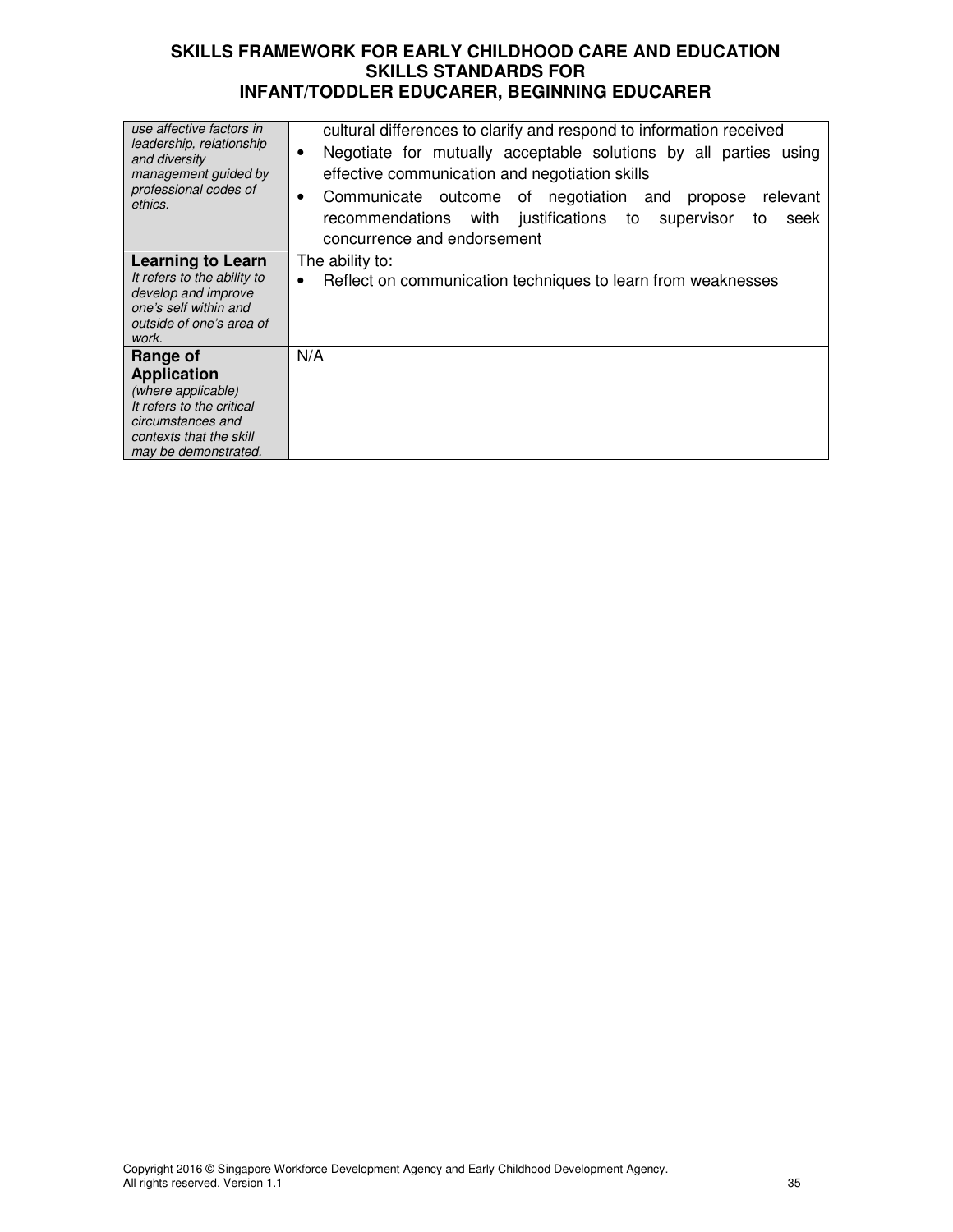| cultural differences to clarify and respond to information received<br>Negotiate for mutually acceptable solutions by all parties using<br>٠<br>effective communication and negotiation skills<br>Communicate outcome of negotiation and<br>relevant<br>propose<br>٠<br>justifications to<br>recommendations with<br>supervisor<br>seek<br>to<br>concurrence and endorsement |
|------------------------------------------------------------------------------------------------------------------------------------------------------------------------------------------------------------------------------------------------------------------------------------------------------------------------------------------------------------------------------|
| The ability to:<br>Reflect on communication techniques to learn from weaknesses<br>$\bullet$                                                                                                                                                                                                                                                                                 |
|                                                                                                                                                                                                                                                                                                                                                                              |
|                                                                                                                                                                                                                                                                                                                                                                              |
| N/A                                                                                                                                                                                                                                                                                                                                                                          |
|                                                                                                                                                                                                                                                                                                                                                                              |
|                                                                                                                                                                                                                                                                                                                                                                              |
|                                                                                                                                                                                                                                                                                                                                                                              |
|                                                                                                                                                                                                                                                                                                                                                                              |
|                                                                                                                                                                                                                                                                                                                                                                              |
|                                                                                                                                                                                                                                                                                                                                                                              |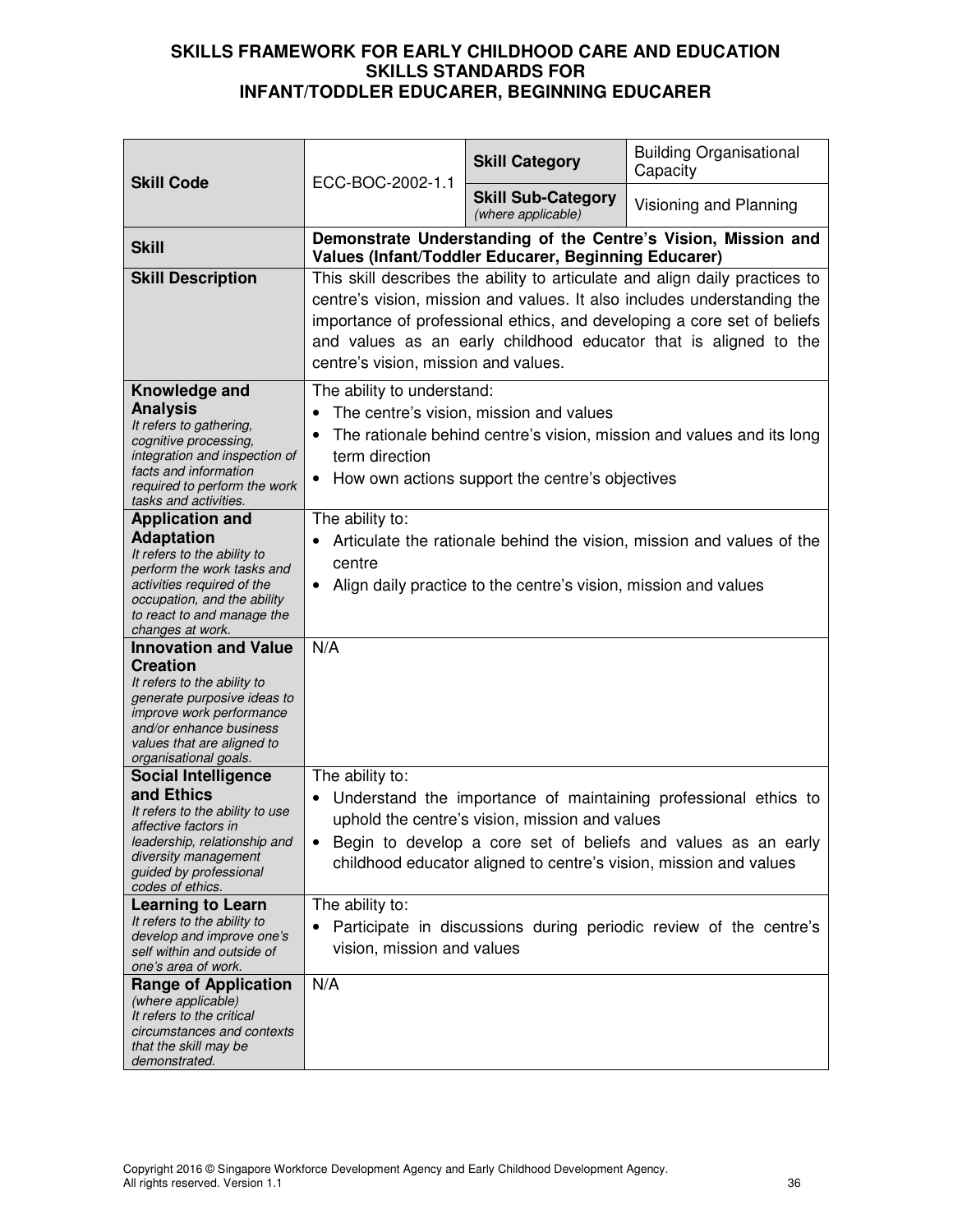| <b>Skill Code</b>                                                                                                                                                                                                          | ECC-BOC-2002-1.1                                                                                                                                                                                                                                                                                                                              | <b>Skill Category</b>                                           | <b>Building Organisational</b><br>Capacity                                                                                                                                                            |
|----------------------------------------------------------------------------------------------------------------------------------------------------------------------------------------------------------------------------|-----------------------------------------------------------------------------------------------------------------------------------------------------------------------------------------------------------------------------------------------------------------------------------------------------------------------------------------------|-----------------------------------------------------------------|-------------------------------------------------------------------------------------------------------------------------------------------------------------------------------------------------------|
|                                                                                                                                                                                                                            |                                                                                                                                                                                                                                                                                                                                               | <b>Skill Sub-Category</b><br>(where applicable)                 | Visioning and Planning                                                                                                                                                                                |
| <b>Skill</b>                                                                                                                                                                                                               |                                                                                                                                                                                                                                                                                                                                               | Values (Infant/Toddler Educarer, Beginning Educarer)            | Demonstrate Understanding of the Centre's Vision, Mission and                                                                                                                                         |
| <b>Skill Description</b>                                                                                                                                                                                                   | This skill describes the ability to articulate and align daily practices to<br>centre's vision, mission and values. It also includes understanding the<br>importance of professional ethics, and developing a core set of beliefs<br>and values as an early childhood educator that is aligned to the<br>centre's vision, mission and values. |                                                                 |                                                                                                                                                                                                       |
| Knowledge and<br><b>Analysis</b><br>It refers to gathering,<br>cognitive processing,<br>integration and inspection of<br>facts and information<br>required to perform the work<br>tasks and activities.                    | The ability to understand:<br>The centre's vision, mission and values<br>The rationale behind centre's vision, mission and values and its long<br>term direction<br>How own actions support the centre's objectives<br>$\bullet$                                                                                                              |                                                                 |                                                                                                                                                                                                       |
| <b>Application and</b><br><b>Adaptation</b><br>It refers to the ability to<br>perform the work tasks and<br>activities required of the<br>occupation, and the ability<br>to react to and manage the<br>changes at work.    | The ability to:<br>centre<br>٠                                                                                                                                                                                                                                                                                                                | Align daily practice to the centre's vision, mission and values | Articulate the rationale behind the vision, mission and values of the                                                                                                                                 |
| <b>Innovation and Value</b><br><b>Creation</b><br>It refers to the ability to<br>generate purposive ideas to<br>improve work performance<br>and/or enhance business<br>values that are aligned to<br>organisational goals. | N/A                                                                                                                                                                                                                                                                                                                                           |                                                                 |                                                                                                                                                                                                       |
| <b>Social Intelligence</b><br>and Ethics<br>It refers to the ability to use<br>affective factors in<br>leadership, relationship and<br>diversity management<br>guided by professional<br>codes of ethics.                  | The ability to:                                                                                                                                                                                                                                                                                                                               | uphold the centre's vision, mission and values                  | Understand the importance of maintaining professional ethics to<br>Begin to develop a core set of beliefs and values as an early<br>childhood educator aligned to centre's vision, mission and values |
| <b>Learning to Learn</b><br>It refers to the ability to<br>develop and improve one's<br>self within and outside of<br>one's area of work.                                                                                  | The ability to:<br>vision, mission and values                                                                                                                                                                                                                                                                                                 |                                                                 | Participate in discussions during periodic review of the centre's                                                                                                                                     |
| <b>Range of Application</b><br>(where applicable)<br>It refers to the critical<br>circumstances and contexts<br>that the skill may be<br>demonstrated.                                                                     | N/A                                                                                                                                                                                                                                                                                                                                           |                                                                 |                                                                                                                                                                                                       |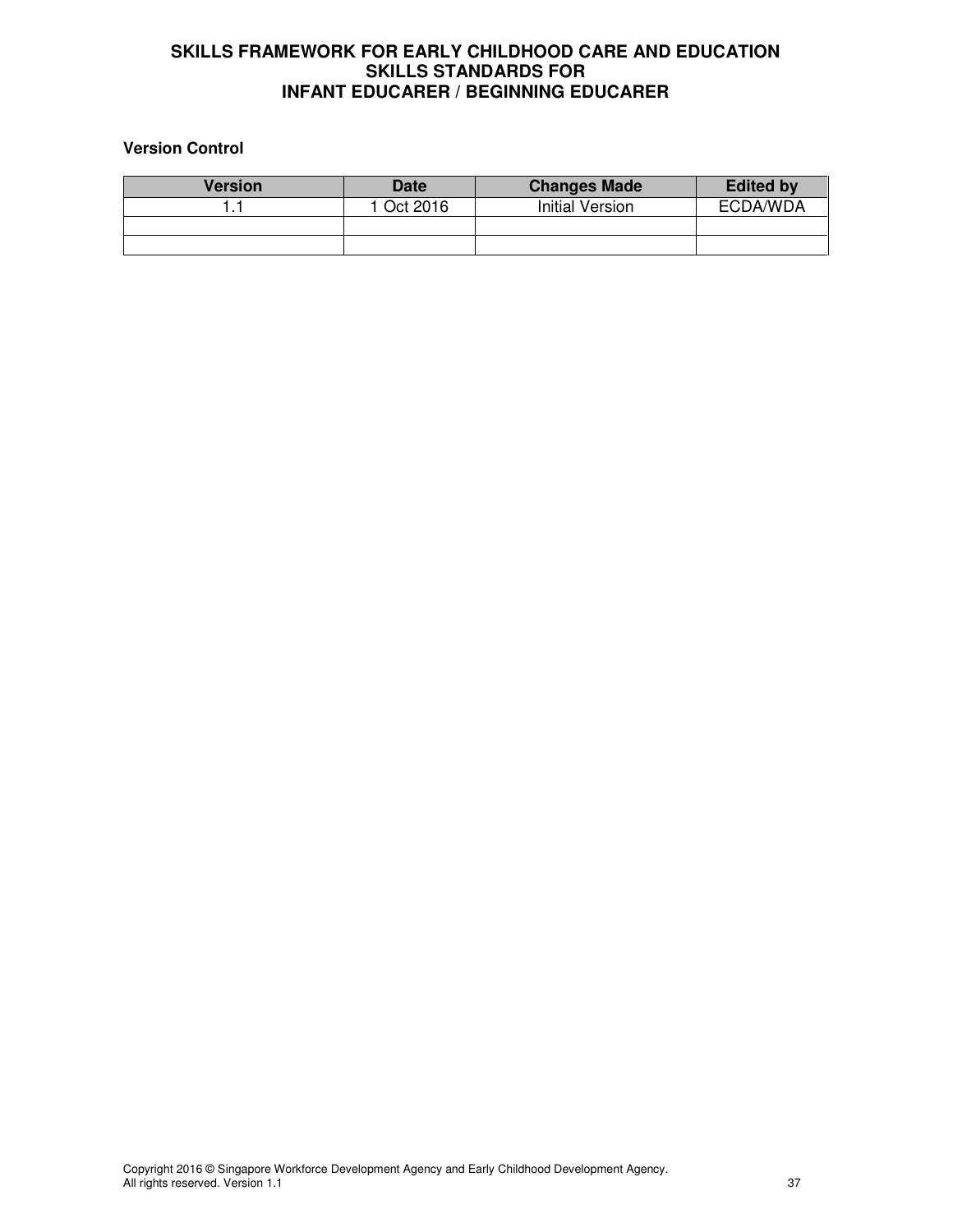# **Version Control**

| <b>Version</b> | <b>Date</b> | <b>Changes Made</b>    | <b>Edited by</b> |
|----------------|-------------|------------------------|------------------|
|                | 1 Oct 2016  | <b>Initial Version</b> | ECDA/WDA         |
|                |             |                        |                  |
|                |             |                        |                  |